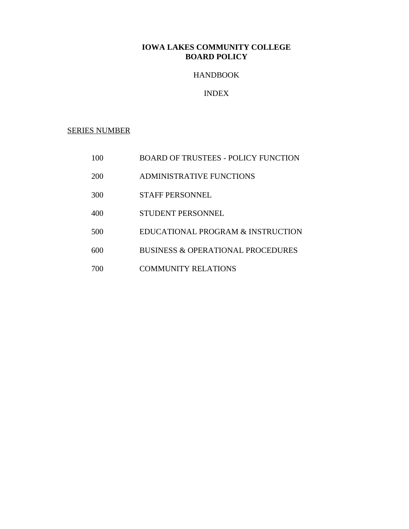# HANDBOOK

# INDEX

SERIES NUMBER

- 100 BOARD OF TRUSTEES POLICY FUNCTION
- 200 ADMINISTRATIVE FUNCTIONS
- 300 STAFF PERSONNEL
- 400 STUDENT PERSONNEL
- 500 EDUCATIONAL PROGRAM & INSTRUCTION
- 600 BUSINESS & OPERATIONAL PROCEDURES
- 700 COMMUNITY RELATIONS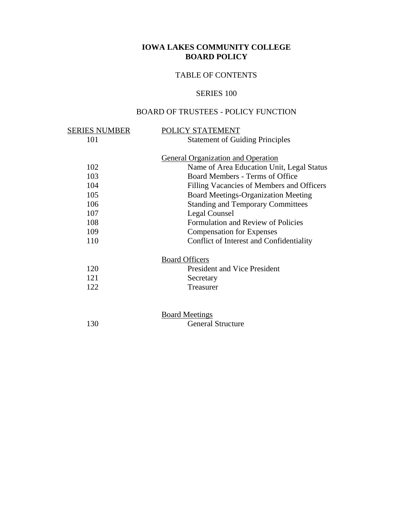# TABLE OF CONTENTS

# SERIES 100

# BOARD OF TRUSTEES - POLICY FUNCTION

| SERIES NUMBER | POLICY STATEMENT                           |
|---------------|--------------------------------------------|
| 101           | <b>Statement of Guiding Principles</b>     |
|               |                                            |
|               | <b>General Organization and Operation</b>  |
| 102           | Name of Area Education Unit, Legal Status  |
| 103           | Board Members - Terms of Office            |
| 104           | Filling Vacancies of Members and Officers  |
| 105           | <b>Board Meetings-Organization Meeting</b> |
| 106           | <b>Standing and Temporary Committees</b>   |
| 107           | Legal Counsel                              |
| 108           | Formulation and Review of Policies         |
| 109           | <b>Compensation for Expenses</b>           |
| 110           | Conflict of Interest and Confidentiality   |
|               | <b>Board Officers</b>                      |
| 120           | <b>President and Vice President</b>        |
| 121           | Secretary                                  |
| 122           | Treasurer                                  |
|               |                                            |
|               | <b>Board Meetings</b>                      |
| 130           | <b>General Structure</b>                   |
|               |                                            |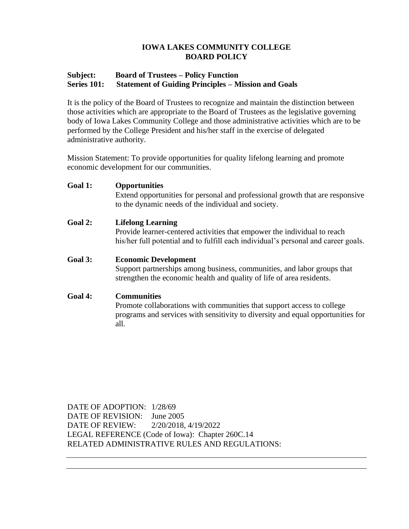## **Subject: Board of Trustees – Policy Function Series 101: Statement of Guiding Principles – Mission and Goals**

It is the policy of the Board of Trustees to recognize and maintain the distinction between those activities which are appropriate to the Board of Trustees as the legislative governing body of Iowa Lakes Community College and those administrative activities which are to be performed by the College President and his/her staff in the exercise of delegated administrative authority.

Mission Statement: To provide opportunities for quality lifelong learning and promote economic development for our communities.

## **Goal 1: Opportunities**

Extend opportunities for personal and professional growth that are responsive to the dynamic needs of the individual and society.

## **Goal 2: Lifelong Learning**

Provide learner-centered activities that empower the individual to reach his/her full potential and to fulfill each individual's personal and career goals.

### **Goal 3: Economic Development**

Support partnerships among business, communities, and labor groups that strengthen the economic health and quality of life of area residents.

## **Goal 4: Communities**

Promote collaborations with communities that support access to college programs and services with sensitivity to diversity and equal opportunities for all.

DATE OF ADOPTION: 1/28/69 DATE OF REVISION: June 2005 DATE OF REVIEW: 2/20/2018, 4/19/2022 LEGAL REFERENCE (Code of Iowa): Chapter 260C.14 RELATED ADMINISTRATIVE RULES AND REGULATIONS: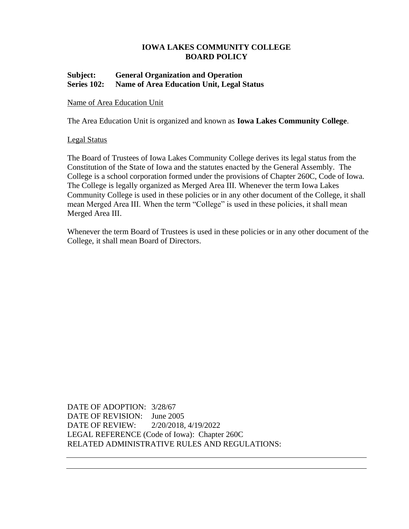## **Subject: General Organization and Operation Series 102: Name of Area Education Unit, Legal Status**

## Name of Area Education Unit

The Area Education Unit is organized and known as **Iowa Lakes Community College**.

### Legal Status

The Board of Trustees of Iowa Lakes Community College derives its legal status from the Constitution of the State of Iowa and the statutes enacted by the General Assembly. The College is a school corporation formed under the provisions of Chapter 260C, Code of Iowa. The College is legally organized as Merged Area III. Whenever the term Iowa Lakes Community College is used in these policies or in any other document of the College, it shall mean Merged Area III. When the term "College" is used in these policies, it shall mean Merged Area III.

Whenever the term Board of Trustees is used in these policies or in any other document of the College, it shall mean Board of Directors.

DATE OF ADOPTION: 3/28/67 DATE OF REVISION: June 2005 DATE OF REVIEW: 2/20/2018, 4/19/2022 LEGAL REFERENCE (Code of Iowa): Chapter 260C RELATED ADMINISTRATIVE RULES AND REGULATIONS: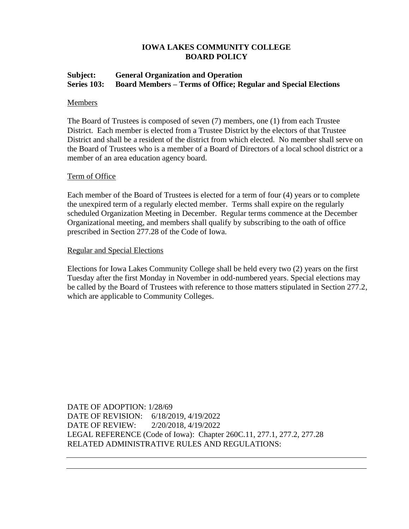# **Subject: General Organization and Operation Series 103: Board Members – Terms of Office; Regular and Special Elections**

## Members

The Board of Trustees is composed of seven (7) members, one (1) from each Trustee District. Each member is elected from a Trustee District by the electors of that Trustee District and shall be a resident of the district from which elected. No member shall serve on the Board of Trustees who is a member of a Board of Directors of a local school district or a member of an area education agency board.

### Term of Office

Each member of the Board of Trustees is elected for a term of four (4) years or to complete the unexpired term of a regularly elected member. Terms shall expire on the regularly scheduled Organization Meeting in December. Regular terms commence at the December Organizational meeting, and members shall qualify by subscribing to the oath of office prescribed in Section 277.28 of the Code of Iowa.

### Regular and Special Elections

Elections for Iowa Lakes Community College shall be held every two (2) years on the first Tuesday after the first Monday in November in odd-numbered years. Special elections may be called by the Board of Trustees with reference to those matters stipulated in Section 277.2, which are applicable to Community Colleges.

DATE OF ADOPTION: 1/28/69 DATE OF REVISION: 6/18/2019, 4/19/2022 DATE OF REVIEW: 2/20/2018, 4/19/2022 LEGAL REFERENCE (Code of Iowa): Chapter 260C.11, 277.1, 277.2, 277.28 RELATED ADMINISTRATIVE RULES AND REGULATIONS: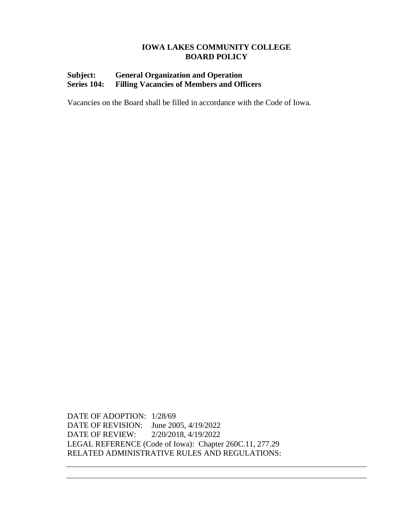# **Subject: General Organization and Operation Series 104: Filling Vacancies of Members and Officers**

Vacancies on the Board shall be filled in accordance with the Code of Iowa.

DATE OF ADOPTION: 1/28/69 DATE OF REVISION: June 2005, 4/19/2022 DATE OF REVIEW: 2/20/2018, 4/19/2022 LEGAL REFERENCE (Code of Iowa): Chapter 260C.11, 277.29 RELATED ADMINISTRATIVE RULES AND REGULATIONS: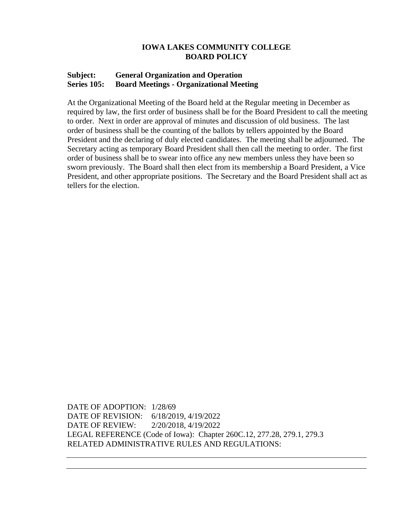### **Subject: General Organization and Operation Series 105: Board Meetings - Organizational Meeting**

At the Organizational Meeting of the Board held at the Regular meeting in December as required by law, the first order of business shall be for the Board President to call the meeting to order. Next in order are approval of minutes and discussion of old business. The last order of business shall be the counting of the ballots by tellers appointed by the Board President and the declaring of duly elected candidates. The meeting shall be adjourned. The Secretary acting as temporary Board President shall then call the meeting to order. The first order of business shall be to swear into office any new members unless they have been so sworn previously. The Board shall then elect from its membership a Board President, a Vice President, and other appropriate positions. The Secretary and the Board President shall act as tellers for the election.

DATE OF ADOPTION: 1/28/69 DATE OF REVISION: 6/18/2019, 4/19/2022 DATE OF REVIEW: 2/20/2018, 4/19/2022 LEGAL REFERENCE (Code of Iowa): Chapter 260C.12, 277.28, 279.1, 279.3 RELATED ADMINISTRATIVE RULES AND REGULATIONS: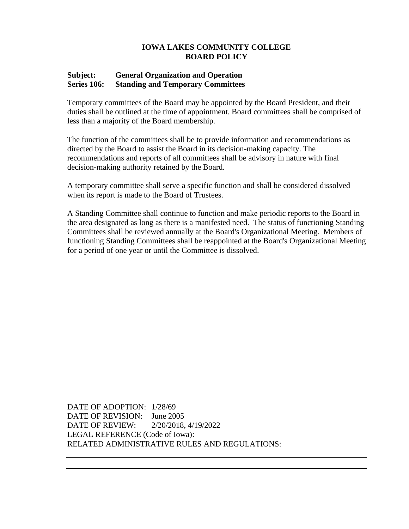## **Subject: General Organization and Operation Series 106: Standing and Temporary Committees**

Temporary committees of the Board may be appointed by the Board President, and their duties shall be outlined at the time of appointment. Board committees shall be comprised of less than a majority of the Board membership.

The function of the committees shall be to provide information and recommendations as directed by the Board to assist the Board in its decision-making capacity. The recommendations and reports of all committees shall be advisory in nature with final decision-making authority retained by the Board.

A temporary committee shall serve a specific function and shall be considered dissolved when its report is made to the Board of Trustees.

A Standing Committee shall continue to function and make periodic reports to the Board in the area designated as long as there is a manifested need. The status of functioning Standing Committees shall be reviewed annually at the Board's Organizational Meeting. Members of functioning Standing Committees shall be reappointed at the Board's Organizational Meeting for a period of one year or until the Committee is dissolved.

DATE OF ADOPTION: 1/28/69 DATE OF REVISION: June 2005 DATE OF REVIEW: 2/20/2018, 4/19/2022 LEGAL REFERENCE (Code of Iowa): RELATED ADMINISTRATIVE RULES AND REGULATIONS: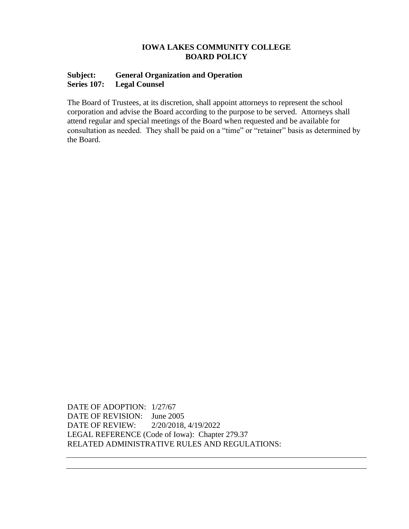## **Subject: General Organization and Operation Series 107: Legal Counsel**

The Board of Trustees, at its discretion, shall appoint attorneys to represent the school corporation and advise the Board according to the purpose to be served. Attorneys shall attend regular and special meetings of the Board when requested and be available for consultation as needed. They shall be paid on a "time" or "retainer" basis as determined by the Board.

DATE OF ADOPTION: 1/27/67 DATE OF REVISION: June 2005 DATE OF REVIEW: 2/20/2018, 4/19/2022 LEGAL REFERENCE (Code of Iowa): Chapter 279.37 RELATED ADMINISTRATIVE RULES AND REGULATIONS: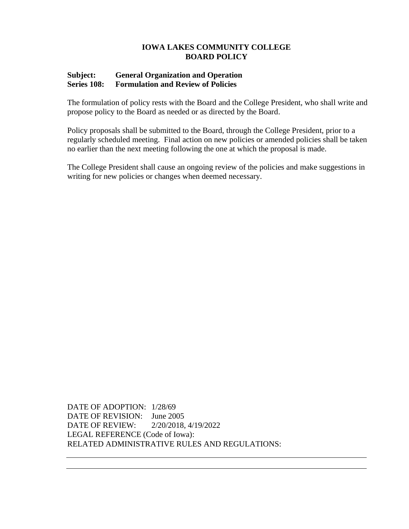## **Subject: General Organization and Operation Series 108: Formulation and Review of Policies**

The formulation of policy rests with the Board and the College President, who shall write and propose policy to the Board as needed or as directed by the Board.

Policy proposals shall be submitted to the Board, through the College President, prior to a regularly scheduled meeting. Final action on new policies or amended policies shall be taken no earlier than the next meeting following the one at which the proposal is made.

The College President shall cause an ongoing review of the policies and make suggestions in writing for new policies or changes when deemed necessary.

DATE OF ADOPTION: 1/28/69 DATE OF REVISION: June 2005 DATE OF REVIEW: 2/20/2018, 4/19/2022 LEGAL REFERENCE (Code of Iowa): RELATED ADMINISTRATIVE RULES AND REGULATIONS: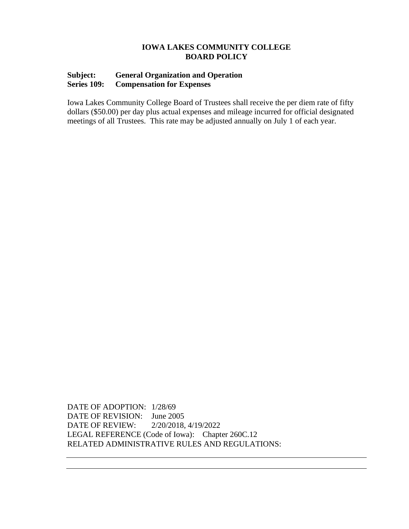# **Subject: General Organization and Operation Series 109: Compensation for Expenses**

Iowa Lakes Community College Board of Trustees shall receive the per diem rate of fifty dollars (\$50.00) per day plus actual expenses and mileage incurred for official designated meetings of all Trustees. This rate may be adjusted annually on July 1 of each year.

DATE OF ADOPTION: 1/28/69 DATE OF REVISION: June 2005 DATE OF REVIEW: 2/20/2018, 4/19/2022 LEGAL REFERENCE (Code of Iowa): Chapter 260C.12 RELATED ADMINISTRATIVE RULES AND REGULATIONS: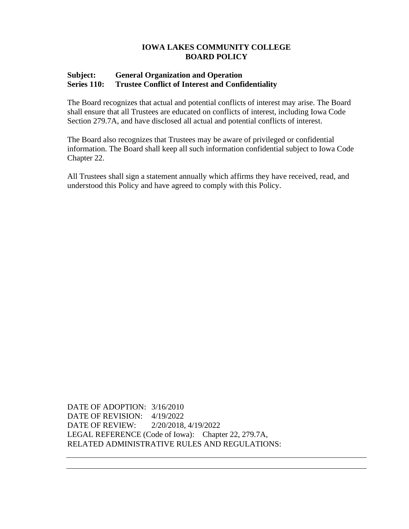# **Subject: General Organization and Operation Series 110: Trustee Conflict of Interest and Confidentiality**

The Board recognizes that actual and potential conflicts of interest may arise. The Board shall ensure that all Trustees are educated on conflicts of interest, including Iowa Code Section 279.7A, and have disclosed all actual and potential conflicts of interest.

The Board also recognizes that Trustees may be aware of privileged or confidential information. The Board shall keep all such information confidential subject to Iowa Code Chapter 22.

All Trustees shall sign a statement annually which affirms they have received, read, and understood this Policy and have agreed to comply with this Policy.

DATE OF ADOPTION: 3/16/2010 DATE OF REVISION: 4/19/2022 DATE OF REVIEW: 2/20/2018, 4/19/2022 LEGAL REFERENCE (Code of Iowa): Chapter 22, 279.7A, RELATED ADMINISTRATIVE RULES AND REGULATIONS: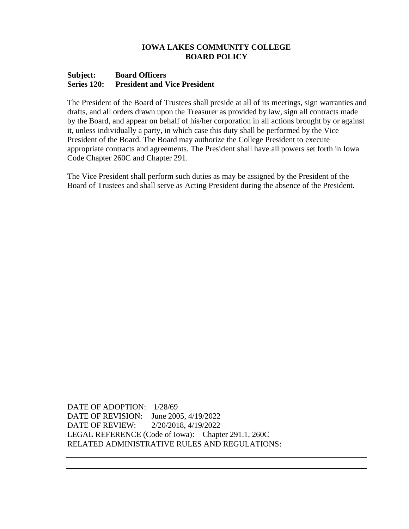### **Subject: Board Officers Series 120: President and Vice President**

The President of the Board of Trustees shall preside at all of its meetings, sign warranties and drafts, and all orders drawn upon the Treasurer as provided by law, sign all contracts made by the Board, and appear on behalf of his/her corporation in all actions brought by or against it, unless individually a party, in which case this duty shall be performed by the Vice President of the Board. The Board may authorize the College President to execute appropriate contracts and agreements*.* The President shall have all powers set forth in Iowa Code Chapter 260C and Chapter 291.

The Vice President shall perform such duties as may be assigned by the President of the Board of Trustees and shall serve as Acting President during the absence of the President*.*

DATE OF ADOPTION: 1/28/69 DATE OF REVISION: June 2005, 4/19/2022 DATE OF REVIEW: 2/20/2018, 4/19/2022 LEGAL REFERENCE (Code of Iowa): Chapter 291.1, 260C RELATED ADMINISTRATIVE RULES AND REGULATIONS: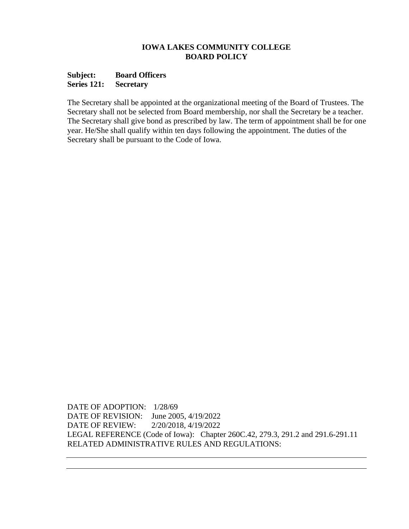## **Subject: Board Officers Series 121: Secretary**

The Secretary shall be appointed at the organizational meeting of the Board of Trustees. The Secretary shall not be selected from Board membership, nor shall the Secretary be a teacher. The Secretary shall give bond as prescribed by law. The term of appointment shall be for one year. He/She shall qualify within ten days following the appointment. The duties of the Secretary shall be pursuant to the Code of Iowa.

DATE OF ADOPTION: 1/28/69 DATE OF REVISION: June 2005, 4/19/2022 DATE OF REVIEW: 2/20/2018, 4/19/2022 LEGAL REFERENCE (Code of Iowa): Chapter 260C.42, 279.3, 291.2 and 291.6-291.11 RELATED ADMINISTRATIVE RULES AND REGULATIONS: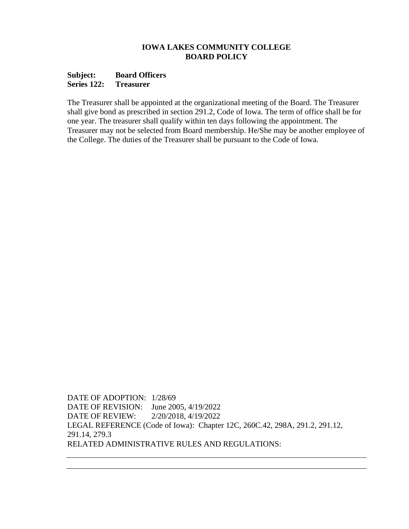## **Subject: Board Officers Series 122: Treasurer**

The Treasurer shall be appointed at the organizational meeting of the Board. The Treasurer shall give bond as prescribed in section 291.2, Code of Iowa. The term of office shall be for one year. The treasurer shall qualify within ten days following the appointment. The Treasurer may not be selected from Board membership. He/She may be another employee of the College. The duties of the Treasurer shall be pursuant to the Code of Iowa.

DATE OF ADOPTION: 1/28/69 DATE OF REVISION: June 2005, 4/19/2022 DATE OF REVIEW: 2/20/2018, 4/19/2022 LEGAL REFERENCE (Code of Iowa): Chapter 12C, 260C.42, 298A, 291.2, 291.12, 291.14, 279.3 RELATED ADMINISTRATIVE RULES AND REGULATIONS: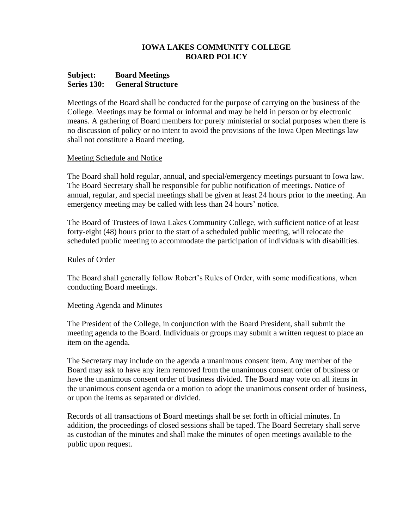### **Subject: Board Meetings Series 130: General Structure**

Meetings of the Board shall be conducted for the purpose of carrying on the business of the College. Meetings may be formal or informal and may be held in person or by electronic means. A gathering of Board members for purely ministerial or social purposes when there is no discussion of policy or no intent to avoid the provisions of the Iowa Open Meetings law shall not constitute a Board meeting.

### Meeting Schedule and Notice

The Board shall hold regular, annual, and special/emergency meetings pursuant to Iowa law. The Board Secretary shall be responsible for public notification of meetings. Notice of annual, regular, and special meetings shall be given at least 24 hours prior to the meeting. An emergency meeting may be called with less than 24 hours' notice.

The Board of Trustees of Iowa Lakes Community College, with sufficient notice of at least forty-eight (48) hours prior to the start of a scheduled public meeting, will relocate the scheduled public meeting to accommodate the participation of individuals with disabilities.

### Rules of Order

The Board shall generally follow Robert's Rules of Order, with some modifications, when conducting Board meetings.

## Meeting Agenda and Minutes

The President of the College, in conjunction with the Board President, shall submit the meeting agenda to the Board. Individuals or groups may submit a written request to place an item on the agenda.

The Secretary may include on the agenda a unanimous consent item. Any member of the Board may ask to have any item removed from the unanimous consent order of business or have the unanimous consent order of business divided. The Board may vote on all items in the unanimous consent agenda or a motion to adopt the unanimous consent order of business, or upon the items as separated or divided.

Records of all transactions of Board meetings shall be set forth in official minutes. In addition, the proceedings of closed sessions shall be taped. The Board Secretary shall serve as custodian of the minutes and shall make the minutes of open meetings available to the public upon request.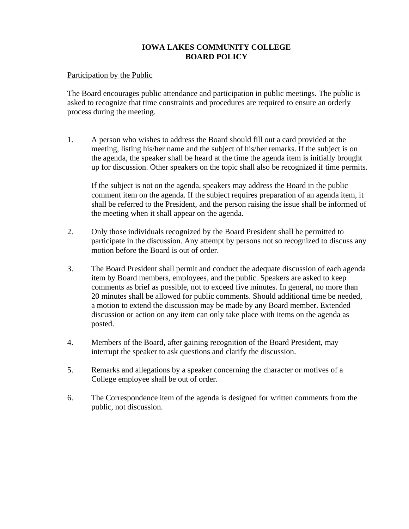Participation by the Public

The Board encourages public attendance and participation in public meetings. The public is asked to recognize that time constraints and procedures are required to ensure an orderly process during the meeting.

1. A person who wishes to address the Board should fill out a card provided at the meeting, listing his/her name and the subject of his/her remarks. If the subject is on the agenda, the speaker shall be heard at the time the agenda item is initially brought up for discussion. Other speakers on the topic shall also be recognized if time permits.

If the subject is not on the agenda, speakers may address the Board in the public comment item on the agenda. If the subject requires preparation of an agenda item, it shall be referred to the President, and the person raising the issue shall be informed of the meeting when it shall appear on the agenda.

- 2. Only those individuals recognized by the Board President shall be permitted to participate in the discussion. Any attempt by persons not so recognized to discuss any motion before the Board is out of order.
- 3. The Board President shall permit and conduct the adequate discussion of each agenda item by Board members, employees, and the public. Speakers are asked to keep comments as brief as possible, not to exceed five minutes. In general, no more than 20 minutes shall be allowed for public comments. Should additional time be needed, a motion to extend the discussion may be made by any Board member. Extended discussion or action on any item can only take place with items on the agenda as posted.
- 4. Members of the Board, after gaining recognition of the Board President, may interrupt the speaker to ask questions and clarify the discussion.
- 5. Remarks and allegations by a speaker concerning the character or motives of a College employee shall be out of order.
- 6. The Correspondence item of the agenda is designed for written comments from the public, not discussion.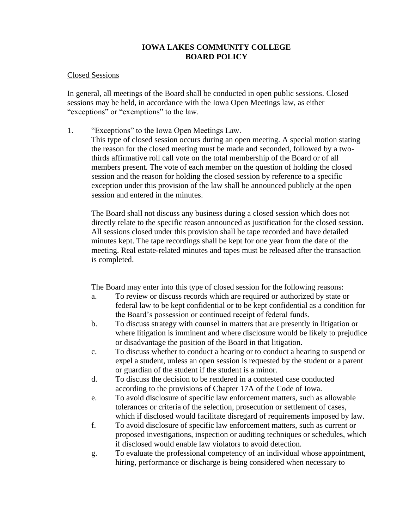### Closed Sessions

In general, all meetings of the Board shall be conducted in open public sessions. Closed sessions may be held, in accordance with the Iowa Open Meetings law, as either "exceptions" or "exemptions" to the law.

1. "Exceptions" to the Iowa Open Meetings Law.

This type of closed session occurs during an open meeting. A special motion stating the reason for the closed meeting must be made and seconded, followed by a twothirds affirmative roll call vote on the total membership of the Board or of all members present. The vote of each member on the question of holding the closed session and the reason for holding the closed session by reference to a specific exception under this provision of the law shall be announced publicly at the open session and entered in the minutes.

The Board shall not discuss any business during a closed session which does not directly relate to the specific reason announced as justification for the closed session. All sessions closed under this provision shall be tape recorded and have detailed minutes kept. The tape recordings shall be kept for one year from the date of the meeting. Real estate-related minutes and tapes must be released after the transaction is completed.

The Board may enter into this type of closed session for the following reasons:

- a. To review or discuss records which are required or authorized by state or federal law to be kept confidential or to be kept confidential as a condition for the Board's possession or continued receipt of federal funds.
- b. To discuss strategy with counsel in matters that are presently in litigation or where litigation is imminent and where disclosure would be likely to prejudice or disadvantage the position of the Board in that litigation.
- c. To discuss whether to conduct a hearing or to conduct a hearing to suspend or expel a student, unless an open session is requested by the student or a parent or guardian of the student if the student is a minor.
- d. To discuss the decision to be rendered in a contested case conducted according to the provisions of Chapter 17A of the Code of Iowa.
- e. To avoid disclosure of specific law enforcement matters, such as allowable tolerances or criteria of the selection, prosecution or settlement of cases, which if disclosed would facilitate disregard of requirements imposed by law.
- f. To avoid disclosure of specific law enforcement matters, such as current or proposed investigations, inspection or auditing techniques or schedules, which if disclosed would enable law violators to avoid detection.
- g. To evaluate the professional competency of an individual whose appointment, hiring, performance or discharge is being considered when necessary to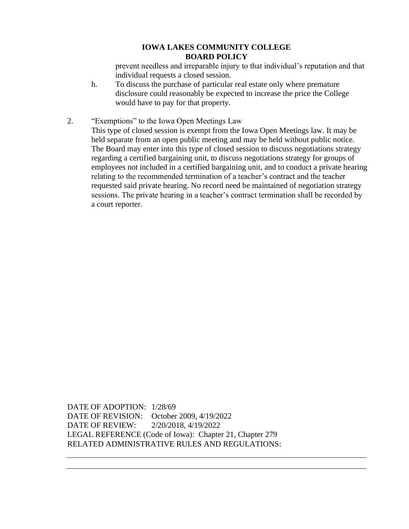prevent needless and irreparable injury to that individual's reputation and that individual requests a closed session.

- h. To discuss the purchase of particular real estate only where premature disclosure could reasonably be expected to increase the price the College would have to pay for that property.
- 2. "Exemptions" to the Iowa Open Meetings Law

This type of closed session is exempt from the Iowa Open Meetings law. It may be held separate from an open public meeting and may be held without public notice. The Board may enter into this type of closed session to discuss negotiations strategy regarding a certified bargaining unit, to discuss negotiations strategy for groups of employees not included in a certified bargaining unit, and to conduct a private hearing relating to the recommended termination of a teacher's contract and the teacher requested said private hearing. No record need be maintained of negotiation strategy sessions. The private hearing in a teacher's contract termination shall be recorded by a court reporter.

DATE OF ADOPTION: 1/28/69 DATE OF REVISION: October 2009, 4/19/2022 DATE OF REVIEW: 2/20/2018, 4/19/2022 LEGAL REFERENCE (Code of Iowa): Chapter 21, Chapter 279 RELATED ADMINISTRATIVE RULES AND REGULATIONS: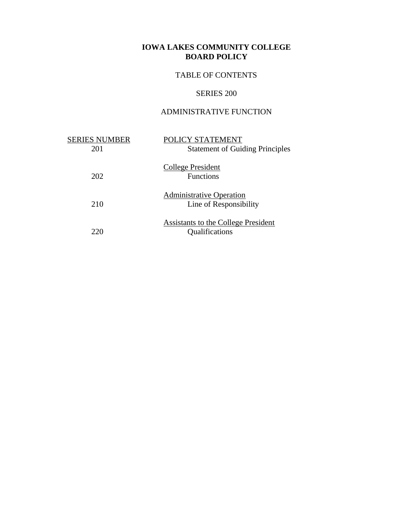# TABLE OF CONTENTS

# SERIES 200

# ADMINISTRATIVE FUNCTION

| <b>SERIES NUMBER</b><br>201 | POLICY STATEMENT<br><b>Statement of Guiding Principles</b> |
|-----------------------------|------------------------------------------------------------|
| 202                         | College President<br><b>Functions</b>                      |
| 210                         | <b>Administrative Operation</b><br>Line of Responsibility  |
|                             | Assistants to the College President<br>Qualifications      |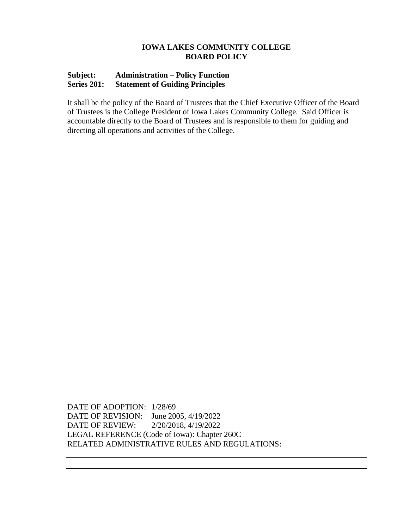# **Subject: Administration – Policy Function Series 201: Statement of Guiding Principles**

It shall be the policy of the Board of Trustees that the Chief Executive Officer of the Board of Trustees is the College President of Iowa Lakes Community College. Said Officer is accountable directly to the Board of Trustees and is responsible to them for guiding and directing all operations and activities of the College.

DATE OF ADOPTION: 1/28/69 DATE OF REVISION: June 2005, 4/19/2022 DATE OF REVIEW: 2/20/2018, 4/19/2022 LEGAL REFERENCE (Code of Iowa): Chapter 260C RELATED ADMINISTRATIVE RULES AND REGULATIONS: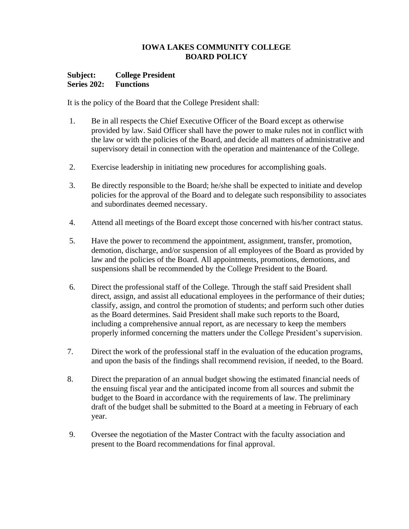## **Subject: College President Series 202: Functions**

It is the policy of the Board that the College President shall:

- 1. Be in all respects the Chief Executive Officer of the Board except as otherwise provided by law. Said Officer shall have the power to make rules not in conflict with the law or with the policies of the Board, and decide all matters of administrative and supervisory detail in connection with the operation and maintenance of the College.
- 2. Exercise leadership in initiating new procedures for accomplishing goals.
- 3. Be directly responsible to the Board; he/she shall be expected to initiate and develop policies for the approval of the Board and to delegate such responsibility to associates and subordinates deemed necessary.
- 4. Attend all meetings of the Board except those concerned with his/her contract status.
- 5. Have the power to recommend the appointment, assignment, transfer, promotion, demotion, discharge, and/or suspension of all employees of the Board as provided by law and the policies of the Board. All appointments, promotions, demotions, and suspensions shall be recommended by the College President to the Board.
- 6. Direct the professional staff of the College. Through the staff said President shall direct, assign, and assist all educational employees in the performance of their duties; classify, assign, and control the promotion of students; and perform such other duties as the Board determines. Said President shall make such reports to the Board, including a comprehensive annual report, as are necessary to keep the members properly informed concerning the matters under the College President's supervision.
- 7. Direct the work of the professional staff in the evaluation of the education programs, and upon the basis of the findings shall recommend revision, if needed, to the Board.
- 8. Direct the preparation of an annual budget showing the estimated financial needs of the ensuing fiscal year and the anticipated income from all sources and submit the budget to the Board in accordance with the requirements of law. The preliminary draft of the budget shall be submitted to the Board at a meeting in February of each year.
- 9. Oversee the negotiation of the Master Contract with the faculty association and present to the Board recommendations for final approval.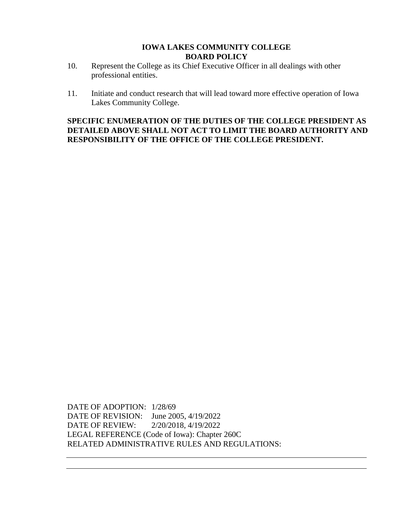- 10. Represent the College as its Chief Executive Officer in all dealings with other professional entities.
- 11. Initiate and conduct research that will lead toward more effective operation of Iowa Lakes Community College.

**SPECIFIC ENUMERATION OF THE DUTIES OF THE COLLEGE PRESIDENT AS DETAILED ABOVE SHALL NOT ACT TO LIMIT THE BOARD AUTHORITY AND RESPONSIBILITY OF THE OFFICE OF THE COLLEGE PRESIDENT.**

DATE OF ADOPTION: 1/28/69 DATE OF REVISION: June 2005, 4/19/2022 DATE OF REVIEW: 2/20/2018, 4/19/2022 LEGAL REFERENCE (Code of Iowa): Chapter 260C RELATED ADMINISTRATIVE RULES AND REGULATIONS: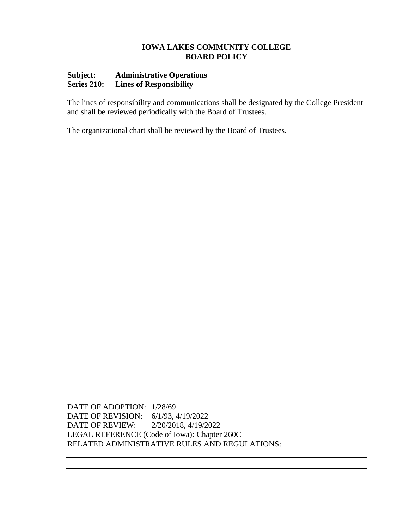# **Subject: Administrative Operations Series 210: Lines of Responsibility**

The lines of responsibility and communications shall be designated by the College President and shall be reviewed periodically with the Board of Trustees.

The organizational chart shall be reviewed by the Board of Trustees.

DATE OF ADOPTION: 1/28/69 DATE OF REVISION: 6/1/93, 4/19/2022 DATE OF REVIEW: 2/20/2018, 4/19/2022 LEGAL REFERENCE (Code of Iowa): Chapter 260C RELATED ADMINISTRATIVE RULES AND REGULATIONS: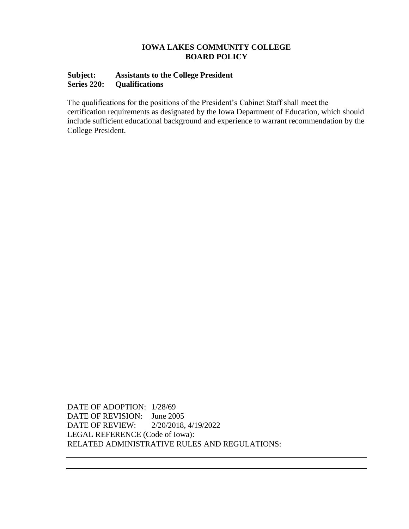# **Subject: Assistants to the College President Series 220: Qualifications**

The qualifications for the positions of the President's Cabinet Staff shall meet the certification requirements as designated by the Iowa Department of Education, which should include sufficient educational background and experience to warrant recommendation by the College President.

DATE OF ADOPTION: 1/28/69 DATE OF REVISION: June 2005 DATE OF REVIEW: 2/20/2018, 4/19/2022 LEGAL REFERENCE (Code of Iowa): RELATED ADMINISTRATIVE RULES AND REGULATIONS: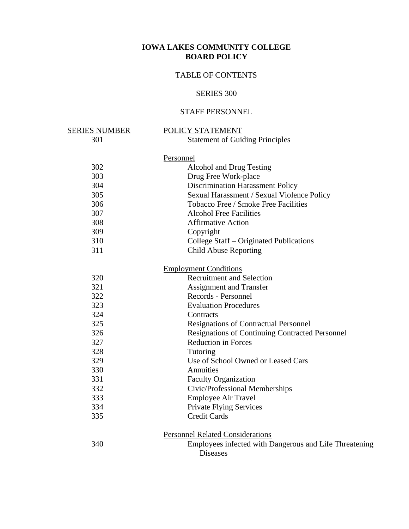# TABLE OF CONTENTS

# SERIES 300

# STAFF PERSONNEL

| <u>SERIES NUMBER</u> | POLICY STATEMENT                                       |
|----------------------|--------------------------------------------------------|
| 301                  | <b>Statement of Guiding Principles</b>                 |
|                      | Personnel                                              |
| 302                  | Alcohol and Drug Testing                               |
| 303                  | Drug Free Work-place                                   |
| 304                  | Discrimination Harassment Policy                       |
| 305                  | Sexual Harassment / Sexual Violence Policy             |
| 306                  | Tobacco Free / Smoke Free Facilities                   |
| 307                  | <b>Alcohol Free Facilities</b>                         |
|                      | <b>Affirmative Action</b>                              |
| 308                  |                                                        |
| 309                  | Copyright                                              |
| 310                  | College Staff – Originated Publications                |
| 311                  | <b>Child Abuse Reporting</b>                           |
|                      | <b>Employment Conditions</b>                           |
| 320                  | <b>Recruitment and Selection</b>                       |
| 321                  | <b>Assignment and Transfer</b>                         |
| 322                  | Records - Personnel                                    |
| 323                  | <b>Evaluation Procedures</b>                           |
| 324                  | Contracts                                              |
| 325                  | <b>Resignations of Contractual Personnel</b>           |
| 326                  | <b>Resignations of Continuing Contracted Personnel</b> |
| 327                  | <b>Reduction in Forces</b>                             |
| 328                  | Tutoring                                               |
| 329                  | Use of School Owned or Leased Cars                     |
| 330                  | <b>Annuities</b>                                       |
| 331                  | Faculty Organization                                   |
| 332                  | Civic/Professional Memberships                         |
| 333                  | <b>Employee Air Travel</b>                             |
| 334                  | Private Flying Services                                |
| 335                  | <b>Credit Cards</b>                                    |
|                      |                                                        |
|                      | <b>Personnel Related Considerations</b>                |
| 340                  | Employees infected with Dangerous and Life Threatening |
|                      | <b>Diseases</b>                                        |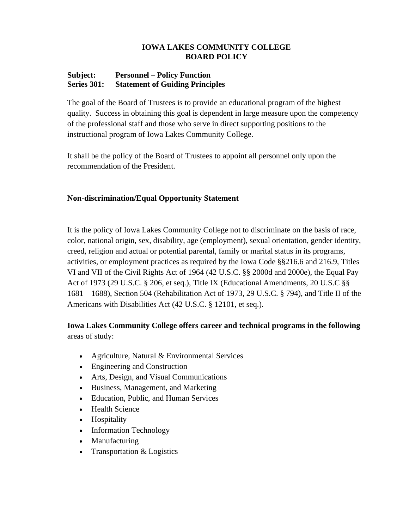# **Subject: Personnel – Policy Function Series 301: Statement of Guiding Principles**

The goal of the Board of Trustees is to provide an educational program of the highest quality. Success in obtaining this goal is dependent in large measure upon the competency of the professional staff and those who serve in direct supporting positions to the instructional program of Iowa Lakes Community College.

It shall be the policy of the Board of Trustees to appoint all personnel only upon the recommendation of the President.

# **Non-discrimination/Equal Opportunity Statement**

It is the policy of Iowa Lakes Community College not to discriminate on the basis of race, color, national origin, sex, disability, age (employment), sexual orientation, gender identity, creed, religion and actual or potential parental, family or marital status in its programs, activities, or employment practices as required by the Iowa Code §§216.6 and 216.9, Titles VI and VII of the Civil Rights Act of 1964 (42 U.S.C. §§ 2000d and 2000e), the Equal Pay Act of 1973 (29 U.S.C. § 206, et seq.), Title IX (Educational Amendments, 20 U.S.C §§ 1681 – 1688), Section 504 (Rehabilitation Act of 1973, 29 U.S.C. § 794), and Title II of the Americans with Disabilities Act (42 U.S.C. § 12101, et seq.).

# **Iowa Lakes Community College offers career and technical programs in the following** areas of study:

- Agriculture, Natural & Environmental Services
- Engineering and Construction
- Arts, Design, and Visual Communications
- Business, Management, and Marketing
- Education, Public, and Human Services
- Health Science
- Hospitality
- Information Technology
- Manufacturing
- Transportation & Logistics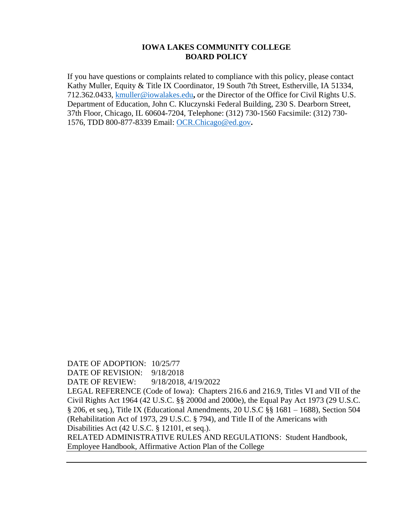If you have questions or complaints related to compliance with this policy, please contact Kathy Muller, Equity & Title IX Coordinator, 19 South 7th Street, Estherville, IA 51334, 712.362.0433, [kmuller@iowalakes.edu](mailto:kmuller@iowalakes.edu)**,** or the Director of the Office for Civil Rights U.S. Department of Education, John C. Kluczynski Federal Building, 230 S. Dearborn Street, 37th Floor, Chicago, IL 60604-7204, Telephone: (312) 730-1560 Facsimile: (312) 730- 1576, TDD 800-877-8339 Email: [OCR.Chicago@ed.gov](mailto:OCR.Chicago@ed.gov)**.**

DATE OF ADOPTION: 10/25/77 DATE OF REVISION: 9/18/2018 DATE OF REVIEW: 9/18/2018, 4/19/2022 LEGAL REFERENCE (Code of Iowa): Chapters 216.6 and 216.9, Titles VI and VII of the Civil Rights Act 1964 (42 U.S.C. §§ 2000d and 2000e), the Equal Pay Act 1973 (29 U.S.C. § 206, et seq.), Title IX (Educational Amendments, 20 U.S.C §§ 1681 – 1688), Section 504 (Rehabilitation Act of 1973, 29 U.S.C. § 794), and Title II of the Americans with Disabilities Act (42 U.S.C. § 12101, et seq.). RELATED ADMINISTRATIVE RULES AND REGULATIONS: Student Handbook, Employee Handbook, Affirmative Action Plan of the College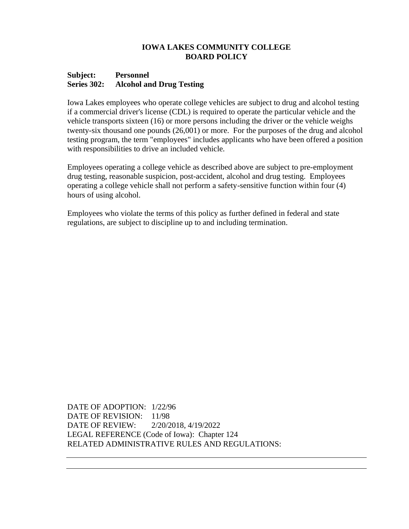## **Subject: Personnel Series 302: Alcohol and Drug Testing**

Iowa Lakes employees who operate college vehicles are subject to drug and alcohol testing if a commercial driver's license (CDL) is required to operate the particular vehicle and the vehicle transports sixteen (16) or more persons including the driver or the vehicle weighs twenty-six thousand one pounds (26,001) or more. For the purposes of the drug and alcohol testing program, the term "employees" includes applicants who have been offered a position with responsibilities to drive an included vehicle.

Employees operating a college vehicle as described above are subject to pre-employment drug testing, reasonable suspicion, post-accident, alcohol and drug testing. Employees operating a college vehicle shall not perform a safety-sensitive function within four (4) hours of using alcohol.

Employees who violate the terms of this policy as further defined in federal and state regulations, are subject to discipline up to and including termination.

DATE OF ADOPTION: 1/22/96 DATE OF REVISION: 11/98 DATE OF REVIEW: 2/20/2018, 4/19/2022 LEGAL REFERENCE (Code of Iowa): Chapter 124 RELATED ADMINISTRATIVE RULES AND REGULATIONS: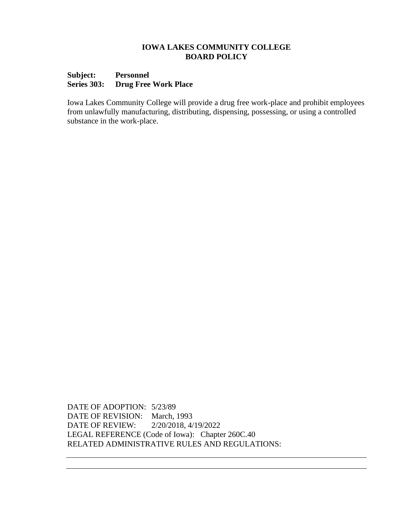## **Subject: Personnel Series 303: Drug Free Work Place**

Iowa Lakes Community College will provide a drug free work-place and prohibit employees from unlawfully manufacturing, distributing, dispensing, possessing, or using a controlled substance in the work-place.

DATE OF ADOPTION: 5/23/89 DATE OF REVISION: March, 1993 DATE OF REVIEW: 2/20/2018, 4/19/2022 LEGAL REFERENCE (Code of Iowa): Chapter 260C.40 RELATED ADMINISTRATIVE RULES AND REGULATIONS: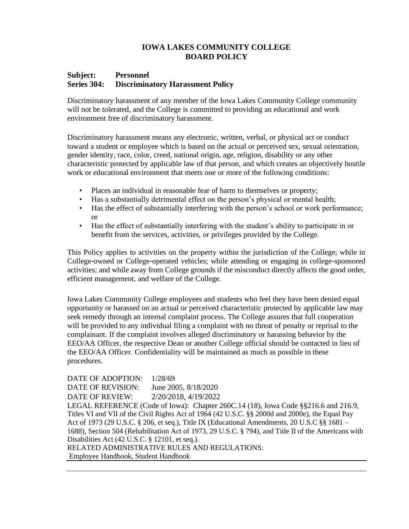## **Subject: Personnel Series 304: Discriminatory Harassment Policy**

Discriminatory harassment of any member of the Iowa Lakes Community College community will not be tolerated, and the College is committed to providing an educational and work environment free of discriminatory harassment.

Discriminatory harassment means any electronic, written, verbal, or physical act or conduct toward a student or employee which is based on the actual or perceived sex, sexual orientation, gender identity, race, color, creed, national origin, age, religion, disability or any other characteristic protected by applicable law of that person, and which creates an objectively hostile work or educational environment that meets one or more of the following conditions:

- Places an individual in reasonable fear of harm to themselves or property;
- Has a substantially detrimental effect on the person's physical or mental health;
- Has the effect of substantially interfering with the person's school or work performance; or
- Has the effect of substantially interfering with the student's ability to participate in or benefit from the services, activities, or privileges provided by the College.

This Policy applies to activities on the property within the jurisdiction of the College; while in College-owned or College-operated vehicles; while attending or engaging in college-sponsored activities; and while away from College grounds if the misconduct directly affects the good order, efficient management, and welfare of the College.

Iowa Lakes Community College employees and students who feel they have been denied equal opportunity or harassed on an actual or perceived characteristic protected by applicable law may seek remedy through an internal complaint process. The College assures that full cooperation will be provided to any individual filing a complaint with no threat of penalty or reprisal to the complainant. If the complaint involves alleged discriminatory or harassing behavior by the EEO/AA Officer, the respective Dean or another College official should be contacted in lieu of the EEO/AA Officer. Confidentiality will be maintained as much as possible in these procedures.

DATE OF ADOPTION:  $1/28/69$ DATE OF REVISION: June 2005, 8/18/2020 DATE OF REVIEW: 2/20/2018, 4/19/2022 LEGAL REFERENCE (Code of Iowa): Chapter 260C.14 (18), Iowa Code §§216.6 and 216.9, Titles VI and VII of the Civil Rights Act of 1964 (42 U.S.C. §§ 2000d and 2000e), the Equal Pay Act of 1973 (29 U.S.C. § 206, et seq.), Title IX (Educational Amendments, 20 U.S.C §§ 1681 – 1688), Section 504 (Rehabilitation Act of 1973, 29 U.S.C. § 794), and Title II of the Americans with Disabilities Act (42 U.S.C. § 12101, et seq.). RELATED ADMINISTRATIVE RULES AND REGULATIONS: Employee Handbook, Student Handbook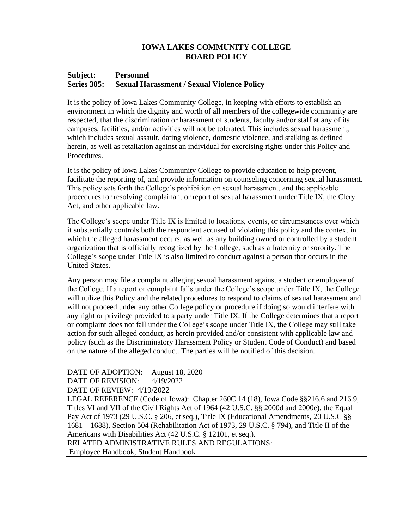### **Subject: Personnel Series 305: Sexual Harassment / Sexual Violence Policy**

It is the policy of Iowa Lakes Community College, in keeping with efforts to establish an environment in which the dignity and worth of all members of the collegewide community are respected, that the discrimination or harassment of students, faculty and/or staff at any of its campuses, facilities, and/or activities will not be tolerated. This includes sexual harassment, which includes sexual assault, dating violence, domestic violence, and stalking as defined herein, as well as retaliation against an individual for exercising rights under this Policy and Procedures.

It is the policy of Iowa Lakes Community College to provide education to help prevent, facilitate the reporting of, and provide information on counseling concerning sexual harassment. This policy sets forth the College's prohibition on sexual harassment, and the applicable procedures for resolving complainant or report of sexual harassment under Title IX, the Clery Act, and other applicable law.

The College's scope under Title IX is limited to locations, events, or circumstances over which it substantially controls both the respondent accused of violating this policy and the context in which the alleged harassment occurs, as well as any building owned or controlled by a student organization that is officially recognized by the College, such as a fraternity or sorority. The College's scope under Title IX is also limited to conduct against a person that occurs in the United States.

Any person may file a complaint alleging sexual harassment against a student or employee of the College. If a report or complaint falls under the College's scope under Title IX, the College will utilize this Policy and the related procedures to respond to claims of sexual harassment and will not proceed under any other College policy or procedure if doing so would interfere with any right or privilege provided to a party under Title IX. If the College determines that a report or complaint does not fall under the College's scope under Title IX, the College may still take action for such alleged conduct, as herein provided and/or consistent with applicable law and policy (such as the Discriminatory Harassment Policy or Student Code of Conduct) and based on the nature of the alleged conduct. The parties will be notified of this decision.

# DATE OF ADOPTION: August 18, 2020

DATE OF REVISION: 4/19/2022

## DATE OF REVIEW: 4/19/2022

LEGAL REFERENCE (Code of Iowa): Chapter 260C.14 (18), Iowa Code §§216.6 and 216.9, Titles VI and VII of the Civil Rights Act of 1964 (42 U.S.C. §§ 2000d and 2000e), the Equal Pay Act of 1973 (29 U.S.C. § 206, et seq.), Title IX (Educational Amendments, 20 U.S.C §§ 1681 – 1688), Section 504 (Rehabilitation Act of 1973, 29 U.S.C. § 794), and Title II of the Americans with Disabilities Act (42 U.S.C. § 12101, et seq.). RELATED ADMINISTRATIVE RULES AND REGULATIONS:

Employee Handbook, Student Handbook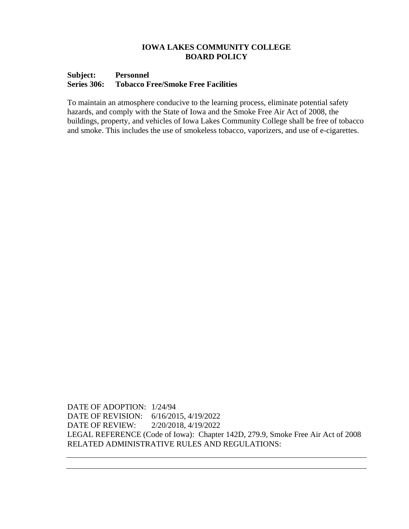## **Subject: Personnel Series 306: Tobacco Free/Smoke Free Facilities**

To maintain an atmosphere conducive to the learning process, eliminate potential safety hazards, and comply with the State of Iowa and the Smoke Free Air Act of 2008, the buildings, property, and vehicles of Iowa Lakes Community College shall be free of tobacco and smoke. This includes the use of smokeless tobacco, vaporizers, and use of e-cigarettes.

DATE OF ADOPTION: 1/24/94 DATE OF REVISION: 6/16/2015, 4/19/2022 DATE OF REVIEW: 2/20/2018, 4/19/2022 LEGAL REFERENCE (Code of Iowa): Chapter 142D, 279.9, Smoke Free Air Act of 2008 RELATED ADMINISTRATIVE RULES AND REGULATIONS: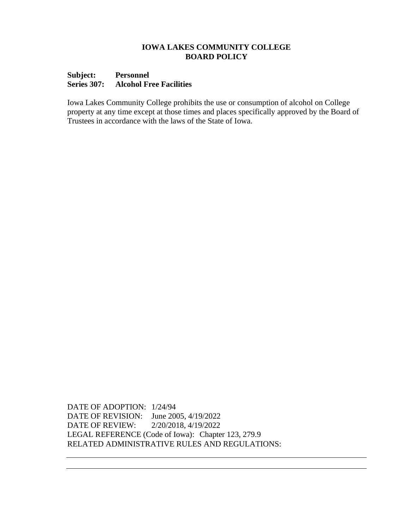## **Subject: Personnel Series 307: Alcohol Free Facilities**

Iowa Lakes Community College prohibits the use or consumption of alcohol on College property at any time except at those times and places specifically approved by the Board of Trustees in accordance with the laws of the State of Iowa.

DATE OF ADOPTION: 1/24/94 DATE OF REVISION: June 2005, 4/19/2022 DATE OF REVIEW: 2/20/2018, 4/19/2022 LEGAL REFERENCE (Code of Iowa): Chapter 123, 279.9 RELATED ADMINISTRATIVE RULES AND REGULATIONS: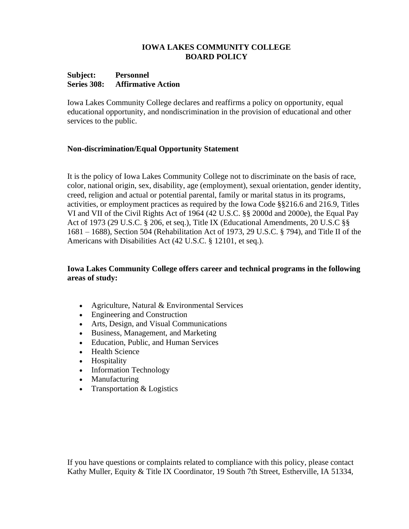## **Subject: Personnel Series 308: Affirmative Action**

Iowa Lakes Community College declares and reaffirms a policy on opportunity, equal educational opportunity, and nondiscrimination in the provision of educational and other services to the public.

# **Non-discrimination/Equal Opportunity Statement**

It is the policy of Iowa Lakes Community College not to discriminate on the basis of race, color, national origin, sex, disability, age (employment), sexual orientation, gender identity, creed, religion and actual or potential parental, family or marital status in its programs, activities, or employment practices as required by the Iowa Code §§216.6 and 216.9, Titles VI and VII of the Civil Rights Act of 1964 (42 U.S.C. §§ 2000d and 2000e), the Equal Pay Act of 1973 (29 U.S.C. § 206, et seq.), Title IX (Educational Amendments, 20 U.S.C §§ 1681 – 1688), Section 504 (Rehabilitation Act of 1973, 29 U.S.C. § 794), and Title II of the Americans with Disabilities Act (42 U.S.C. § 12101, et seq.).

# **Iowa Lakes Community College offers career and technical programs in the following areas of study:**

- Agriculture, Natural & Environmental Services
- Engineering and Construction
- Arts, Design, and Visual Communications
- Business, Management, and Marketing
- Education, Public, and Human Services
- Health Science
- Hospitality
- Information Technology
- **Manufacturing**
- Transportation & Logistics

If you have questions or complaints related to compliance with this policy, please contact Kathy Muller, Equity & Title IX Coordinator, 19 South 7th Street, Estherville, IA 51334,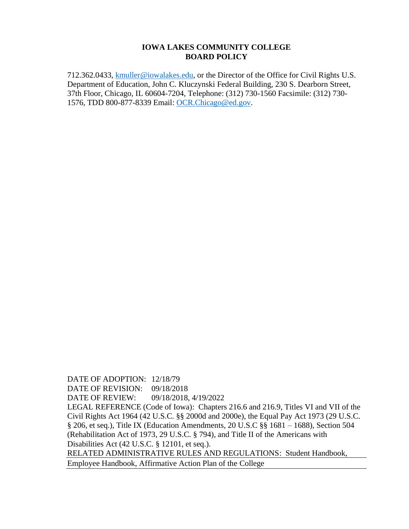712.362.0433, [kmuller@iowalakes.edu,](mailto:kmuller@iowalakes.edu) or the Director of the Office for Civil Rights U.S. Department of Education, John C. Kluczynski Federal Building, 230 S. Dearborn Street, 37th Floor, Chicago, IL 60604-7204, Telephone: (312) 730-1560 Facsimile: (312) 730- 1576, TDD 800-877-8339 Email: [OCR.Chicago@ed.gov.](mailto:OCR.Chicago@ed.gov)

DATE OF ADOPTION: 12/18/79 DATE OF REVISION: 09/18/2018 DATE OF REVIEW: 09/18/2018, 4/19/2022 LEGAL REFERENCE (Code of Iowa): Chapters 216.6 and 216.9, Titles VI and VII of the Civil Rights Act 1964 (42 U.S.C. §§ 2000d and 2000e), the Equal Pay Act 1973 (29 U.S.C. § 206, et seq.), Title IX (Education Amendments, 20 U.S.C §§ 1681 – 1688), Section 504 (Rehabilitation Act of 1973, 29 U.S.C. § 794), and Title II of the Americans with Disabilities Act (42 U.S.C. § 12101, et seq.). RELATED ADMINISTRATIVE RULES AND REGULATIONS: Student Handbook, Employee Handbook, Affirmative Action Plan of the College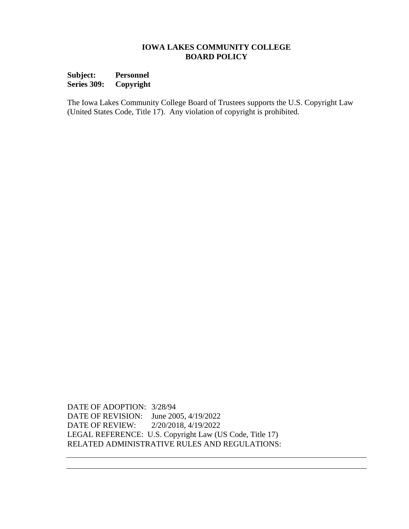**Subject: Personnel Series 309: Copyright**

The Iowa Lakes Community College Board of Trustees supports the U.S. Copyright Law (United States Code, Title 17). Any violation of copyright is prohibited.

DATE OF ADOPTION: 3/28/94 DATE OF REVISION: June 2005, 4/19/2022 DATE OF REVIEW: 2/20/2018, 4/19/2022 LEGAL REFERENCE: U.S. Copyright Law (US Code, Title 17) RELATED ADMINISTRATIVE RULES AND REGULATIONS: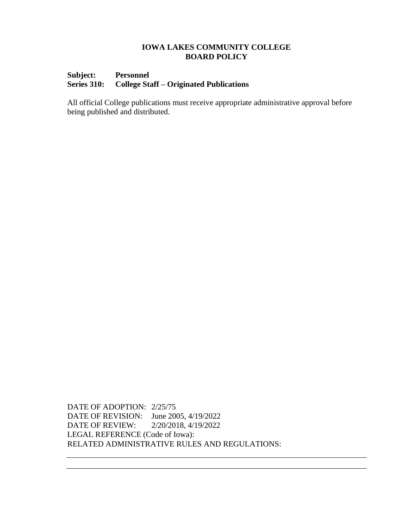# **Subject: Personnel Series 310: College Staff – Originated Publications**

All official College publications must receive appropriate administrative approval before being published and distributed.

DATE OF ADOPTION: 2/25/75 DATE OF REVISION: June 2005, 4/19/2022 DATE OF REVIEW: 2/20/2018, 4/19/2022 LEGAL REFERENCE (Code of Iowa): RELATED ADMINISTRATIVE RULES AND REGULATIONS: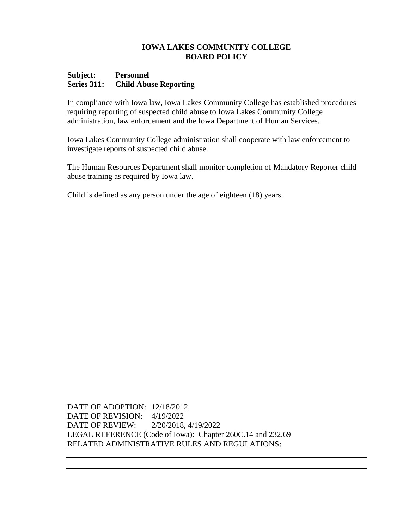#### **Subject: Personnel Series 311: Child Abuse Reporting**

In compliance with Iowa law, Iowa Lakes Community College has established procedures requiring reporting of suspected child abuse to Iowa Lakes Community College administration, law enforcement and the Iowa Department of Human Services.

Iowa Lakes Community College administration shall cooperate with law enforcement to investigate reports of suspected child abuse.

The Human Resources Department shall monitor completion of Mandatory Reporter child abuse training as required by Iowa law.

Child is defined as any person under the age of eighteen (18) years.

DATE OF ADOPTION: 12/18/2012 DATE OF REVISION: 4/19/2022 DATE OF REVIEW: 2/20/2018, 4/19/2022 LEGAL REFERENCE (Code of Iowa): Chapter 260C.14 and 232.69 RELATED ADMINISTRATIVE RULES AND REGULATIONS: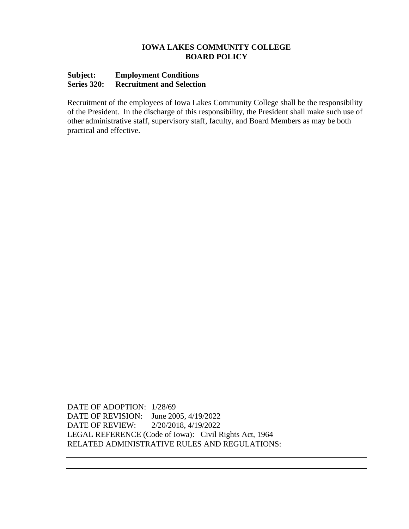# **Subject: Employment Conditions Series 320: Recruitment and Selection**

Recruitment of the employees of Iowa Lakes Community College shall be the responsibility of the President. In the discharge of this responsibility, the President shall make such use of other administrative staff, supervisory staff, faculty, and Board Members as may be both practical and effective.

DATE OF ADOPTION: 1/28/69 DATE OF REVISION: June 2005, 4/19/2022 DATE OF REVIEW: 2/20/2018, 4/19/2022 LEGAL REFERENCE (Code of Iowa): Civil Rights Act, 1964 RELATED ADMINISTRATIVE RULES AND REGULATIONS: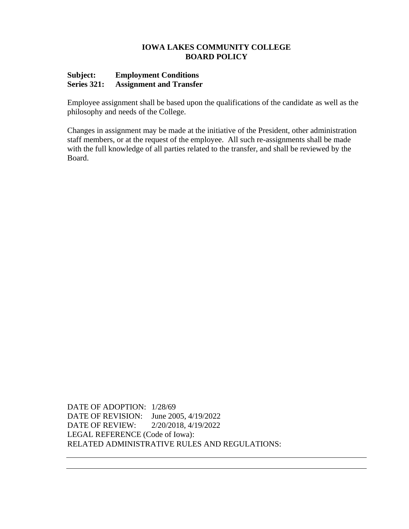# **Subject: Employment Conditions Series 321: Assignment and Transfer**

Employee assignment shall be based upon the qualifications of the candidate as well as the philosophy and needs of the College.

Changes in assignment may be made at the initiative of the President, other administration staff members, or at the request of the employee. All such re-assignments shall be made with the full knowledge of all parties related to the transfer, and shall be reviewed by the Board.

DATE OF ADOPTION: 1/28/69 DATE OF REVISION: June 2005, 4/19/2022 DATE OF REVIEW: 2/20/2018, 4/19/2022 LEGAL REFERENCE (Code of Iowa): RELATED ADMINISTRATIVE RULES AND REGULATIONS: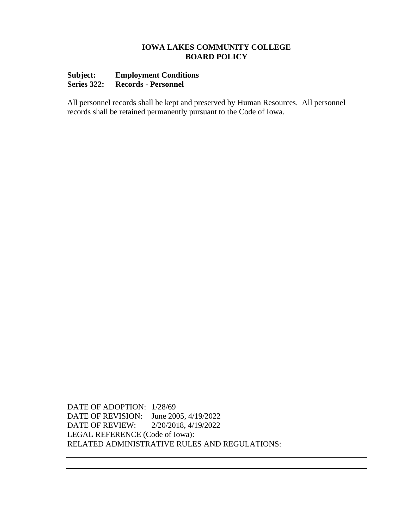# **Subject: Employment Conditions Series 322: Records - Personnel**

All personnel records shall be kept and preserved by Human Resources. All personnel records shall be retained permanently pursuant to the Code of Iowa.

DATE OF ADOPTION: 1/28/69 DATE OF REVISION: June 2005, 4/19/2022 DATE OF REVIEW: 2/20/2018, 4/19/2022 LEGAL REFERENCE (Code of Iowa): RELATED ADMINISTRATIVE RULES AND REGULATIONS: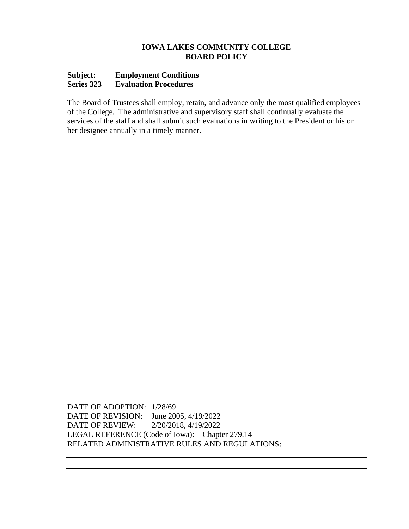# **Subject: Employment Conditions Series 323 Evaluation Procedures**

The Board of Trustees shall employ, retain, and advance only the most qualified employees of the College. The administrative and supervisory staff shall continually evaluate the services of the staff and shall submit such evaluations in writing to the President or his or her designee annually in a timely manner.

DATE OF ADOPTION: 1/28/69 DATE OF REVISION: June 2005, 4/19/2022 DATE OF REVIEW: 2/20/2018, 4/19/2022 LEGAL REFERENCE (Code of Iowa): Chapter 279.14 RELATED ADMINISTRATIVE RULES AND REGULATIONS: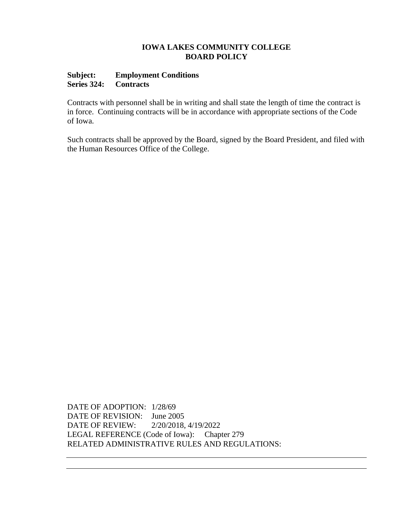## **Subject: Employment Conditions Series 324: Contracts**

Contracts with personnel shall be in writing and shall state the length of time the contract is in force. Continuing contracts will be in accordance with appropriate sections of the Code of Iowa.

Such contracts shall be approved by the Board, signed by the Board President, and filed with the Human Resources Office of the College.

DATE OF ADOPTION: 1/28/69 DATE OF REVISION: June 2005 DATE OF REVIEW: 2/20/2018, 4/19/2022 LEGAL REFERENCE (Code of Iowa): Chapter 279 RELATED ADMINISTRATIVE RULES AND REGULATIONS: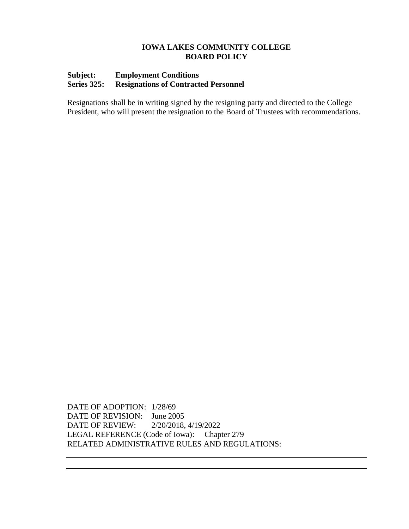# **Subject: Employment Conditions Series 325: Resignations of Contracted Personnel**

Resignations shall be in writing signed by the resigning party and directed to the College President, who will present the resignation to the Board of Trustees with recommendations.

DATE OF ADOPTION: 1/28/69 DATE OF REVISION: June 2005 DATE OF REVIEW: 2/20/2018, 4/19/2022 LEGAL REFERENCE (Code of Iowa): Chapter 279 RELATED ADMINISTRATIVE RULES AND REGULATIONS: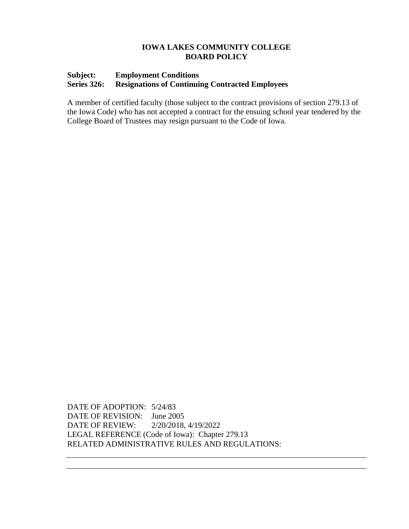# **Subject: Employment Conditions Series 326: Resignations of Continuing Contracted Employees**

A member of certified faculty (those subject to the contract provisions of section 279.13 of the Iowa Code) who has not accepted a contract for the ensuing school year tendered by the College Board of Trustees may resign pursuant to the Code of Iowa.

DATE OF ADOPTION: 5/24/83 DATE OF REVISION: June 2005 DATE OF REVIEW: 2/20/2018, 4/19/2022 LEGAL REFERENCE (Code of Iowa): Chapter 279.13 RELATED ADMINISTRATIVE RULES AND REGULATIONS: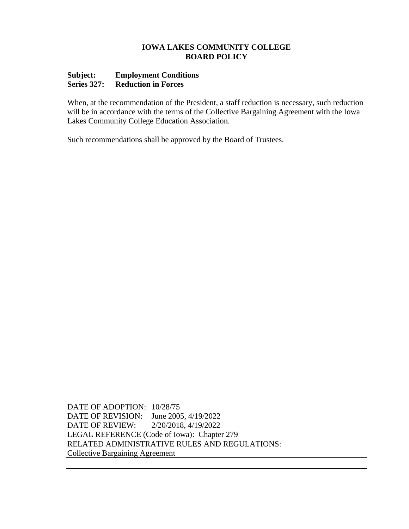## **Subject: Employment Conditions Series 327: Reduction in Forces**

When, at the recommendation of the President, a staff reduction is necessary, such reduction will be in accordance with the terms of the Collective Bargaining Agreement with the Iowa Lakes Community College Education Association.

Such recommendations shall be approved by the Board of Trustees.

DATE OF ADOPTION: 10/28/75 DATE OF REVISION: June 2005, 4/19/2022 DATE OF REVIEW: 2/20/2018, 4/19/2022 LEGAL REFERENCE (Code of Iowa): Chapter 279 RELATED ADMINISTRATIVE RULES AND REGULATIONS: Collective Bargaining Agreement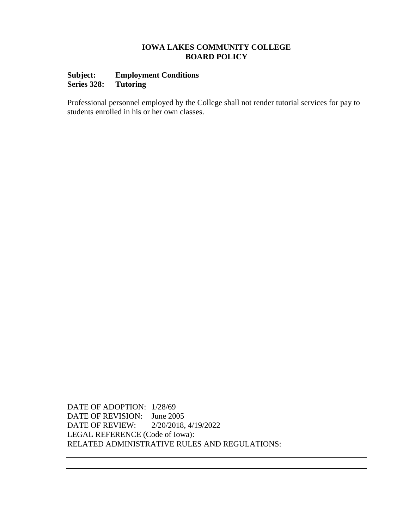# **Subject: Employment Conditions Series 328:**

Professional personnel employed by the College shall not render tutorial services for pay to students enrolled in his or her own classes.

DATE OF ADOPTION: 1/28/69 DATE OF REVISION: June 2005 DATE OF REVIEW: 2/20/2018, 4/19/2022 LEGAL REFERENCE (Code of Iowa): RELATED ADMINISTRATIVE RULES AND REGULATIONS: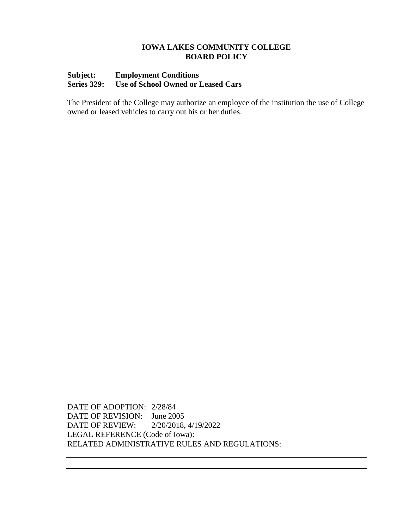# **Subject: Employment Conditions Series 329: Use of School Owned or Leased Cars**

The President of the College may authorize an employee of the institution the use of College owned or leased vehicles to carry out his or her duties.

DATE OF ADOPTION: 2/28/84 DATE OF REVISION: June 2005 DATE OF REVIEW: 2/20/2018, 4/19/2022 LEGAL REFERENCE (Code of Iowa): RELATED ADMINISTRATIVE RULES AND REGULATIONS: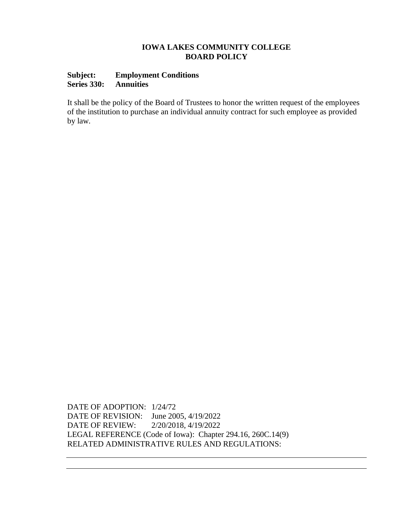# **Subject: Employment Conditions Series 330: Annuities**

It shall be the policy of the Board of Trustees to honor the written request of the employees of the institution to purchase an individual annuity contract for such employee as provided by law*.*

DATE OF ADOPTION: 1/24/72 DATE OF REVISION: June 2005, 4/19/2022 DATE OF REVIEW: 2/20/2018, 4/19/2022 LEGAL REFERENCE (Code of Iowa): Chapter 294.16, 260C.14(9) RELATED ADMINISTRATIVE RULES AND REGULATIONS: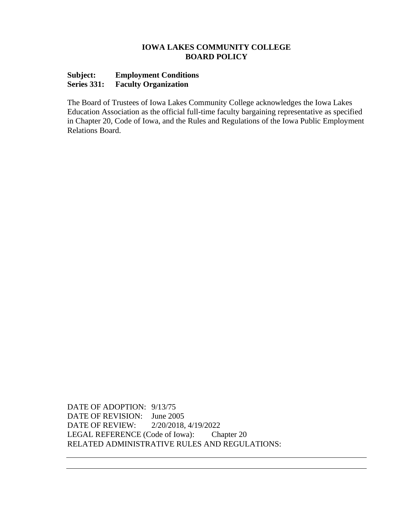# **Subject: Employment Conditions Series 331: Faculty Organization**

The Board of Trustees of Iowa Lakes Community College acknowledges the Iowa Lakes Education Association as the official full-time faculty bargaining representative as specified in Chapter 20, Code of Iowa, and the Rules and Regulations of the Iowa Public Employment Relations Board.

DATE OF ADOPTION: 9/13/75 DATE OF REVISION: June 2005 DATE OF REVIEW: 2/20/2018, 4/19/2022 LEGAL REFERENCE (Code of Iowa): Chapter 20 RELATED ADMINISTRATIVE RULES AND REGULATIONS: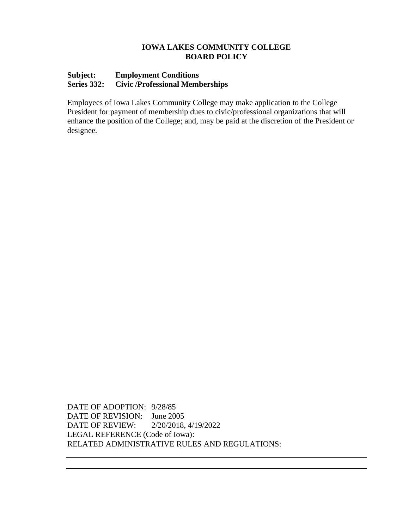## **Subject: Employment Conditions Series 332: Civic /Professional Memberships**

Employees of Iowa Lakes Community College may make application to the College President for payment of membership dues to civic/professional organizations that will enhance the position of the College; and, may be paid at the discretion of the President or designee.

DATE OF ADOPTION: 9/28/85 DATE OF REVISION: June 2005 DATE OF REVIEW: 2/20/2018, 4/19/2022 LEGAL REFERENCE (Code of Iowa): RELATED ADMINISTRATIVE RULES AND REGULATIONS: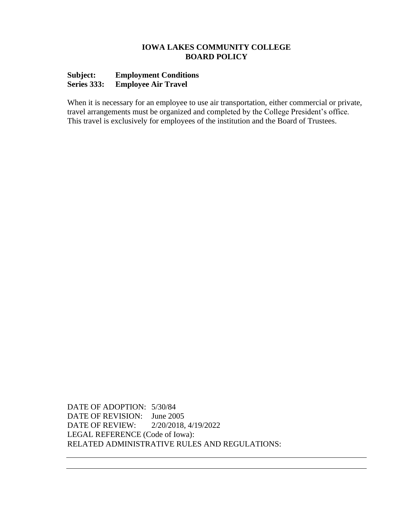# **Subject: Employment Conditions Series 333: Employee Air Travel**

When it is necessary for an employee to use air transportation, either commercial or private, travel arrangements must be organized and completed by the College President's office. This travel is exclusively for employees of the institution and the Board of Trustees.

DATE OF ADOPTION: 5/30/84 DATE OF REVISION: June 2005 DATE OF REVIEW: 2/20/2018, 4/19/2022 LEGAL REFERENCE (Code of Iowa): RELATED ADMINISTRATIVE RULES AND REGULATIONS: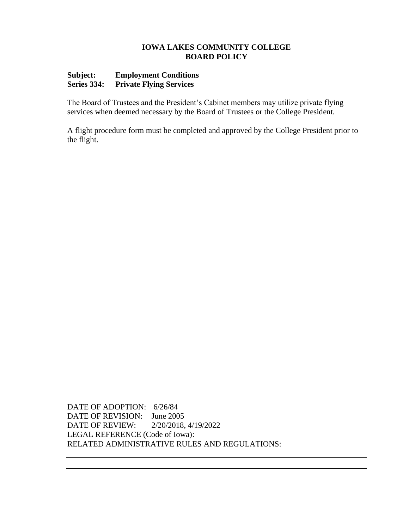# **Subject: Employment Conditions Series 334: Private Flying Services**

The Board of Trustees and the President's Cabinet members may utilize private flying services when deemed necessary by the Board of Trustees or the College President.

A flight procedure form must be completed and approved by the College President prior to the flight.

DATE OF ADOPTION: 6/26/84 DATE OF REVISION: June 2005 DATE OF REVIEW: 2/20/2018, 4/19/2022 LEGAL REFERENCE (Code of Iowa): RELATED ADMINISTRATIVE RULES AND REGULATIONS: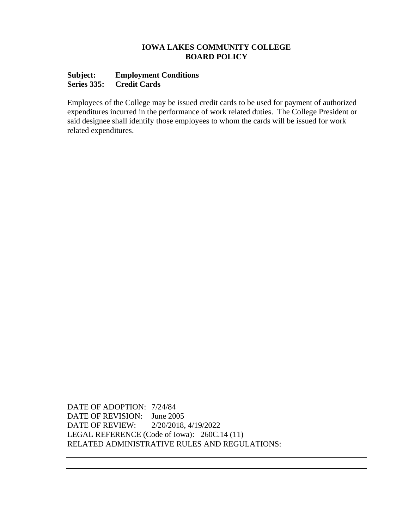### **Subject: Employment Conditions Series 335: Credit Cards**

Employees of the College may be issued credit cards to be used for payment of authorized expenditures incurred in the performance of work related duties. The College President or said designee shall identify those employees to whom the cards will be issued for work related expenditures.

DATE OF ADOPTION: 7/24/84 DATE OF REVISION: June 2005 DATE OF REVIEW: 2/20/2018, 4/19/2022 LEGAL REFERENCE (Code of Iowa): 260C.14 (11) RELATED ADMINISTRATIVE RULES AND REGULATIONS: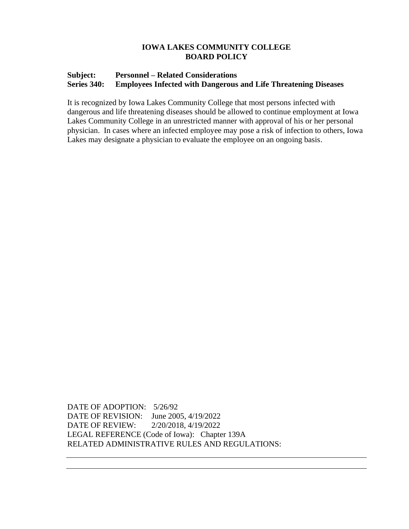# **Subject: Personnel – Related Considerations Series 340: Employees Infected with Dangerous and Life Threatening Diseases**

It is recognized by Iowa Lakes Community College that most persons infected with dangerous and life threatening diseases should be allowed to continue employment at Iowa Lakes Community College in an unrestricted manner with approval of his or her personal physician. In cases where an infected employee may pose a risk of infection to others, Iowa Lakes may designate a physician to evaluate the employee on an ongoing basis.

DATE OF ADOPTION: 5/26/92 DATE OF REVISION: June 2005, 4/19/2022 DATE OF REVIEW: 2/20/2018, 4/19/2022 LEGAL REFERENCE (Code of Iowa): Chapter 139A RELATED ADMINISTRATIVE RULES AND REGULATIONS: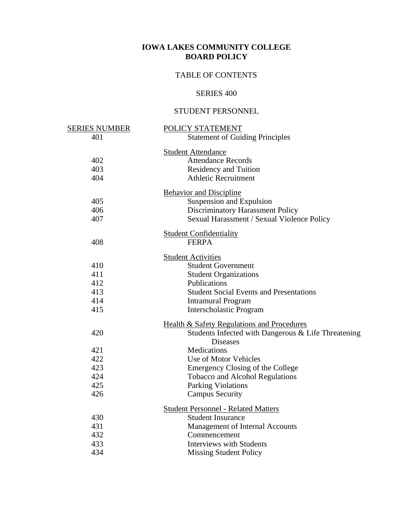# TABLE OF CONTENTS

# SERIES 400

# STUDENT PERSONNEL

| <u>SERIES NUMBER</u> | POLICY STATEMENT                                      |
|----------------------|-------------------------------------------------------|
| 401                  | <b>Statement of Guiding Principles</b>                |
|                      | <b>Student Attendance</b>                             |
| 402                  | <b>Attendance Records</b>                             |
| 403                  | Residency and Tuition                                 |
| 404                  | <b>Athletic Recruitment</b>                           |
|                      | <b>Behavior and Discipline</b>                        |
| 405                  | Suspension and Expulsion                              |
| 406                  | Discriminatory Harassment Policy                      |
| 407                  | Sexual Harassment / Sexual Violence Policy            |
|                      |                                                       |
| 408                  | <b>Student Confidentiality</b><br><b>FERPA</b>        |
|                      |                                                       |
|                      | <b>Student Activities</b>                             |
| 410                  | <b>Student Government</b>                             |
| 411                  | <b>Student Organizations</b>                          |
| 412                  | Publications                                          |
| 413                  | <b>Student Social Events and Presentations</b>        |
| 414                  | <b>Intramural Program</b>                             |
| 415                  | Interscholastic Program                               |
|                      | <b>Health &amp; Safety Regulations and Procedures</b> |
| 420                  | Students Infected with Dangerous & Life Threatening   |
|                      | <b>Diseases</b>                                       |
| 421                  | Medications                                           |
| 422                  | Use of Motor Vehicles                                 |
| 423                  | <b>Emergency Closing of the College</b>               |
| 424                  | <b>Tobacco and Alcohol Regulations</b>                |
| 425                  | <b>Parking Violations</b>                             |
| 426                  | <b>Campus Security</b>                                |
|                      | <b>Student Personnel - Related Matters</b>            |
| 430                  | <b>Student Insurance</b>                              |
| 431                  | Management of Internal Accounts                       |
| 432                  | Commencement                                          |
| 433                  | <b>Interviews with Students</b>                       |
| 434                  | <b>Missing Student Policy</b>                         |
|                      |                                                       |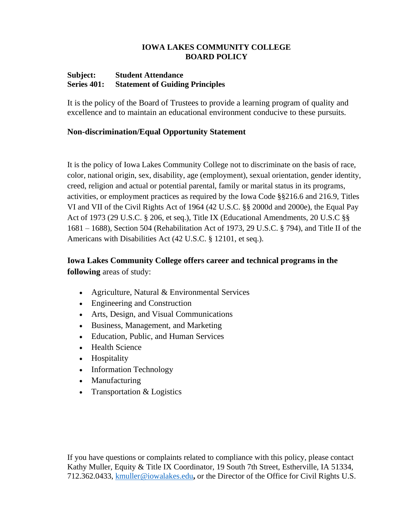#### **Subject: Student Attendance Series 401: Statement of Guiding Principles**

It is the policy of the Board of Trustees to provide a learning program of quality and excellence and to maintain an educational environment conducive to these pursuits.

# **Non-discrimination/Equal Opportunity Statement**

It is the policy of Iowa Lakes Community College not to discriminate on the basis of race, color, national origin, sex, disability, age (employment), sexual orientation, gender identity, creed, religion and actual or potential parental, family or marital status in its programs, activities, or employment practices as required by the Iowa Code §§216.6 and 216.9, Titles VI and VII of the Civil Rights Act of 1964 (42 U.S.C. §§ 2000d and 2000e), the Equal Pay Act of 1973 (29 U.S.C. § 206, et seq.), Title IX (Educational Amendments, 20 U.S.C §§ 1681 – 1688), Section 504 (Rehabilitation Act of 1973, 29 U.S.C. § 794), and Title II of the Americans with Disabilities Act (42 U.S.C. § 12101, et seq.).

# **Iowa Lakes Community College offers career and technical programs in the following** areas of study:

- Agriculture, Natural & Environmental Services
- Engineering and Construction
- Arts, Design, and Visual Communications
- Business, Management, and Marketing
- Education, Public, and Human Services
- Health Science
- Hospitality
- Information Technology
- Manufacturing
- Transportation & Logistics

If you have questions or complaints related to compliance with this policy, please contact Kathy Muller, Equity & Title IX Coordinator, 19 South 7th Street, Estherville, IA 51334, 712.362.0433, [kmuller@iowalakes.edu](mailto:kmuller@iowalakes.edu)**,** or the Director of the Office for Civil Rights U.S.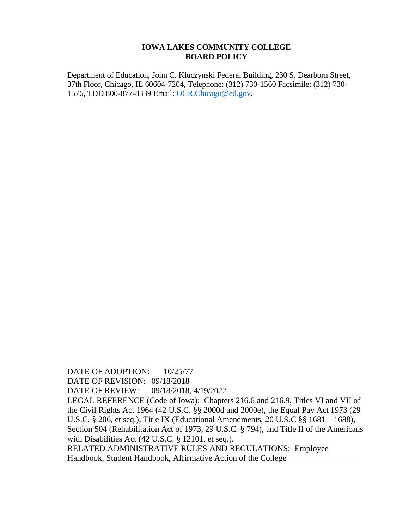Department of Education, John C. Kluczynski Federal Building, 230 S. Dearborn Street, 37th Floor, Chicago, IL 60604-7204, Telephone: (312) 730-1560 Facsimile: (312) 730- 1576, TDD 800-877-8339 Email: [OCR.Chicago@ed.gov](mailto:OCR.Chicago@ed.gov)**.**

DATE OF ADOPTION:  $10/25/77$ DATE OF REVISION: 09/18/2018 DATE OF REVIEW: 09/18/2018, 4/19/2022 LEGAL REFERENCE (Code of Iowa): Chapters 216.6 and 216.9, Titles VI and VII of the Civil Rights Act 1964 (42 U.S.C. §§ 2000d and 2000e), the Equal Pay Act 1973 (29 U.S.C. § 206, et seq.), Title IX (Educational Amendments, 20 U.S.C §§ 1681 – 1688), Section 504 (Rehabilitation Act of 1973, 29 U.S.C. § 794), and Title II of the Americans with Disabilities Act (42 U.S.C. § 12101, et seq.). RELATED ADMINISTRATIVE RULES AND REGULATIONS: Employee Handbook, Student Handbook, Affirmative Action of the College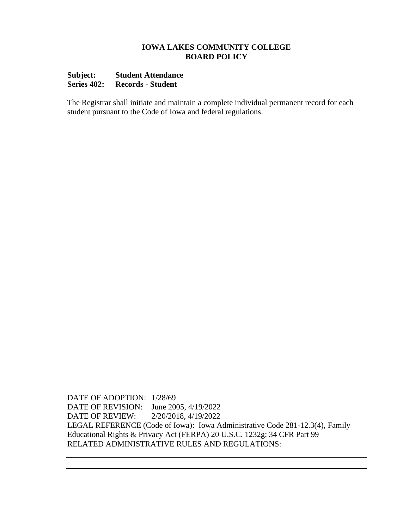# **Subject: Student Attendance Series 402: Records - Student**

The Registrar shall initiate and maintain a complete individual permanent record for each student pursuant to the Code of Iowa and federal regulations.

DATE OF ADOPTION: 1/28/69 DATE OF REVISION: June 2005, 4/19/2022 DATE OF REVIEW: 2/20/2018, 4/19/2022 LEGAL REFERENCE (Code of Iowa): Iowa Administrative Code 281-12.3(4), Family Educational Rights & Privacy Act (FERPA) 20 U.S.C. 1232g; 34 CFR Part 99 RELATED ADMINISTRATIVE RULES AND REGULATIONS: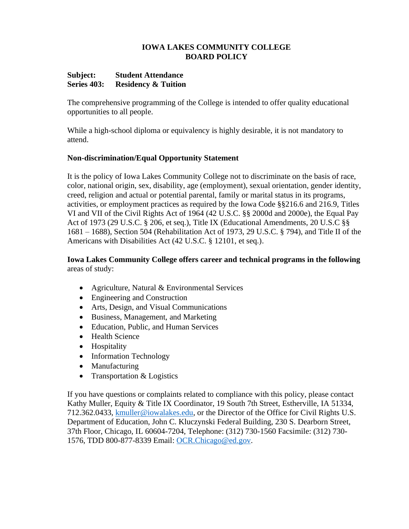## **Subject: Student Attendance Series 403: Residency & Tuition**

The comprehensive programming of the College is intended to offer quality educational opportunities to all people.

While a high-school diploma or equivalency is highly desirable, it is not mandatory to attend.

# **Non-discrimination/Equal Opportunity Statement**

It is the policy of Iowa Lakes Community College not to discriminate on the basis of race, color, national origin, sex, disability, age (employment), sexual orientation, gender identity, creed, religion and actual or potential parental, family or marital status in its programs, activities, or employment practices as required by the Iowa Code §§216.6 and 216.9, Titles VI and VII of the Civil Rights Act of 1964 (42 U.S.C. §§ 2000d and 2000e), the Equal Pay Act of 1973 (29 U.S.C. § 206, et seq.), Title IX (Educational Amendments, 20 U.S.C §§ 1681 – 1688), Section 504 (Rehabilitation Act of 1973, 29 U.S.C. § 794), and Title II of the Americans with Disabilities Act (42 U.S.C. § 12101, et seq.).

# **Iowa Lakes Community College offers career and technical programs in the following** areas of study:

- Agriculture, Natural & Environmental Services
- Engineering and Construction
- Arts, Design, and Visual Communications
- Business, Management, and Marketing
- Education, Public, and Human Services
- Health Science
- Hospitality
- Information Technology
- Manufacturing
- Transportation & Logistics

If you have questions or complaints related to compliance with this policy, please contact Kathy Muller, Equity & Title IX Coordinator, 19 South 7th Street, Estherville, IA 51334, 712.362.0433, [kmuller@iowalakes.edu,](mailto:kmuller@iowalakes.edu) or the Director of the Office for Civil Rights U.S. Department of Education, John C. Kluczynski Federal Building, 230 S. Dearborn Street, 37th Floor, Chicago, IL 60604-7204, Telephone: (312) 730-1560 Facsimile: (312) 730- 1576, TDD 800-877-8339 Email: [OCR.Chicago@ed.gov.](mailto:OCR.Chicago@ed.gov)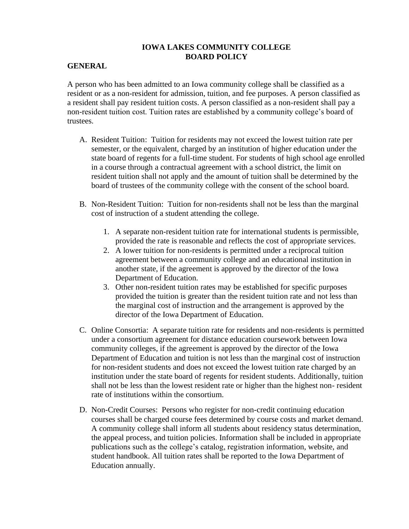# **GENERAL**

A person who has been admitted to an Iowa community college shall be classified as a resident or as a non-resident for admission, tuition, and fee purposes. A person classified as a resident shall pay resident tuition costs. A person classified as a non-resident shall pay a non-resident tuition cost. Tuition rates are established by a community college's board of trustees.

- A. Resident Tuition: Tuition for residents may not exceed the lowest tuition rate per semester, or the equivalent, charged by an institution of higher education under the state board of regents for a full-time student. For students of high school age enrolled in a course through a contractual agreement with a school district, the limit on resident tuition shall not apply and the amount of tuition shall be determined by the board of trustees of the community college with the consent of the school board.
- B. Non-Resident Tuition: Tuition for non-residents shall not be less than the marginal cost of instruction of a student attending the college.
	- 1. A separate non-resident tuition rate for international students is permissible, provided the rate is reasonable and reflects the cost of appropriate services.
	- 2. A lower tuition for non-residents is permitted under a reciprocal tuition agreement between a community college and an educational institution in another state, if the agreement is approved by the director of the Iowa Department of Education.
	- 3. Other non-resident tuition rates may be established for specific purposes provided the tuition is greater than the resident tuition rate and not less than the marginal cost of instruction and the arrangement is approved by the director of the Iowa Department of Education.
- C. Online Consortia: A separate tuition rate for residents and non-residents is permitted under a consortium agreement for distance education coursework between Iowa community colleges, if the agreement is approved by the director of the Iowa Department of Education and tuition is not less than the marginal cost of instruction for non-resident students and does not exceed the lowest tuition rate charged by an institution under the state board of regents for resident students. Additionally, tuition shall not be less than the lowest resident rate or higher than the highest non- resident rate of institutions within the consortium.
- D. Non-Credit Courses: Persons who register for non-credit continuing education courses shall be charged course fees determined by course costs and market demand. A community college shall inform all students about residency status determination, the appeal process, and tuition policies. Information shall be included in appropriate publications such as the college's catalog, registration information, website, and student handbook. All tuition rates shall be reported to the Iowa Department of Education annually.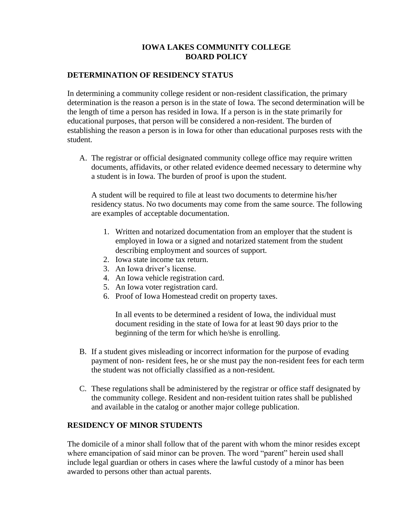# **DETERMINATION OF RESIDENCY STATUS**

In determining a community college resident or non-resident classification, the primary determination is the reason a person is in the state of Iowa. The second determination will be the length of time a person has resided in Iowa. If a person is in the state primarily for educational purposes, that person will be considered a non-resident. The burden of establishing the reason a person is in Iowa for other than educational purposes rests with the student.

A. The registrar or official designated community college office may require written documents, affidavits, or other related evidence deemed necessary to determine why a student is in Iowa. The burden of proof is upon the student.

A student will be required to file at least two documents to determine his/her residency status. No two documents may come from the same source. The following are examples of acceptable documentation.

- 1. Written and notarized documentation from an employer that the student is employed in Iowa or a signed and notarized statement from the student describing employment and sources of support.
- 2. Iowa state income tax return.
- 3. An Iowa driver's license.
- 4. An Iowa vehicle registration card.
- 5. An Iowa voter registration card.
- 6. Proof of Iowa Homestead credit on property taxes.

In all events to be determined a resident of Iowa, the individual must document residing in the state of Iowa for at least 90 days prior to the beginning of the term for which he/she is enrolling.

- B. If a student gives misleading or incorrect information for the purpose of evading payment of non- resident fees, he or she must pay the non-resident fees for each term the student was not officially classified as a non-resident.
- C. These regulations shall be administered by the registrar or office staff designated by the community college. Resident and non-resident tuition rates shall be published and available in the catalog or another major college publication.

## **RESIDENCY OF MINOR STUDENTS**

The domicile of a minor shall follow that of the parent with whom the minor resides except where emancipation of said minor can be proven. The word "parent" herein used shall include legal guardian or others in cases where the lawful custody of a minor has been awarded to persons other than actual parents.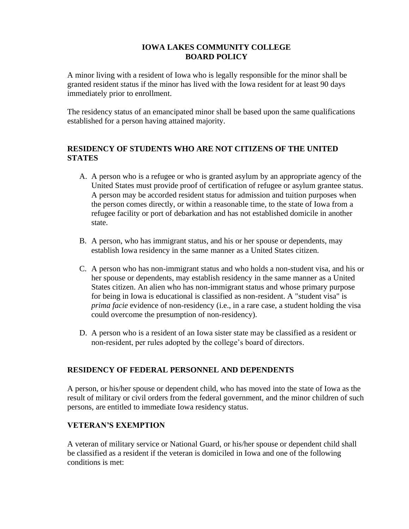A minor living with a resident of Iowa who is legally responsible for the minor shall be granted resident status if the minor has lived with the Iowa resident for at least 90 days immediately prior to enrollment.

The residency status of an emancipated minor shall be based upon the same qualifications established for a person having attained majority.

# **RESIDENCY OF STUDENTS WHO ARE NOT CITIZENS OF THE UNITED STATES**

- A. A person who is a refugee or who is granted asylum by an appropriate agency of the United States must provide proof of certification of refugee or asylum grantee status. A person may be accorded resident status for admission and tuition purposes when the person comes directly, or within a reasonable time, to the state of Iowa from a refugee facility or port of debarkation and has not established domicile in another state.
- B. A person, who has immigrant status, and his or her spouse or dependents, may establish Iowa residency in the same manner as a United States citizen.
- C. A person who has non-immigrant status and who holds a non-student visa, and his or her spouse or dependents, may establish residency in the same manner as a United States citizen. An alien who has non-immigrant status and whose primary purpose for being in Iowa is educational is classified as non-resident. A "student visa" is *prima facie* evidence of non-residency (i.e., in a rare case, a student holding the visa could overcome the presumption of non-residency).
- D. A person who is a resident of an Iowa sister state may be classified as a resident or non-resident, per rules adopted by the college's board of directors.

# **RESIDENCY OF FEDERAL PERSONNEL AND DEPENDENTS**

A person, or his/her spouse or dependent child, who has moved into the state of Iowa as the result of military or civil orders from the federal government, and the minor children of such persons, are entitled to immediate Iowa residency status.

# **VETERAN'S EXEMPTION**

A veteran of military service or National Guard, or his/her spouse or dependent child shall be classified as a resident if the veteran is domiciled in Iowa and one of the following conditions is met: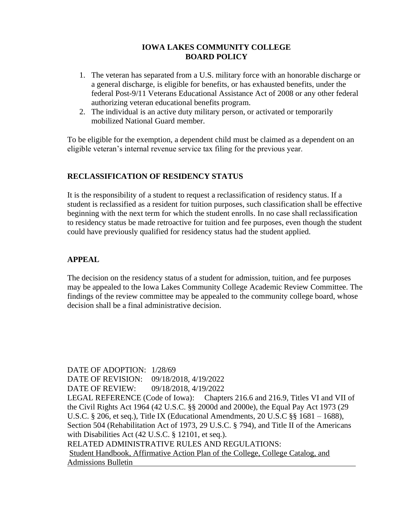- 1. The veteran has separated from a U.S. military force with an honorable discharge or a general discharge, is eligible for benefits, or has exhausted benefits, under the federal Post-9/11 Veterans Educational Assistance Act of 2008 or any other federal authorizing veteran educational benefits program.
- 2. The individual is an active duty military person, or activated or temporarily mobilized National Guard member.

To be eligible for the exemption, a dependent child must be claimed as a dependent on an eligible veteran's internal revenue service tax filing for the previous year.

# **RECLASSIFICATION OF RESIDENCY STATUS**

It is the responsibility of a student to request a reclassification of residency status. If a student is reclassified as a resident for tuition purposes, such classification shall be effective beginning with the next term for which the student enrolls. In no case shall reclassification to residency status be made retroactive for tuition and fee purposes, even though the student could have previously qualified for residency status had the student applied.

# **APPEAL**

The decision on the residency status of a student for admission, tuition, and fee purposes may be appealed to the Iowa Lakes Community College Academic Review Committee. The findings of the review committee may be appealed to the community college board, whose decision shall be a final administrative decision.

DATE OF ADOPTION: 1/28/69 DATE OF REVISION: 09/18/2018, 4/19/2022 DATE OF REVIEW: 09/18/2018, 4/19/2022 LEGAL REFERENCE (Code of Iowa): Chapters 216.6 and 216.9, Titles VI and VII of the Civil Rights Act 1964 (42 U.S.C. §§ 2000d and 2000e), the Equal Pay Act 1973 (29 U.S.C. § 206, et seq.), Title IX (Educational Amendments, 20 U.S.C §§ 1681 – 1688), Section 504 (Rehabilitation Act of 1973, 29 U.S.C. § 794), and Title II of the Americans with Disabilities Act (42 U.S.C. § 12101, et seq.). RELATED ADMINISTRATIVE RULES AND REGULATIONS: Student Handbook, Affirmative Action Plan of the College, College Catalog, and Admissions Bulletin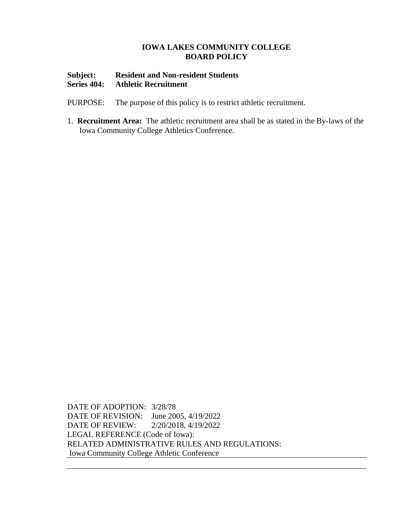## **Subject: Resident and Non-resident Students Series 404: Athletic Recruitment**

- PURPOSE: The purpose of this policy is to restrict athletic recruitment.
- 1. **Recruitment Area:** The athletic recruitment area shall be as stated in the By-laws of the Iowa Community College Athletics Conference.

DATE OF ADOPTION: 3/28/78 DATE OF REVISION: June 2005, 4/19/2022 DATE OF REVIEW: 2/20/2018, 4/19/2022 LEGAL REFERENCE (Code of Iowa): RELATED ADMINISTRATIVE RULES AND REGULATIONS: Iowa Community College Athletic Conference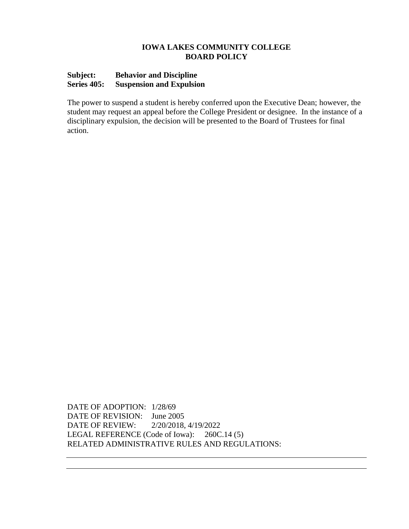# **Subject: Behavior and Discipline Series 405: Suspension and Expulsion**

The power to suspend a student is hereby conferred upon the Executive Dean; however, the student may request an appeal before the College President or designee. In the instance of a disciplinary expulsion, the decision will be presented to the Board of Trustees for final action.

DATE OF ADOPTION: 1/28/69 DATE OF REVISION: June 2005 DATE OF REVIEW: 2/20/2018, 4/19/2022 LEGAL REFERENCE (Code of Iowa): 260C.14 (5) RELATED ADMINISTRATIVE RULES AND REGULATIONS: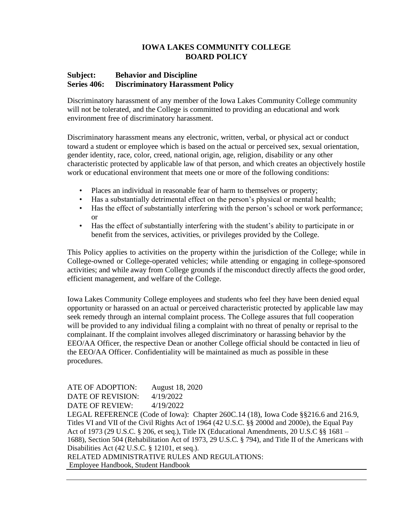#### **Subject: Behavior and Discipline Series 406: Discriminatory Harassment Policy**

Discriminatory harassment of any member of the Iowa Lakes Community College community will not be tolerated, and the College is committed to providing an educational and work environment free of discriminatory harassment.

Discriminatory harassment means any electronic, written, verbal, or physical act or conduct toward a student or employee which is based on the actual or perceived sex, sexual orientation, gender identity, race, color, creed, national origin, age, religion, disability or any other characteristic protected by applicable law of that person, and which creates an objectively hostile work or educational environment that meets one or more of the following conditions:

- Places an individual in reasonable fear of harm to themselves or property;
- Has a substantially detrimental effect on the person's physical or mental health;
- Has the effect of substantially interfering with the person's school or work performance; or
- Has the effect of substantially interfering with the student's ability to participate in or benefit from the services, activities, or privileges provided by the College.

This Policy applies to activities on the property within the jurisdiction of the College; while in College-owned or College-operated vehicles; while attending or engaging in college-sponsored activities; and while away from College grounds if the misconduct directly affects the good order, efficient management, and welfare of the College.

Iowa Lakes Community College employees and students who feel they have been denied equal opportunity or harassed on an actual or perceived characteristic protected by applicable law may seek remedy through an internal complaint process. The College assures that full cooperation will be provided to any individual filing a complaint with no threat of penalty or reprisal to the complainant. If the complaint involves alleged discriminatory or harassing behavior by the EEO/AA Officer, the respective Dean or another College official should be contacted in lieu of the EEO/AA Officer. Confidentiality will be maintained as much as possible in these procedures.

ATE OF ADOPTION: August 18, 2020 DATE OF REVISION: 4/19/2022 DATE OF REVIEW: 4/19/2022 LEGAL REFERENCE (Code of Iowa): Chapter 260C.14 (18), Iowa Code §§216.6 and 216.9, Titles VI and VII of the Civil Rights Act of 1964 (42 U.S.C. §§ 2000d and 2000e), the Equal Pay Act of 1973 (29 U.S.C. § 206, et seq.), Title IX (Educational Amendments, 20 U.S.C §§ 1681 – 1688), Section 504 (Rehabilitation Act of 1973, 29 U.S.C. § 794), and Title II of the Americans with Disabilities Act (42 U.S.C. § 12101, et seq.). RELATED ADMINISTRATIVE RULES AND REGULATIONS: Employee Handbook, Student Handbook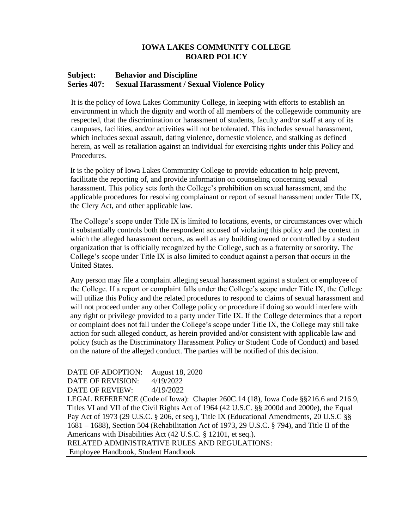#### **Subject: Behavior and Discipline Series 407: Sexual Harassment / Sexual Violence Policy**

It is the policy of Iowa Lakes Community College, in keeping with efforts to establish an environment in which the dignity and worth of all members of the collegewide community are respected, that the discrimination or harassment of students, faculty and/or staff at any of its campuses, facilities, and/or activities will not be tolerated. This includes sexual harassment, which includes sexual assault, dating violence, domestic violence, and stalking as defined herein, as well as retaliation against an individual for exercising rights under this Policy and Procedures.

It is the policy of Iowa Lakes Community College to provide education to help prevent, facilitate the reporting of, and provide information on counseling concerning sexual harassment. This policy sets forth the College's prohibition on sexual harassment, and the applicable procedures for resolving complainant or report of sexual harassment under Title IX, the Clery Act, and other applicable law.

The College's scope under Title IX is limited to locations, events, or circumstances over which it substantially controls both the respondent accused of violating this policy and the context in which the alleged harassment occurs, as well as any building owned or controlled by a student organization that is officially recognized by the College, such as a fraternity or sorority. The College's scope under Title IX is also limited to conduct against a person that occurs in the United States.

Any person may file a complaint alleging sexual harassment against a student or employee of the College. If a report or complaint falls under the College's scope under Title IX, the College will utilize this Policy and the related procedures to respond to claims of sexual harassment and will not proceed under any other College policy or procedure if doing so would interfere with any right or privilege provided to a party under Title IX. If the College determines that a report or complaint does not fall under the College's scope under Title IX, the College may still take action for such alleged conduct, as herein provided and/or consistent with applicable law and policy (such as the Discriminatory Harassment Policy or Student Code of Conduct) and based on the nature of the alleged conduct. The parties will be notified of this decision.

#### DATE OF ADOPTION: August 18, 2020 DATE OF REVISION: 4/19/2022

DATE OF REVIEW: 4/19/2022

LEGAL REFERENCE (Code of Iowa): Chapter 260C.14 (18), Iowa Code §§216.6 and 216.9, Titles VI and VII of the Civil Rights Act of 1964 (42 U.S.C. §§ 2000d and 2000e), the Equal Pay Act of 1973 (29 U.S.C. § 206, et seq.), Title IX (Educational Amendments, 20 U.S.C §§ 1681 – 1688), Section 504 (Rehabilitation Act of 1973, 29 U.S.C. § 794), and Title II of the Americans with Disabilities Act (42 U.S.C. § 12101, et seq.).

RELATED ADMINISTRATIVE RULES AND REGULATIONS: Employee Handbook, Student Handbook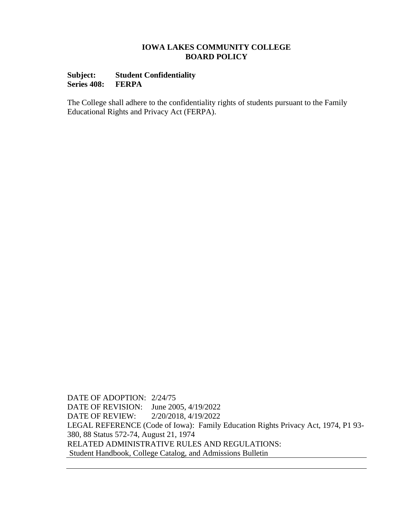## **Subject: Student Confidentiality Series 408: FERPA**

The College shall adhere to the confidentiality rights of students pursuant to the Family Educational Rights and Privacy Act (FERPA).

DATE OF ADOPTION: 2/24/75 DATE OF REVISION: June 2005, 4/19/2022 DATE OF REVIEW: 2/20/2018, 4/19/2022 LEGAL REFERENCE (Code of Iowa): Family Education Rights Privacy Act, 1974, P1 93- 380, 88 Status 572-74, August 21, 1974 RELATED ADMINISTRATIVE RULES AND REGULATIONS: Student Handbook, College Catalog, and Admissions Bulletin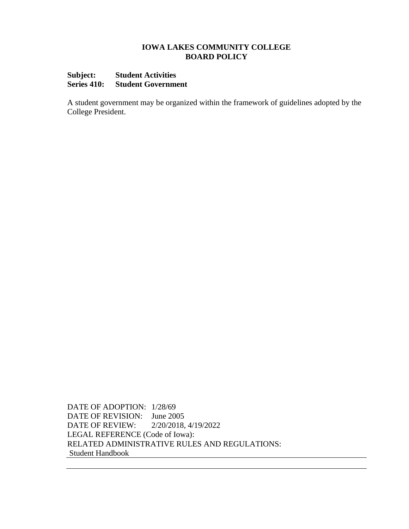#### **Subject: Student Activities Series 410: Student Government**

A student government may be organized within the framework of guidelines adopted by the College President.

DATE OF ADOPTION: 1/28/69 DATE OF REVISION: June 2005 DATE OF REVIEW: 2/20/2018, 4/19/2022 LEGAL REFERENCE (Code of Iowa): RELATED ADMINISTRATIVE RULES AND REGULATIONS: Student Handbook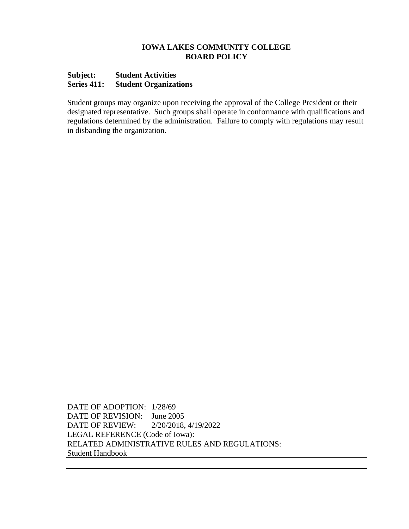## **Subject: Student Activities Series 411: Student Organizations**

Student groups may organize upon receiving the approval of the College President or their designated representative. Such groups shall operate in conformance with qualifications and regulations determined by the administration. Failure to comply with regulations may result in disbanding the organization.

DATE OF ADOPTION: 1/28/69 DATE OF REVISION: June 2005 DATE OF REVIEW: 2/20/2018, 4/19/2022 LEGAL REFERENCE (Code of Iowa): RELATED ADMINISTRATIVE RULES AND REGULATIONS: Student Handbook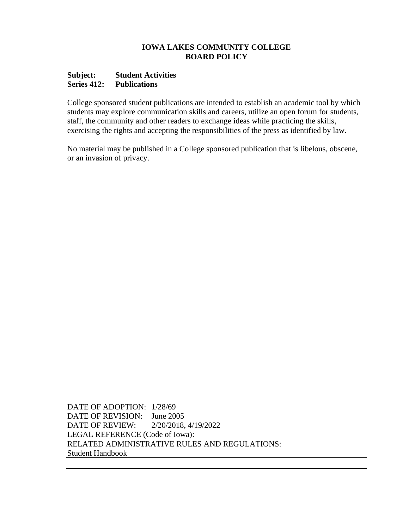#### **Subject: Student Activities Series 412: Publications**

College sponsored student publications are intended to establish an academic tool by which students may explore communication skills and careers, utilize an open forum for students, staff, the community and other readers to exchange ideas while practicing the skills, exercising the rights and accepting the responsibilities of the press as identified by law.

No material may be published in a College sponsored publication that is libelous, obscene, or an invasion of privacy.

DATE OF ADOPTION: 1/28/69 DATE OF REVISION: June 2005 DATE OF REVIEW: 2/20/2018, 4/19/2022 LEGAL REFERENCE (Code of Iowa): RELATED ADMINISTRATIVE RULES AND REGULATIONS: Student Handbook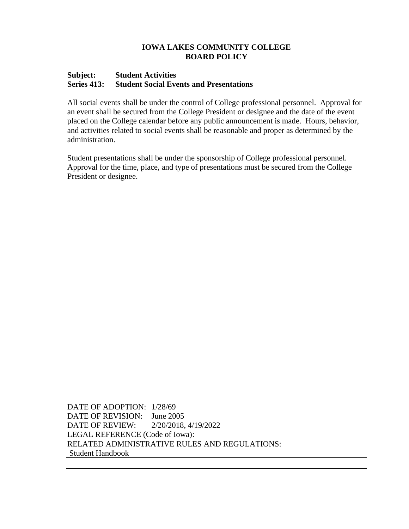#### **Subject: Student Activities Series 413: Student Social Events and Presentations**

All social events shall be under the control of College professional personnel. Approval for an event shall be secured from the College President or designee and the date of the event placed on the College calendar before any public announcement is made. Hours, behavior, and activities related to social events shall be reasonable and proper as determined by the administration.

Student presentations shall be under the sponsorship of College professional personnel. Approval for the time, place, and type of presentations must be secured from the College President or designee.

DATE OF ADOPTION: 1/28/69 DATE OF REVISION: June 2005 DATE OF REVIEW: 2/20/2018, 4/19/2022 LEGAL REFERENCE (Code of Iowa): RELATED ADMINISTRATIVE RULES AND REGULATIONS: Student Handbook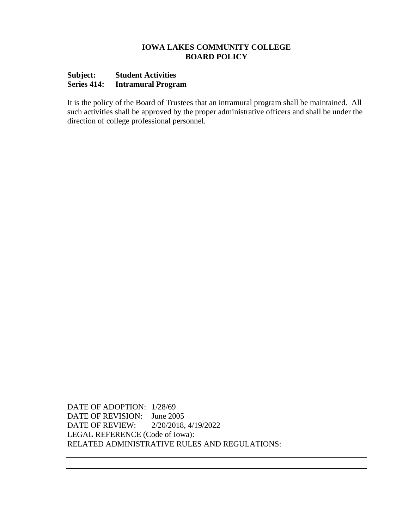# **Subject: Student Activities Series 414: Intramural Program**

It is the policy of the Board of Trustees that an intramural program shall be maintained. All such activities shall be approved by the proper administrative officers and shall be under the direction of college professional personnel.

DATE OF ADOPTION: 1/28/69 DATE OF REVISION: June 2005 DATE OF REVIEW: 2/20/2018, 4/19/2022 LEGAL REFERENCE (Code of Iowa): RELATED ADMINISTRATIVE RULES AND REGULATIONS: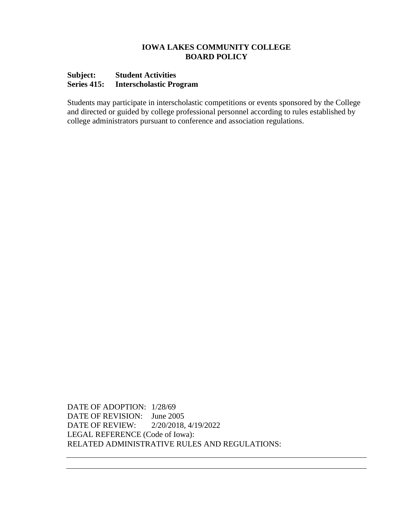#### **Subject: Student Activities Series 415: Interscholastic Program**

Students may participate in interscholastic competitions or events sponsored by the College and directed or guided by college professional personnel according to rules established by college administrators pursuant to conference and association regulations.

DATE OF ADOPTION: 1/28/69 DATE OF REVISION: June 2005 DATE OF REVIEW: 2/20/2018, 4/19/2022 LEGAL REFERENCE (Code of Iowa): RELATED ADMINISTRATIVE RULES AND REGULATIONS: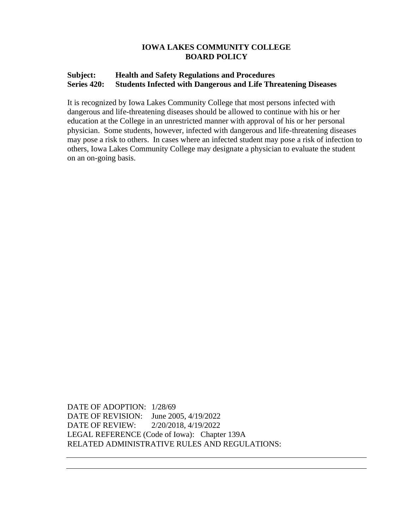# **Subject: Health and Safety Regulations and Procedures Series 420: Students Infected with Dangerous and Life Threatening Diseases**

It is recognized by Iowa Lakes Community College that most persons infected with dangerous and life-threatening diseases should be allowed to continue with his or her education at the College in an unrestricted manner with approval of his or her personal physician. Some students, however, infected with dangerous and life-threatening diseases may pose a risk to others. In cases where an infected student may pose a risk of infection to others, Iowa Lakes Community College may designate a physician to evaluate the student on an on-going basis.

DATE OF ADOPTION: 1/28/69 DATE OF REVISION: June 2005, 4/19/2022 DATE OF REVIEW: 2/20/2018, 4/19/2022 LEGAL REFERENCE (Code of Iowa): Chapter 139A RELATED ADMINISTRATIVE RULES AND REGULATIONS: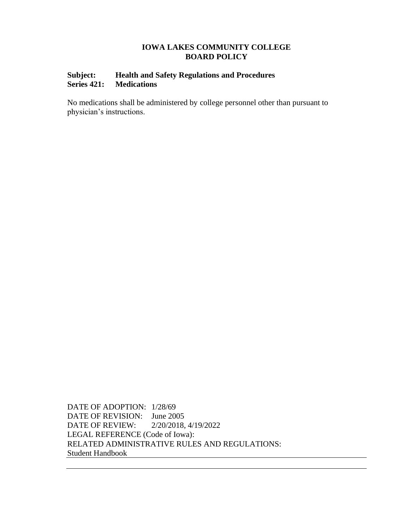# **Subject: Health and Safety Regulations and Procedures Series 421: Medications**

No medications shall be administered by college personnel other than pursuant to physician's instructions.

DATE OF ADOPTION: 1/28/69 DATE OF REVISION: June 2005 DATE OF REVIEW: 2/20/2018, 4/19/2022 LEGAL REFERENCE (Code of Iowa): RELATED ADMINISTRATIVE RULES AND REGULATIONS: Student Handbook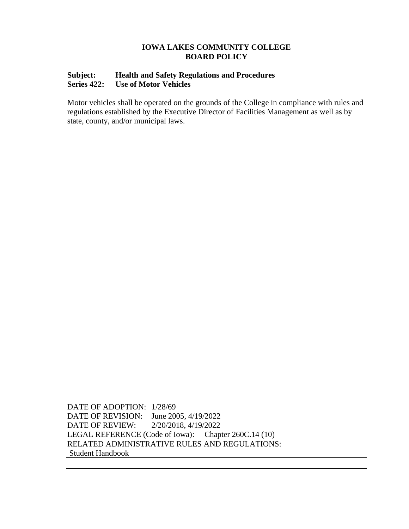# **Subject: Health and Safety Regulations and Procedures Series 422: Use of Motor Vehicles**

Motor vehicles shall be operated on the grounds of the College in compliance with rules and regulations established by the Executive Director of Facilities Management as well as by state, county, and/or municipal laws.

DATE OF ADOPTION: 1/28/69 DATE OF REVISION: June 2005, 4/19/2022 DATE OF REVIEW: 2/20/2018, 4/19/2022 LEGAL REFERENCE (Code of Iowa): Chapter 260C.14 (10) RELATED ADMINISTRATIVE RULES AND REGULATIONS: Student Handbook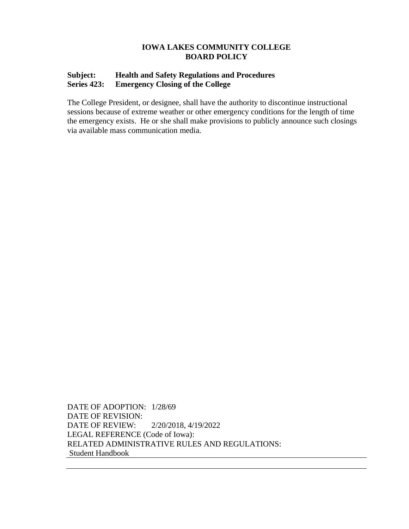# **Subject: Health and Safety Regulations and Procedures Series 423: Emergency Closing of the College**

The College President, or designee, shall have the authority to discontinue instructional sessions because of extreme weather or other emergency conditions for the length of time the emergency exists. He or she shall make provisions to publicly announce such closings via available mass communication media.

DATE OF ADOPTION: 1/28/69 DATE OF REVISION: DATE OF REVIEW: 2/20/2018, 4/19/2022 LEGAL REFERENCE (Code of Iowa): RELATED ADMINISTRATIVE RULES AND REGULATIONS: Student Handbook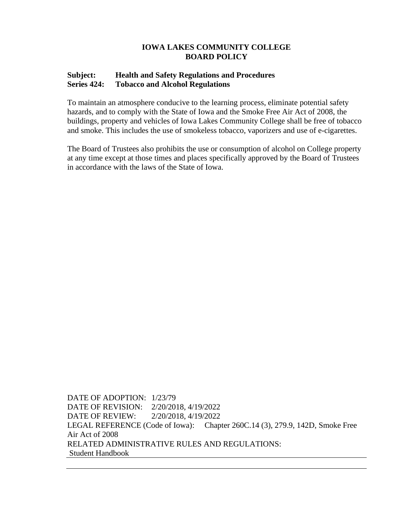# **Subject: Health and Safety Regulations and Procedures Series 424: Tobacco and Alcohol Regulations**

To maintain an atmosphere conducive to the learning process, eliminate potential safety hazards, and to comply with the State of Iowa and the Smoke Free Air Act of 2008, the buildings, property and vehicles of Iowa Lakes Community College shall be free of tobacco and smoke. This includes the use of smokeless tobacco, vaporizers and use of e-cigarettes.

The Board of Trustees also prohibits the use or consumption of alcohol on College property at any time except at those times and places specifically approved by the Board of Trustees in accordance with the laws of the State of Iowa.

DATE OF ADOPTION: 1/23/79 DATE OF REVISION: 2/20/2018, 4/19/2022 DATE OF REVIEW: 2/20/2018, 4/19/2022 LEGAL REFERENCE (Code of Iowa): Chapter 260C.14 (3), 279.9, 142D, Smoke Free Air Act of 2008 RELATED ADMINISTRATIVE RULES AND REGULATIONS: Student Handbook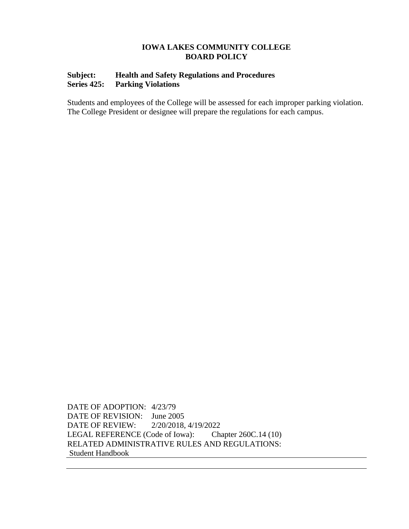# **Subject: Health and Safety Regulations and Procedures Series 425: Parking Violations**

Students and employees of the College will be assessed for each improper parking violation. The College President or designee will prepare the regulations for each campus.

DATE OF ADOPTION: 4/23/79 DATE OF REVISION: June 2005 DATE OF REVIEW: 2/20/2018, 4/19/2022 LEGAL REFERENCE (Code of Iowa): Chapter 260C.14 (10) RELATED ADMINISTRATIVE RULES AND REGULATIONS: Student Handbook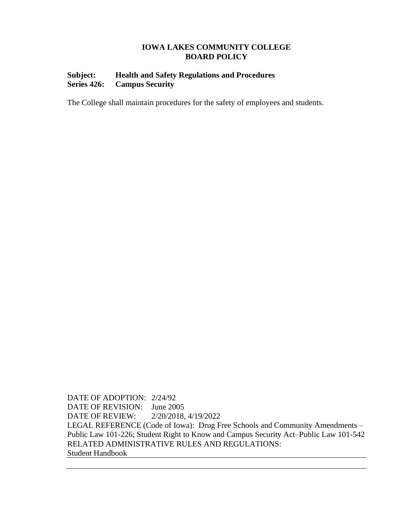# **Subject: Health and Safety Regulations and Procedures Series 426: Campus Security**

The College shall maintain procedures for the safety of employees and students.

DATE OF ADOPTION: 2/24/92 DATE OF REVISION: June 2005 DATE OF REVIEW: 2/20/2018, 4/19/2022 LEGAL REFERENCE (Code of Iowa): Drug Free Schools and Community Amendments – Public Law 101-226; Student Right to Know and Campus Security Act–Public Law 101-542 RELATED ADMINISTRATIVE RULES AND REGULATIONS: Student Handbook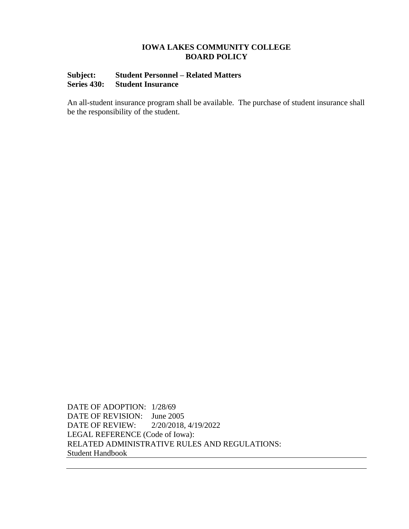# **Subject: Student Personnel – Related Matters Series 430: Student Insurance**

An all-student insurance program shall be available. The purchase of student insurance shall be the responsibility of the student.

DATE OF ADOPTION: 1/28/69 DATE OF REVISION: June 2005 DATE OF REVIEW: 2/20/2018, 4/19/2022 LEGAL REFERENCE (Code of Iowa): RELATED ADMINISTRATIVE RULES AND REGULATIONS: Student Handbook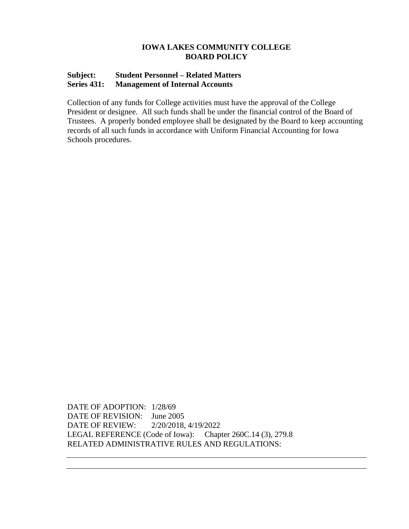# **Subject: Student Personnel – Related Matters Series 431: Management of Internal Accounts**

Collection of any funds for College activities must have the approval of the College President or designee. All such funds shall be under the financial control of the Board of Trustees. A properly bonded employee shall be designated by the Board to keep accounting records of all such funds in accordance with Uniform Financial Accounting for Iowa Schools procedures.

DATE OF ADOPTION: 1/28/69 DATE OF REVISION: June 2005 DATE OF REVIEW: 2/20/2018, 4/19/2022 LEGAL REFERENCE (Code of Iowa): Chapter 260C.14 (3), 279.8 RELATED ADMINISTRATIVE RULES AND REGULATIONS: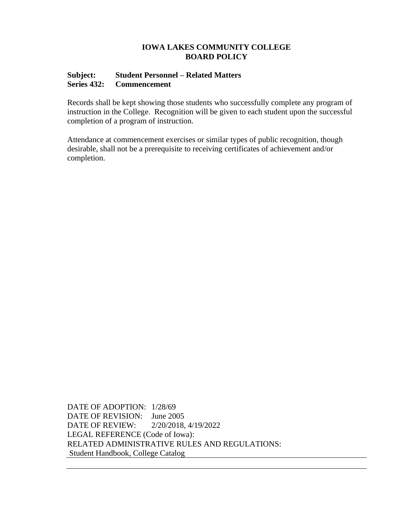#### **Subject: Student Personnel – Related Matters Series 432: Commencement**

Records shall be kept showing those students who successfully complete any program of instruction in the College. Recognition will be given to each student upon the successful completion of a program of instruction.

Attendance at commencement exercises or similar types of public recognition, though desirable, shall not be a prerequisite to receiving certificates of achievement and/or completion.

DATE OF ADOPTION: 1/28/69 DATE OF REVISION: June 2005 DATE OF REVIEW: 2/20/2018, 4/19/2022 LEGAL REFERENCE (Code of Iowa): RELATED ADMINISTRATIVE RULES AND REGULATIONS: Student Handbook, College Catalog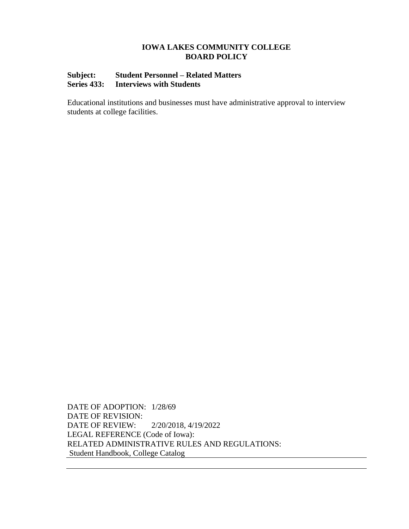# **Subject: Student Personnel – Related Matters Series 433: Interviews with Students**

Educational institutions and businesses must have administrative approval to interview students at college facilities.

DATE OF ADOPTION: 1/28/69 DATE OF REVISION: DATE OF REVIEW: 2/20/2018, 4/19/2022 LEGAL REFERENCE (Code of Iowa): RELATED ADMINISTRATIVE RULES AND REGULATIONS: Student Handbook, College Catalog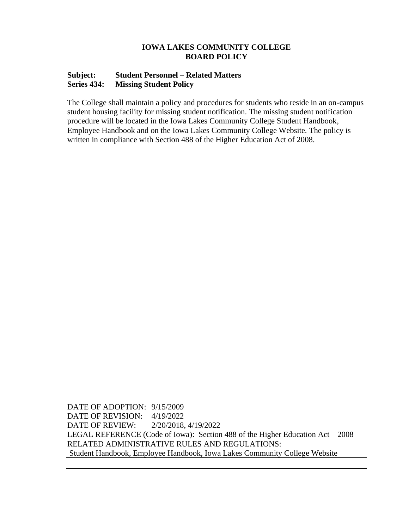#### **Subject: Student Personnel – Related Matters Series 434: Missing Student Policy**

The College shall maintain a policy and procedures for students who reside in an on-campus student housing facility for missing student notification. The missing student notification procedure will be located in the Iowa Lakes Community College Student Handbook, Employee Handbook and on the Iowa Lakes Community College Website. The policy is written in compliance with Section 488 of the Higher Education Act of 2008.

DATE OF ADOPTION: 9/15/2009 DATE OF REVISION: 4/19/2022 DATE OF REVIEW: 2/20/2018, 4/19/2022 LEGAL REFERENCE (Code of Iowa): Section 488 of the Higher Education Act—2008 RELATED ADMINISTRATIVE RULES AND REGULATIONS: Student Handbook, Employee Handbook, Iowa Lakes Community College Website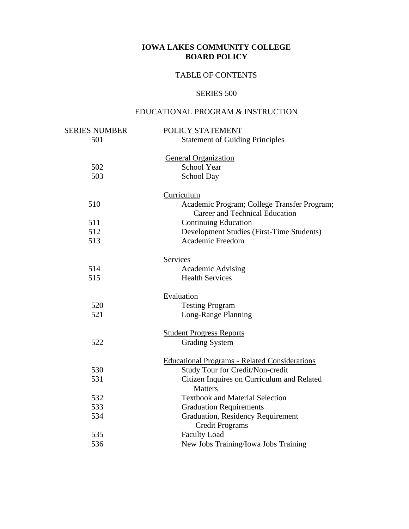# TABLE OF CONTENTS

# SERIES 500

# EDUCATIONAL PROGRAM & INSTRUCTION

| <b>SERIES NUMBER</b> | POLICY STATEMENT                                                                     |
|----------------------|--------------------------------------------------------------------------------------|
| 501                  | <b>Statement of Guiding Principles</b>                                               |
|                      | <b>General Organization</b>                                                          |
| 502                  | <b>School Year</b>                                                                   |
| 503                  | School Day                                                                           |
|                      | Curriculum                                                                           |
| 510                  | Academic Program; College Transfer Program;<br><b>Career and Technical Education</b> |
| 511                  | <b>Continuing Education</b>                                                          |
| 512                  | Development Studies (First-Time Students)                                            |
| 513                  | <b>Academic Freedom</b>                                                              |
|                      | Services                                                                             |
| 514                  | <b>Academic Advising</b>                                                             |
| 515                  | <b>Health Services</b>                                                               |
|                      | Evaluation                                                                           |
| 520                  | <b>Testing Program</b>                                                               |
| 521                  | Long-Range Planning                                                                  |
|                      | <b>Student Progress Reports</b>                                                      |
| 522                  | <b>Grading System</b>                                                                |
|                      | <b>Educational Programs - Related Considerations</b>                                 |
| 530                  | Study Tour for Credit/Non-credit                                                     |
| 531                  | Citizen Inquires on Curriculum and Related<br><b>Matters</b>                         |
| 532                  | <b>Textbook and Material Selection</b>                                               |
| 533                  | <b>Graduation Requirements</b>                                                       |
| 534                  | <b>Graduation, Residency Requirement</b><br><b>Credit Programs</b>                   |
| 535                  | Faculty Load                                                                         |
| 536                  | New Jobs Training/Iowa Jobs Training                                                 |
|                      |                                                                                      |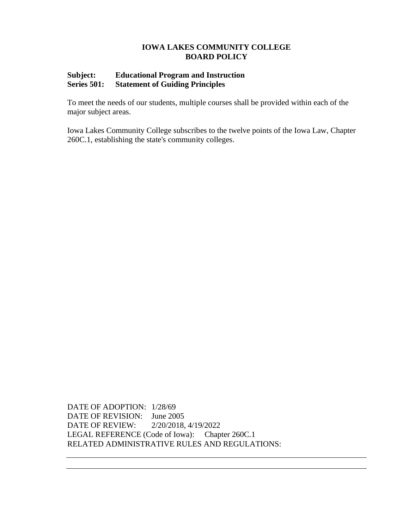# **Subject: Educational Program and Instruction Series 501: Statement of Guiding Principles**

To meet the needs of our students, multiple courses shall be provided within each of the major subject areas.

Iowa Lakes Community College subscribes to the twelve points of the Iowa Law, Chapter 260C.1, establishing the state's community colleges.

DATE OF ADOPTION: 1/28/69 DATE OF REVISION: June 2005 DATE OF REVIEW: 2/20/2018, 4/19/2022 LEGAL REFERENCE (Code of Iowa): Chapter 260C.1 RELATED ADMINISTRATIVE RULES AND REGULATIONS: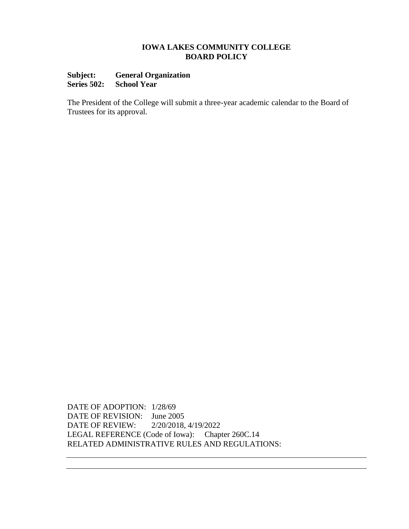# **Subject: General Organization Series 502: School Year**

The President of the College will submit a three-year academic calendar to the Board of Trustees for its approval.

DATE OF ADOPTION: 1/28/69 DATE OF REVISION: June 2005 DATE OF REVIEW: 2/20/2018, 4/19/2022 LEGAL REFERENCE (Code of Iowa): Chapter 260C.14 RELATED ADMINISTRATIVE RULES AND REGULATIONS: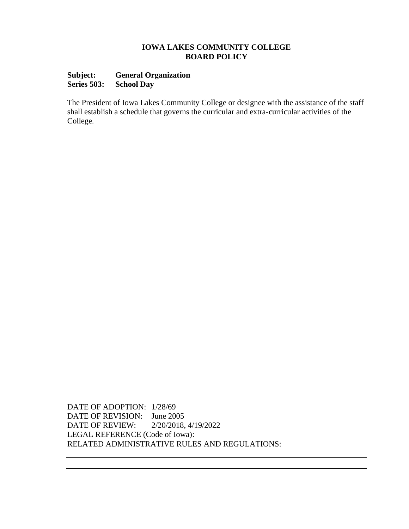### **Subject: General Organization Series 503: School Day**

The President of Iowa Lakes Community College or designee with the assistance of the staff shall establish a schedule that governs the curricular and extra-curricular activities of the College.

DATE OF ADOPTION: 1/28/69 DATE OF REVISION: June 2005 DATE OF REVIEW: 2/20/2018, 4/19/2022 LEGAL REFERENCE (Code of Iowa): RELATED ADMINISTRATIVE RULES AND REGULATIONS: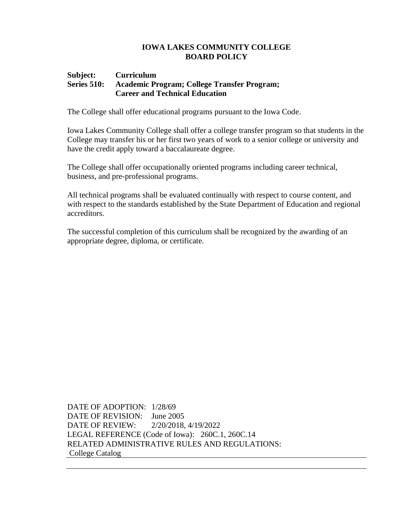#### **Subject: Curriculum Series 510: Academic Program; College Transfer Program; Career and Technical Education**

The College shall offer educational programs pursuant to the Iowa Code.

Iowa Lakes Community College shall offer a college transfer program so that students in the College may transfer his or her first two years of work to a senior college or university and have the credit apply toward a baccalaureate degree.

The College shall offer occupationally oriented programs including career technical, business, and pre-professional programs.

All technical programs shall be evaluated continually with respect to course content, and with respect to the standards established by the State Department of Education and regional accreditors.

The successful completion of this curriculum shall be recognized by the awarding of an appropriate degree, diploma, or certificate.

DATE OF ADOPTION: 1/28/69 DATE OF REVISION: June 2005 DATE OF REVIEW: 2/20/2018, 4/19/2022 LEGAL REFERENCE (Code of Iowa): 260C.1, 260C.14 RELATED ADMINISTRATIVE RULES AND REGULATIONS: College Catalog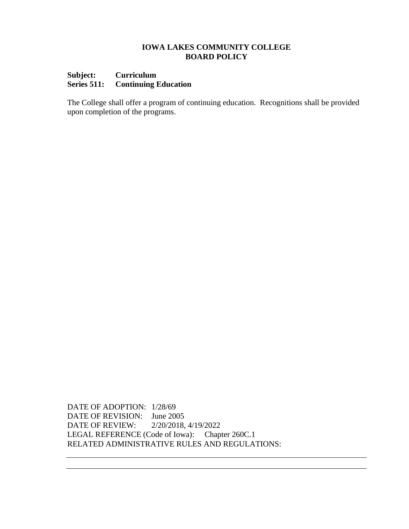# **Subject: Curriculum Series 511: Continuing Education**

The College shall offer a program of continuing education. Recognitions shall be provided upon completion of the programs.

DATE OF ADOPTION: 1/28/69 DATE OF REVISION: June 2005 DATE OF REVIEW: 2/20/2018, 4/19/2022 LEGAL REFERENCE (Code of Iowa): Chapter 260C.1 RELATED ADMINISTRATIVE RULES AND REGULATIONS: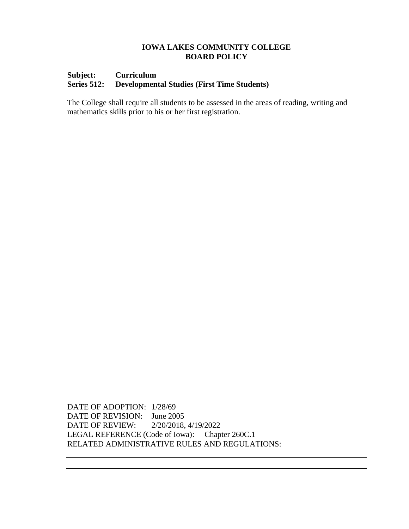## **Subject: Curriculum Series 512: Developmental Studies (First Time Students)**

The College shall require all students to be assessed in the areas of reading, writing and mathematics skills prior to his or her first registration.

DATE OF ADOPTION: 1/28/69 DATE OF REVISION: June 2005 DATE OF REVIEW: 2/20/2018, 4/19/2022 LEGAL REFERENCE (Code of Iowa): Chapter 260C.1 RELATED ADMINISTRATIVE RULES AND REGULATIONS: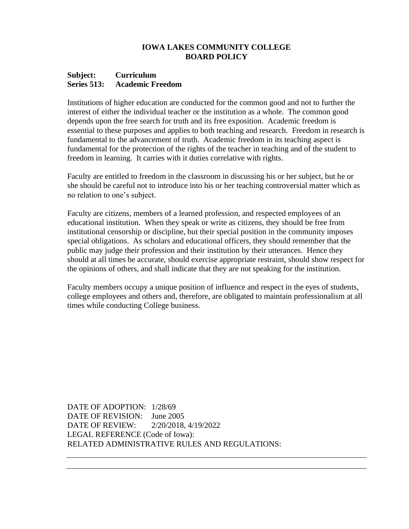#### **Subject: Curriculum Series 513: Academic Freedom**

Institutions of higher education are conducted for the common good and not to further the interest of either the individual teacher or the institution as a whole. The common good depends upon the free search for truth and its free exposition. Academic freedom is essential to these purposes and applies to both teaching and research. Freedom in research is fundamental to the advancement of truth. Academic freedom in its teaching aspect is fundamental for the protection of the rights of the teacher in teaching and of the student to freedom in learning. It carries with it duties correlative with rights.

Faculty are entitled to freedom in the classroom in discussing his or her subject, but he or she should be careful not to introduce into his or her teaching controversial matter which as no relation to one's subject.

Faculty are citizens, members of a learned profession, and respected employees of an educational institution. When they speak or write as citizens, they should be free from institutional censorship or discipline, but their special position in the community imposes special obligations. As scholars and educational officers, they should remember that the public may judge their profession and their institution by their utterances. Hence they should at all times be accurate, should exercise appropriate restraint, should show respect for the opinions of others, and shall indicate that they are not speaking for the institution.

Faculty members occupy a unique position of influence and respect in the eyes of students, college employees and others and, therefore, are obligated to maintain professionalism at all times while conducting College business.

DATE OF ADOPTION: 1/28/69 DATE OF REVISION: June 2005 DATE OF REVIEW: 2/20/2018, 4/19/2022 LEGAL REFERENCE (Code of Iowa): RELATED ADMINISTRATIVE RULES AND REGULATIONS: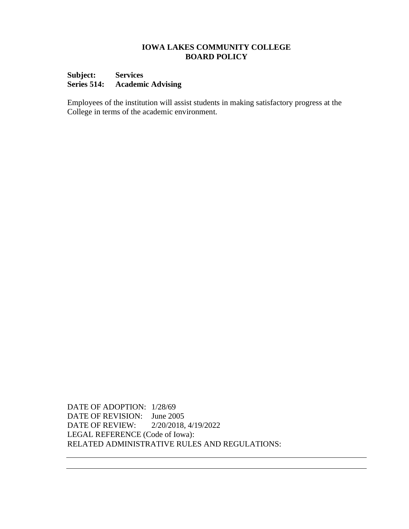### **Subject: Services Series 514: Academic Advising**

Employees of the institution will assist students in making satisfactory progress at the College in terms of the academic environment.

DATE OF ADOPTION: 1/28/69 DATE OF REVISION: June 2005 DATE OF REVIEW: 2/20/2018, 4/19/2022 LEGAL REFERENCE (Code of Iowa): RELATED ADMINISTRATIVE RULES AND REGULATIONS: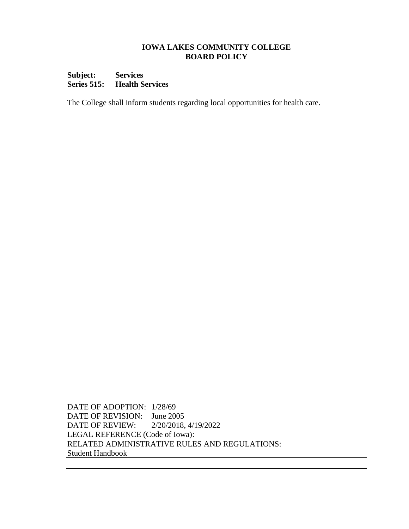### **Subject: Services Series 515: Health Services**

The College shall inform students regarding local opportunities for health care.

DATE OF ADOPTION: 1/28/69 DATE OF REVISION: June 2005 DATE OF REVIEW: 2/20/2018, 4/19/2022 LEGAL REFERENCE (Code of Iowa): RELATED ADMINISTRATIVE RULES AND REGULATIONS: Student Handbook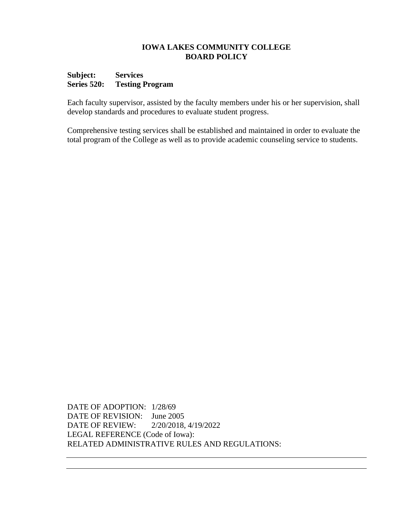#### **Subject: Services Series 520: Testing Program**

Each faculty supervisor, assisted by the faculty members under his or her supervision, shall develop standards and procedures to evaluate student progress.

Comprehensive testing services shall be established and maintained in order to evaluate the total program of the College as well as to provide academic counseling service to students.

DATE OF ADOPTION: 1/28/69 DATE OF REVISION: June 2005 DATE OF REVIEW: 2/20/2018, 4/19/2022 LEGAL REFERENCE (Code of Iowa): RELATED ADMINISTRATIVE RULES AND REGULATIONS: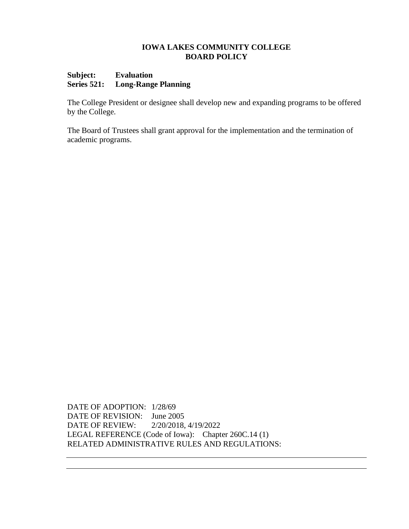#### **Subject: Evaluation Series 521: Long-Range Planning**

The College President or designee shall develop new and expanding programs to be offered by the College.

The Board of Trustees shall grant approval for the implementation and the termination of academic programs.

DATE OF ADOPTION: 1/28/69 DATE OF REVISION: June 2005 DATE OF REVIEW: 2/20/2018, 4/19/2022 LEGAL REFERENCE (Code of Iowa): Chapter 260C.14 (1) RELATED ADMINISTRATIVE RULES AND REGULATIONS: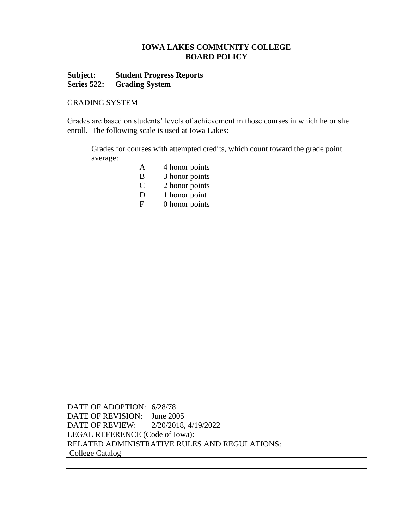# **Subject: Student Progress Reports Series 522: Grading System**

#### GRADING SYSTEM

Grades are based on students' levels of achievement in those courses in which he or she enroll. The following scale is used at Iowa Lakes:

Grades for courses with attempted credits, which count toward the grade point average:

- A 4 honor points
- B 3 honor points
- C 2 honor points
- D 1 honor point
- F 0 honor points

DATE OF ADOPTION: 6/28/78 DATE OF REVISION: June 2005 DATE OF REVIEW: 2/20/2018, 4/19/2022 LEGAL REFERENCE (Code of Iowa): RELATED ADMINISTRATIVE RULES AND REGULATIONS: College Catalog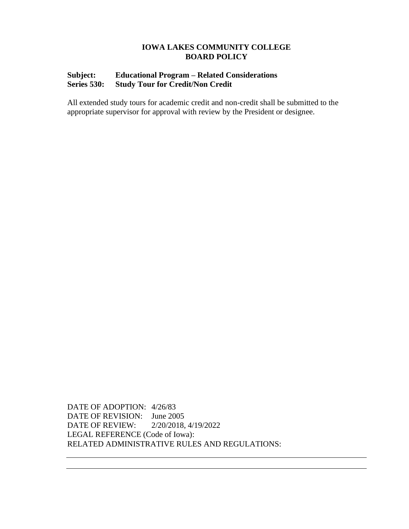# **Subject: Educational Program – Related Considerations Series 530: Study Tour for Credit/Non Credit**

All extended study tours for academic credit and non-credit shall be submitted to the appropriate supervisor for approval with review by the President or designee.

DATE OF ADOPTION: 4/26/83 DATE OF REVISION: June 2005 DATE OF REVIEW: 2/20/2018, 4/19/2022 LEGAL REFERENCE (Code of Iowa): RELATED ADMINISTRATIVE RULES AND REGULATIONS: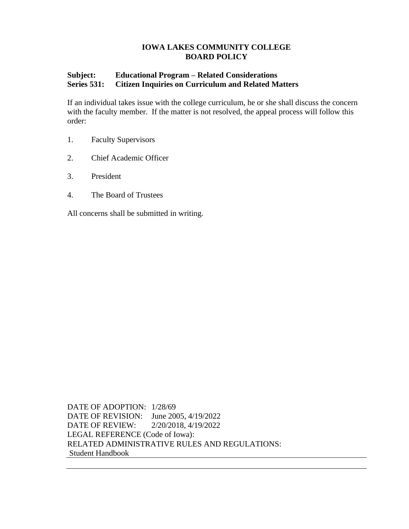# **Subject: Educational Program – Related Considerations Series 531: Citizen Inquiries on Curriculum and Related Matters**

If an individual takes issue with the college curriculum, he or she shall discuss the concern with the faculty member. If the matter is not resolved, the appeal process will follow this order:

- 1. Faculty Supervisors
- 2. Chief Academic Officer
- 3. President
- 4. The Board of Trustees

All concerns shall be submitted in writing.

DATE OF ADOPTION: 1/28/69 DATE OF REVISION: June 2005, 4/19/2022 DATE OF REVIEW: 2/20/2018, 4/19/2022 LEGAL REFERENCE (Code of Iowa): RELATED ADMINISTRATIVE RULES AND REGULATIONS: Student Handbook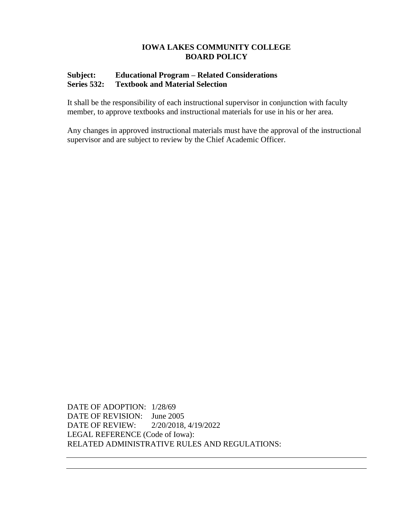# **Subject: Educational Program – Related Considerations Series 532: Textbook and Material Selection**

It shall be the responsibility of each instructional supervisor in conjunction with faculty member*,* to approve textbooks and instructional materials for use in his or her area.

Any changes in approved instructional materials must have the approval of the instructional supervisor and are subject to review by the Chief Academic Officer.

DATE OF ADOPTION: 1/28/69 DATE OF REVISION: June 2005 DATE OF REVIEW: 2/20/2018, 4/19/2022 LEGAL REFERENCE (Code of Iowa): RELATED ADMINISTRATIVE RULES AND REGULATIONS: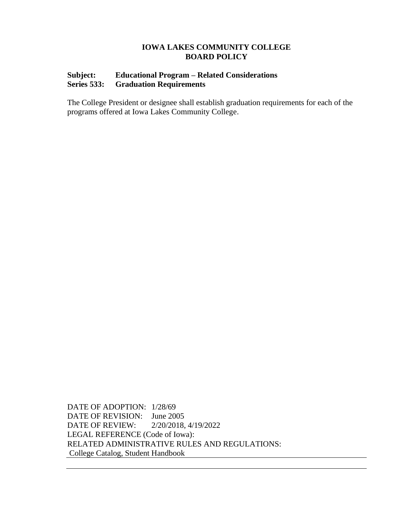# **Subject: Educational Program – Related Considerations Series 533: Graduation Requirements**

The College President or designee shall establish graduation requirements for each of the programs offered at Iowa Lakes Community College.

DATE OF ADOPTION: 1/28/69 DATE OF REVISION: June 2005 DATE OF REVIEW: 2/20/2018, 4/19/2022 LEGAL REFERENCE (Code of Iowa): RELATED ADMINISTRATIVE RULES AND REGULATIONS: College Catalog, Student Handbook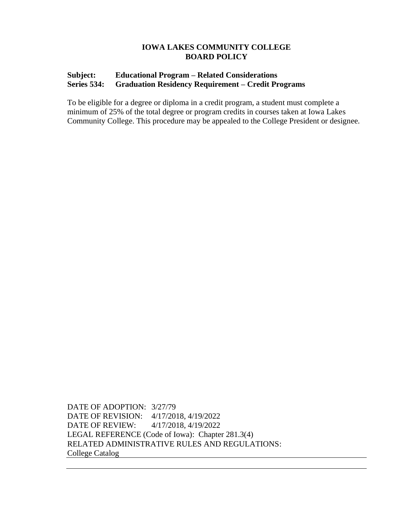# **Subject: Educational Program – Related Considerations Series 534: Graduation Residency Requirement – Credit Programs**

To be eligible for a degree or diploma in a credit program, a student must complete a minimum of 25% of the total degree or program credits in courses taken at Iowa Lakes Community College. This procedure may be appealed to the College President or designee.

DATE OF ADOPTION: 3/27/79 DATE OF REVISION: 4/17/2018, 4/19/2022 DATE OF REVIEW: 4/17/2018, 4/19/2022 LEGAL REFERENCE (Code of Iowa): Chapter 281.3(4) RELATED ADMINISTRATIVE RULES AND REGULATIONS: College Catalog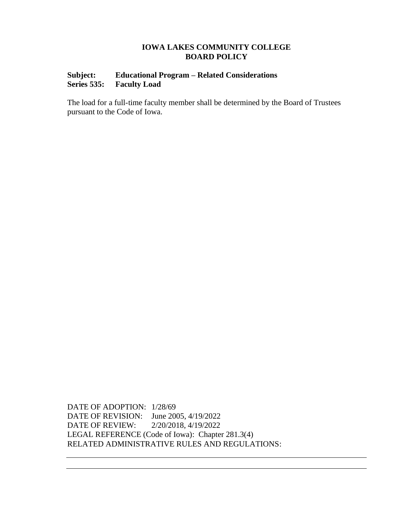# **Subject: Educational Program – Related Considerations Series 535: Faculty Load**

The load for a full-time faculty member shall be determined by the Board of Trustees pursuant to the Code of Iowa.

DATE OF ADOPTION: 1/28/69 DATE OF REVISION: June 2005, 4/19/2022 DATE OF REVIEW: 2/20/2018, 4/19/2022 LEGAL REFERENCE (Code of Iowa): Chapter 281.3(4) RELATED ADMINISTRATIVE RULES AND REGULATIONS: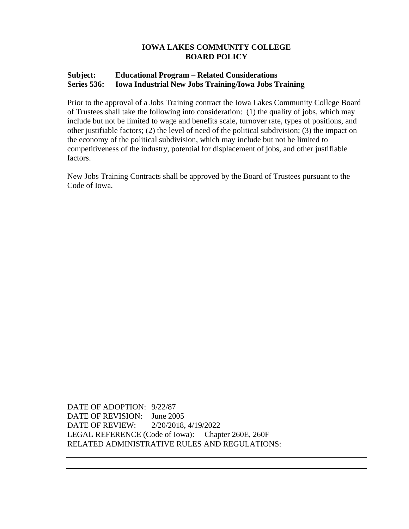# **Subject: Educational Program – Related Considerations Series 536: Iowa Industrial New Jobs Training/Iowa Jobs Training**

Prior to the approval of a Jobs Training contract the Iowa Lakes Community College Board of Trustees shall take the following into consideration: (1) the quality of jobs, which may include but not be limited to wage and benefits scale, turnover rate, types of positions, and other justifiable factors; (2) the level of need of the political subdivision; (3) the impact on the economy of the political subdivision, which may include but not be limited to competitiveness of the industry, potential for displacement of jobs, and other justifiable factors.

New Jobs Training Contracts shall be approved by the Board of Trustees pursuant to the Code of Iowa.

DATE OF ADOPTION: 9/22/87 DATE OF REVISION: June 2005 DATE OF REVIEW: 2/20/2018, 4/19/2022 LEGAL REFERENCE (Code of Iowa): Chapter 260E, 260F RELATED ADMINISTRATIVE RULES AND REGULATIONS: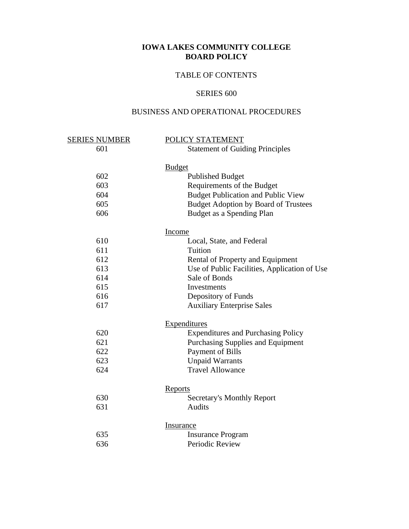# TABLE OF CONTENTS

## SERIES 600

# BUSINESS AND OPERATIONAL PROCEDURES

| <u>SERIES NUMBER</u> | POLICY STATEMENT                             |
|----------------------|----------------------------------------------|
| 601                  | <b>Statement of Guiding Principles</b>       |
|                      | <b>Budget</b>                                |
| 602                  | <b>Published Budget</b>                      |
| 603                  | Requirements of the Budget                   |
| 604                  | <b>Budget Publication and Public View</b>    |
| 605                  | <b>Budget Adoption by Board of Trustees</b>  |
| 606                  | Budget as a Spending Plan                    |
|                      | Income                                       |
| 610                  | Local, State, and Federal                    |
| 611                  | Tuition                                      |
| 612                  | Rental of Property and Equipment             |
| 613                  | Use of Public Facilities, Application of Use |
| 614                  | Sale of Bonds                                |
| 615                  | Investments                                  |
| 616                  | Depository of Funds                          |
| 617                  | <b>Auxiliary Enterprise Sales</b>            |
|                      | <b>Expenditures</b>                          |
| 620                  | <b>Expenditures and Purchasing Policy</b>    |
| 621                  | Purchasing Supplies and Equipment            |
| 622                  | Payment of Bills                             |
| 623                  | <b>Unpaid Warrants</b>                       |
| 624                  | <b>Travel Allowance</b>                      |
|                      | <b>Reports</b>                               |
| 630                  | <b>Secretary's Monthly Report</b>            |
| 631                  | <b>Audits</b>                                |
|                      | <b>Insurance</b>                             |
| 635                  | <b>Insurance Program</b>                     |
| 636                  | Periodic Review                              |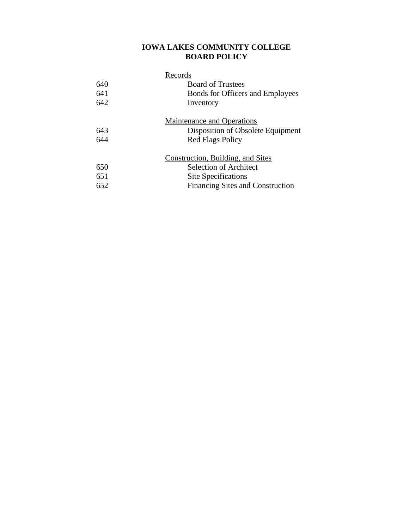|     | Records                                 |
|-----|-----------------------------------------|
| 640 | <b>Board of Trustees</b>                |
| 641 | <b>Bonds for Officers and Employees</b> |
| 642 | Inventory                               |
|     | <b>Maintenance and Operations</b>       |
| 643 | Disposition of Obsolete Equipment       |
| 644 | <b>Red Flags Policy</b>                 |
|     | Construction, Building, and Sites       |
| 650 | <b>Selection of Architect</b>           |
| 651 | Site Specifications                     |
| 652 | <b>Financing Sites and Construction</b> |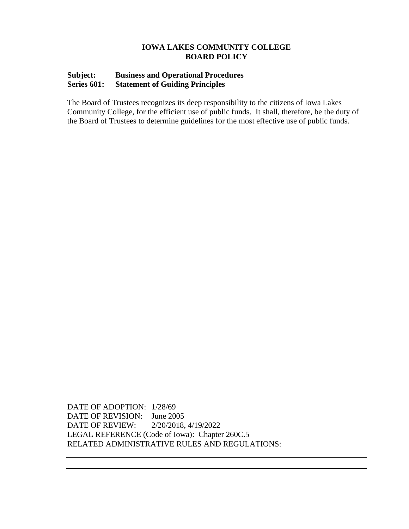## **Subject: Business and Operational Procedures Series 601: Statement of Guiding Principles**

The Board of Trustees recognizes its deep responsibility to the citizens of Iowa Lakes Community College, for the efficient use of public funds. It shall, therefore, be the duty of the Board of Trustees to determine guidelines for the most effective use of public funds.

DATE OF ADOPTION: 1/28/69 DATE OF REVISION: June 2005 DATE OF REVIEW: 2/20/2018, 4/19/2022 LEGAL REFERENCE (Code of Iowa): Chapter 260C.5 RELATED ADMINISTRATIVE RULES AND REGULATIONS: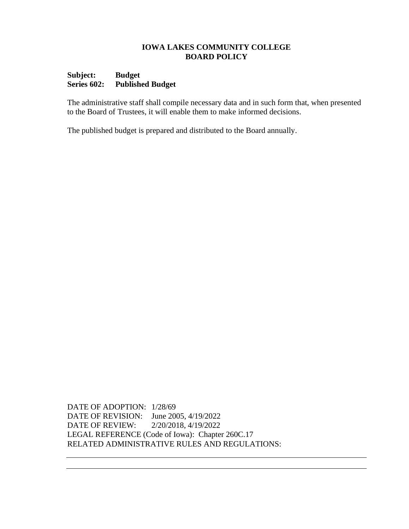## **Subject: Budget Series 602: Published Budget**

The administrative staff shall compile necessary data and in such form that, when presented to the Board of Trustees, it will enable them to make informed decisions*.*

The published budget is prepared and distributed to the Board annually.

DATE OF ADOPTION: 1/28/69 DATE OF REVISION: June 2005, 4/19/2022 DATE OF REVIEW: 2/20/2018, 4/19/2022 LEGAL REFERENCE (Code of Iowa): Chapter 260C.17 RELATED ADMINISTRATIVE RULES AND REGULATIONS: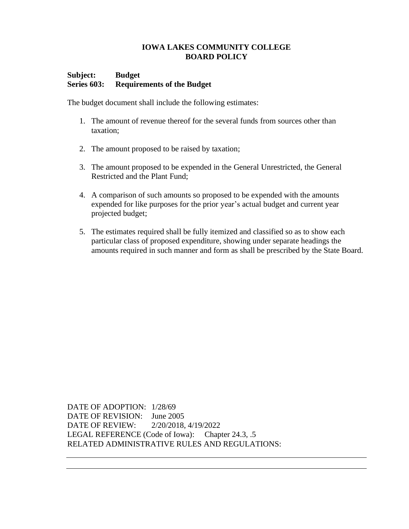## **Subject: Budget Series 603: Requirements of the Budget**

The budget document shall include the following estimates:

- 1. The amount of revenue thereof for the several funds from sources other than taxation;
- 2. The amount proposed to be raised by taxation;
- 3. The amount proposed to be expended in the General Unrestricted, the General Restricted and the Plant Fund;
- 4. A comparison of such amounts so proposed to be expended with the amounts expended for like purposes for the prior year's actual budget and current year projected budget;
- 5. The estimates required shall be fully itemized and classified so as to show each particular class of proposed expenditure, showing under separate headings the amounts required in such manner and form as shall be prescribed by the State Board.

DATE OF ADOPTION: 1/28/69 DATE OF REVISION: June 2005 DATE OF REVIEW: 2/20/2018, 4/19/2022 LEGAL REFERENCE (Code of Iowa): Chapter 24.3, .5 RELATED ADMINISTRATIVE RULES AND REGULATIONS: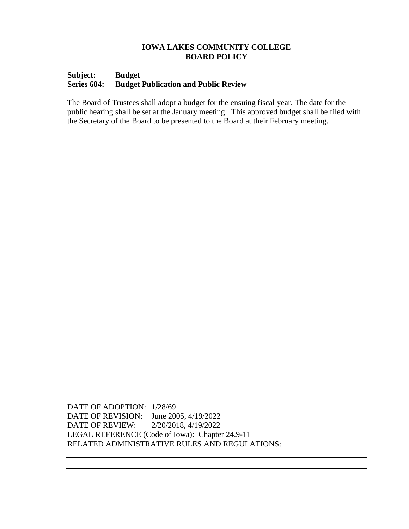#### **Subject: Budget Series 604: Budget Publication and Public Review**

The Board of Trustees shall adopt a budget for the ensuing fiscal year. The date for the public hearing shall be set at the January meeting*.* This approved budget shall be filed with the Secretary of the Board to be presented to the Board at their February meeting.

DATE OF ADOPTION: 1/28/69 DATE OF REVISION: June 2005, 4/19/2022 DATE OF REVIEW: 2/20/2018, 4/19/2022 LEGAL REFERENCE (Code of Iowa): Chapter 24.9-11 RELATED ADMINISTRATIVE RULES AND REGULATIONS: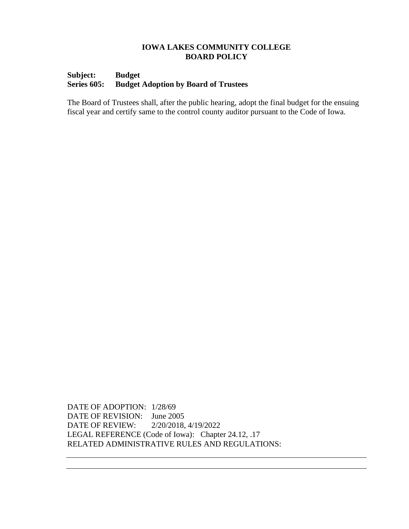## **Subject: Budget Series 605: Budget Adoption by Board of Trustees**

The Board of Trustees shall, after the public hearing, adopt the final budget for the ensuing fiscal year and certify same to the control county auditor pursuant to the Code of Iowa.

DATE OF ADOPTION: 1/28/69 DATE OF REVISION: June 2005 DATE OF REVIEW: 2/20/2018, 4/19/2022 LEGAL REFERENCE (Code of Iowa): Chapter 24.12, .17 RELATED ADMINISTRATIVE RULES AND REGULATIONS: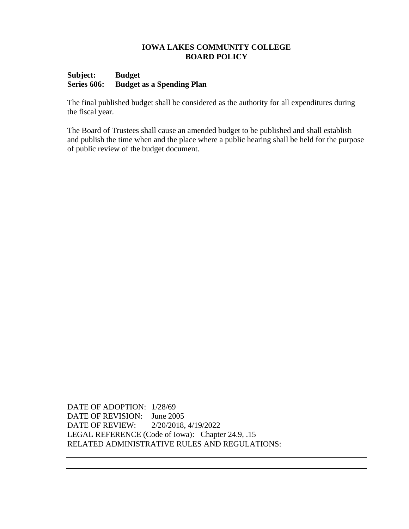## **Subject: Budget Series 606: Budget as a Spending Plan**

The final published budget shall be considered as the authority for all expenditures during the fiscal year.

The Board of Trustees shall cause an amended budget to be published and shall establish and publish the time when and the place where a public hearing shall be held for the purpose of public review of the budget document.

DATE OF ADOPTION: 1/28/69 DATE OF REVISION: June 2005 DATE OF REVIEW: 2/20/2018, 4/19/2022 LEGAL REFERENCE (Code of Iowa): Chapter 24.9, .15 RELATED ADMINISTRATIVE RULES AND REGULATIONS: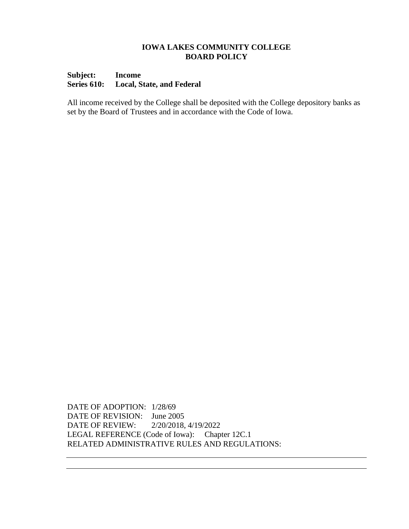### **Subject: Income Series 610: Local, State, and Federal**

All income received by the College shall be deposited with the College depository banks as set by the Board of Trustees and in accordance with the Code of Iowa.

DATE OF ADOPTION: 1/28/69 DATE OF REVISION: June 2005 DATE OF REVIEW: 2/20/2018, 4/19/2022 LEGAL REFERENCE (Code of Iowa): Chapter 12C.1 RELATED ADMINISTRATIVE RULES AND REGULATIONS: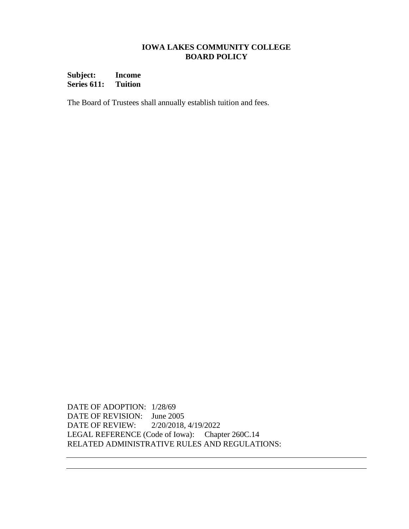**Subject: Income Series 611: Tuition**

The Board of Trustees shall annually establish tuition and fees.

DATE OF ADOPTION: 1/28/69 DATE OF REVISION: June 2005 DATE OF REVIEW: 2/20/2018, 4/19/2022 LEGAL REFERENCE (Code of Iowa): Chapter 260C.14 RELATED ADMINISTRATIVE RULES AND REGULATIONS: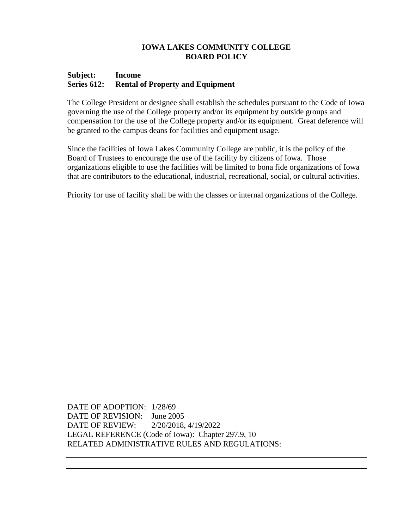#### **Subject: Income Series 612: Rental of Property and Equipment**

The College President or designee shall establish the schedules pursuant to the Code of Iowa governing the use of the College property and/or its equipment by outside groups and compensation for the use of the College property and/or its equipment. Great deference will be granted to the campus deans for facilities and equipment usage.

Since the facilities of Iowa Lakes Community College are public, it is the policy of the Board of Trustees to encourage the use of the facility by citizens of Iowa. Those organizations eligible to use the facilities will be limited to bona fide organizations of Iowa that are contributors to the educational, industrial, recreational, social, or cultural activities.

Priority for use of facility shall be with the classes or internal organizations of the College.

DATE OF ADOPTION: 1/28/69 DATE OF REVISION: June 2005 DATE OF REVIEW: 2/20/2018, 4/19/2022 LEGAL REFERENCE (Code of Iowa): Chapter 297.9, 10 RELATED ADMINISTRATIVE RULES AND REGULATIONS: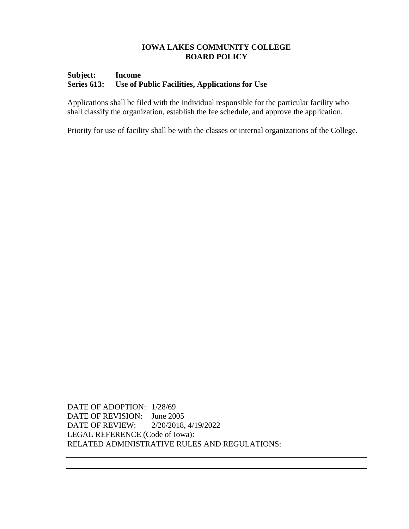## **Subject: Income Series 613: Use of Public Facilities, Applications for Use**

Applications shall be filed with the individual responsible for the particular facility who shall classify the organization, establish the fee schedule, and approve the application.

Priority for use of facility shall be with the classes or internal organizations of the College.

DATE OF ADOPTION: 1/28/69 DATE OF REVISION: June 2005 DATE OF REVIEW: 2/20/2018, 4/19/2022 LEGAL REFERENCE (Code of Iowa): RELATED ADMINISTRATIVE RULES AND REGULATIONS: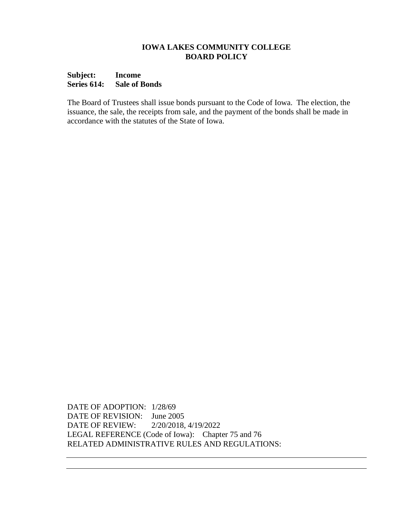#### **Subject: Income Series 614: Sale of Bonds**

The Board of Trustees shall issue bonds pursuant to the Code of Iowa. The election, the issuance, the sale, the receipts from sale, and the payment of the bonds shall be made in accordance with the statutes of the State of Iowa.

DATE OF ADOPTION: 1/28/69 DATE OF REVISION: June 2005 DATE OF REVIEW: 2/20/2018, 4/19/2022 LEGAL REFERENCE (Code of Iowa): Chapter 75 and 76 RELATED ADMINISTRATIVE RULES AND REGULATIONS: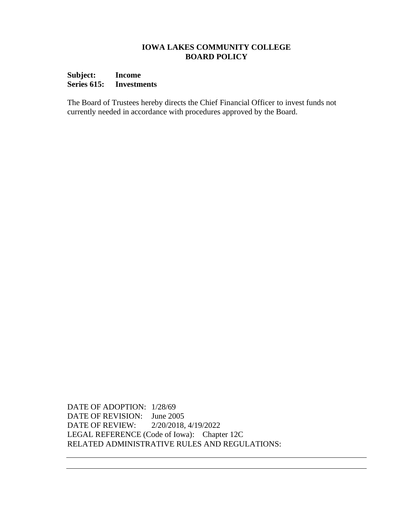## **Subject: Income Series 615: Investments**

The Board of Trustees hereby directs the Chief Financial Officer to invest funds not currently needed in accordance with procedures approved by the Board.

DATE OF ADOPTION: 1/28/69 DATE OF REVISION: June 2005 DATE OF REVIEW: 2/20/2018, 4/19/2022 LEGAL REFERENCE (Code of Iowa): Chapter 12C RELATED ADMINISTRATIVE RULES AND REGULATIONS: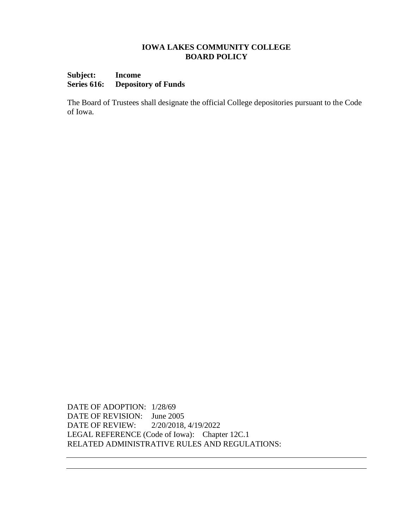## **Subject: Income Series 616: Depository of Funds**

The Board of Trustees shall designate the official College depositories pursuant to the Code of Iowa.

DATE OF ADOPTION: 1/28/69 DATE OF REVISION: June 2005 DATE OF REVIEW: 2/20/2018, 4/19/2022 LEGAL REFERENCE (Code of Iowa): Chapter 12C.1 RELATED ADMINISTRATIVE RULES AND REGULATIONS: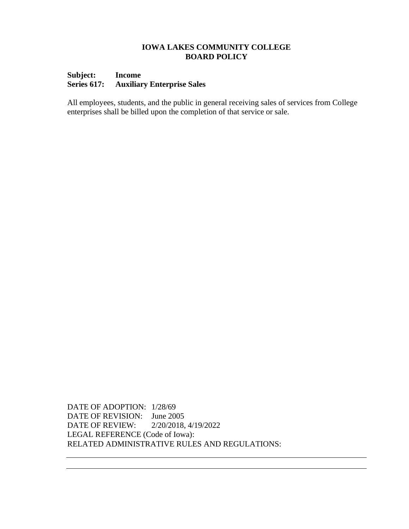## **Subject: Income Series 617: Auxiliary Enterprise Sales**

All employees, students, and the public in general receiving sales of services from College enterprises shall be billed upon the completion of that service or sale.

DATE OF ADOPTION: 1/28/69 DATE OF REVISION: June 2005 DATE OF REVIEW: 2/20/2018, 4/19/2022 LEGAL REFERENCE (Code of Iowa): RELATED ADMINISTRATIVE RULES AND REGULATIONS: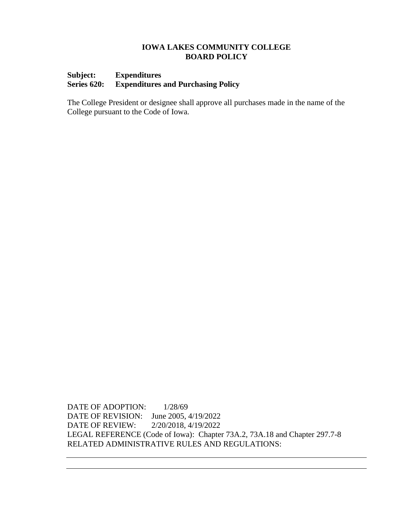## **Subject: Expenditures Series 620: Expenditures and Purchasing Policy**

The College President or designee shall approve all purchases made in the name of the College pursuant to the Code of Iowa.

DATE OF ADOPTION:  $1/28/69$ DATE OF REVISION: June 2005, 4/19/2022 DATE OF REVIEW: 2/20/2018, 4/19/2022 LEGAL REFERENCE (Code of Iowa): Chapter 73A.2, 73A.18 and Chapter 297.7-8 RELATED ADMINISTRATIVE RULES AND REGULATIONS: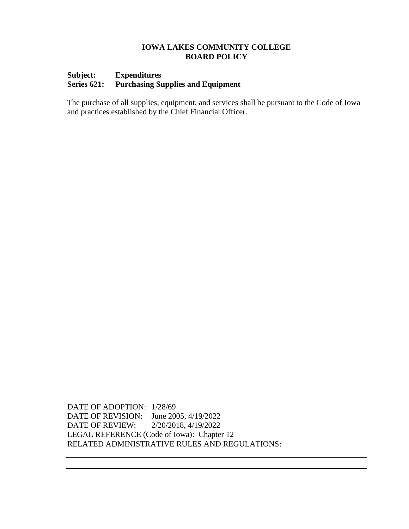## **Subject: Expenditures Series 621: Purchasing Supplies and Equipment**

The purchase of all supplies, equipment, and services shall be pursuant to the Code of Iowa and practices established by the Chief Financial Officer.

DATE OF ADOPTION: 1/28/69 DATE OF REVISION: June 2005, 4/19/2022 DATE OF REVIEW: 2/20/2018, 4/19/2022 LEGAL REFERENCE (Code of Iowa): Chapter 12 RELATED ADMINISTRATIVE RULES AND REGULATIONS: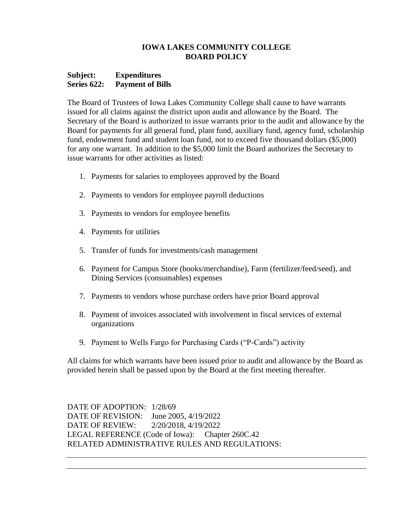#### **Subject: Expenditures Series 622: Payment of Bills**

The Board of Trustees of Iowa Lakes Community College shall cause to have warrants issued for all claims against the district upon audit and allowance by the Board. The Secretary of the Board is authorized to issue warrants prior to the audit and allowance by the Board for payments for all general fund, plant fund, auxiliary fund, agency fund, scholarship fund, endowment fund and student loan fund, not to exceed five thousand dollars (\$5,000) for any one warrant. In addition to the \$5,000 limit the Board authorizes the Secretary to issue warrants for other activities as listed:

- 1. Payments for salaries to employees approved by the Board
- 2. Payments to vendors for employee payroll deductions
- 3. Payments to vendors for employee benefits
- 4. Payments for utilities
- 5. Transfer of funds for investments/cash management
- 6. Payment for Campus Store (books/merchandise), Farm (fertilizer/feed/seed), and Dining Services (consumables) expenses
- 7. Payments to vendors whose purchase orders have prior Board approval
- 8. Payment of invoices associated with involvement in fiscal services of external organizations
- 9. Payment to Wells Fargo for Purchasing Cards ("P-Cards") activity

All claims for which warrants have been issued prior to audit and allowance by the Board as provided herein shall be passed upon by the Board at the first meeting thereafter.

DATE OF ADOPTION: 1/28/69 DATE OF REVISION: June 2005, 4/19/2022 DATE OF REVIEW: 2/20/2018, 4/19/2022 LEGAL REFERENCE (Code of Iowa): Chapter 260C.42 RELATED ADMINISTRATIVE RULES AND REGULATIONS: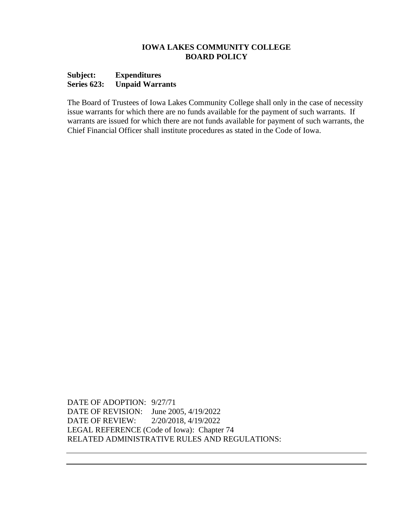#### **Subject: Expenditures Series 623: Unpaid Warrants**

The Board of Trustees of Iowa Lakes Community College shall only in the case of necessity issue warrants for which there are no funds available for the payment of such warrants. If warrants are issued for which there are not funds available for payment of such warrants, the Chief Financial Officer shall institute procedures as stated in the Code of Iowa.

DATE OF ADOPTION: 9/27/71 DATE OF REVISION: June 2005, 4/19/2022 DATE OF REVIEW: 2/20/2018, 4/19/2022 LEGAL REFERENCE (Code of Iowa): Chapter 74 RELATED ADMINISTRATIVE RULES AND REGULATIONS: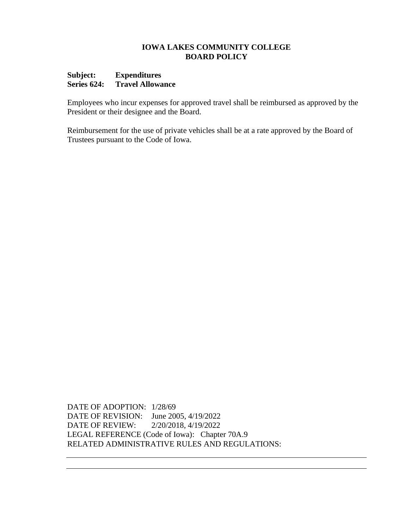#### **Subject: Expenditures Series 624: Travel Allowance**

Employees who incur expenses for approved travel shall be reimbursed as approved by the President or their designee and the Board.

Reimbursement for the use of private vehicles shall be at a rate approved by the Board of Trustees pursuant to the Code of Iowa.

DATE OF ADOPTION: 1/28/69 DATE OF REVISION: June 2005, 4/19/2022 DATE OF REVIEW: 2/20/2018, 4/19/2022 LEGAL REFERENCE (Code of Iowa): Chapter 70A.9 RELATED ADMINISTRATIVE RULES AND REGULATIONS: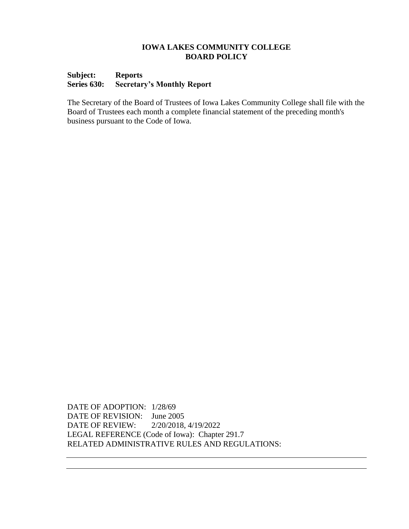## **Subject: Reports Series 630: Secretary's Monthly Report**

The Secretary of the Board of Trustees of Iowa Lakes Community College shall file with the Board of Trustees each month a complete financial statement of the preceding month's business pursuant to the Code of Iowa.

DATE OF ADOPTION: 1/28/69 DATE OF REVISION: June 2005 DATE OF REVIEW: 2/20/2018, 4/19/2022 LEGAL REFERENCE (Code of Iowa): Chapter 291.7 RELATED ADMINISTRATIVE RULES AND REGULATIONS: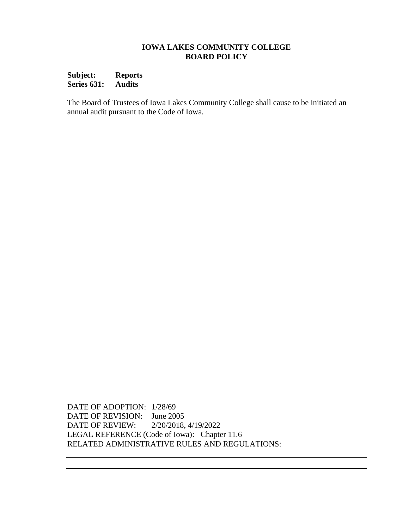**Subject: Reports Series 631: Audits**

The Board of Trustees of Iowa Lakes Community College shall cause to be initiated an annual audit pursuant to the Code of Iowa*.* 

DATE OF ADOPTION: 1/28/69 DATE OF REVISION: June 2005 DATE OF REVIEW: 2/20/2018, 4/19/2022 LEGAL REFERENCE (Code of Iowa): Chapter 11.6 RELATED ADMINISTRATIVE RULES AND REGULATIONS: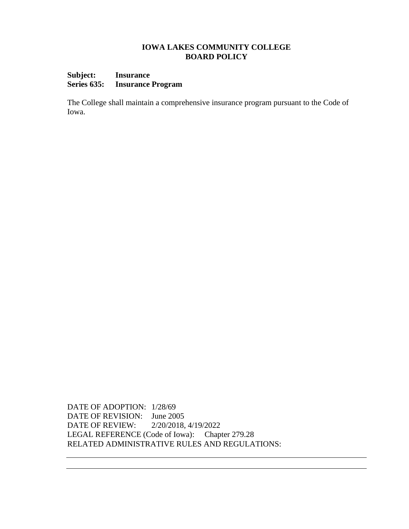## **Subject: Insurance Series 635: Insurance Program**

The College shall maintain a comprehensive insurance program pursuant to the Code of Iowa.

DATE OF ADOPTION: 1/28/69 DATE OF REVISION: June 2005 DATE OF REVIEW: 2/20/2018, 4/19/2022 LEGAL REFERENCE (Code of Iowa): Chapter 279.28 RELATED ADMINISTRATIVE RULES AND REGULATIONS: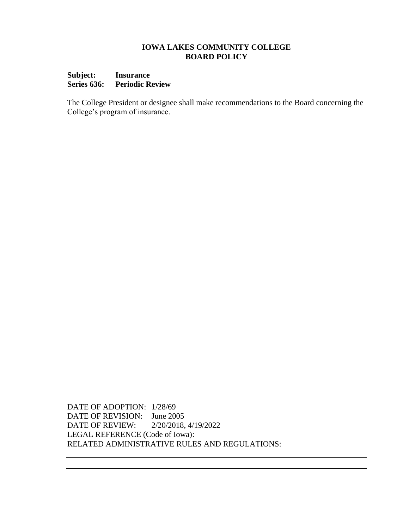#### **Subject: Insurance Series 636: Periodic Review**

The College President or designee shall make recommendations to the Board concerning the College's program of insurance.

DATE OF ADOPTION: 1/28/69 DATE OF REVISION: June 2005 DATE OF REVIEW: 2/20/2018, 4/19/2022 LEGAL REFERENCE (Code of Iowa): RELATED ADMINISTRATIVE RULES AND REGULATIONS: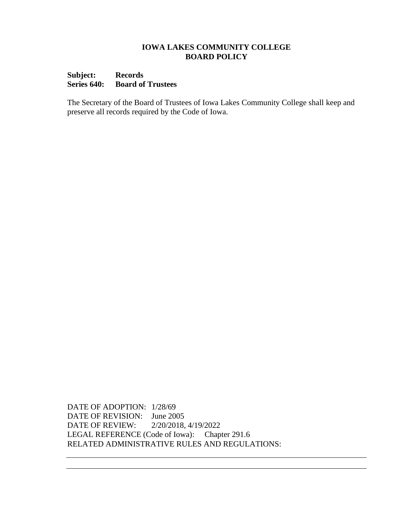### **Subject: Records Series 640: Board of Trustees**

The Secretary of the Board of Trustees of Iowa Lakes Community College shall keep and preserve all records required by the Code of Iowa.

DATE OF ADOPTION: 1/28/69 DATE OF REVISION: June 2005 DATE OF REVIEW: 2/20/2018, 4/19/2022 LEGAL REFERENCE (Code of Iowa): Chapter 291.6 RELATED ADMINISTRATIVE RULES AND REGULATIONS: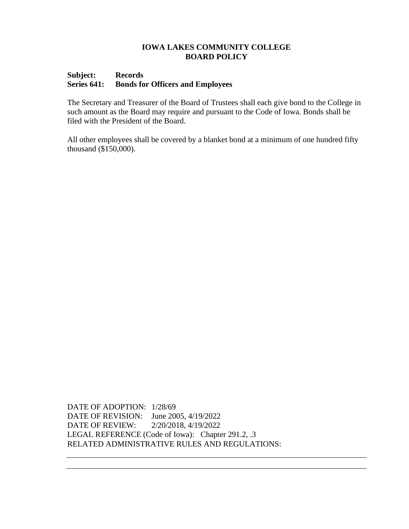## **Subject: Records Series 641: Bonds for Officers and Employees**

The Secretary and Treasurer of the Board of Trustees shall each give bond to the College in such amount as the Board may require and pursuant to the Code of Iowa. Bonds shall be filed with the President of the Board.

All other employees shall be covered by a blanket bond at a minimum of one hundred fifty thousand (\$150,000).

DATE OF ADOPTION: 1/28/69 DATE OF REVISION: June 2005, 4/19/2022 DATE OF REVIEW: 2/20/2018, 4/19/2022 LEGAL REFERENCE (Code of Iowa): Chapter 291.2, .3 RELATED ADMINISTRATIVE RULES AND REGULATIONS: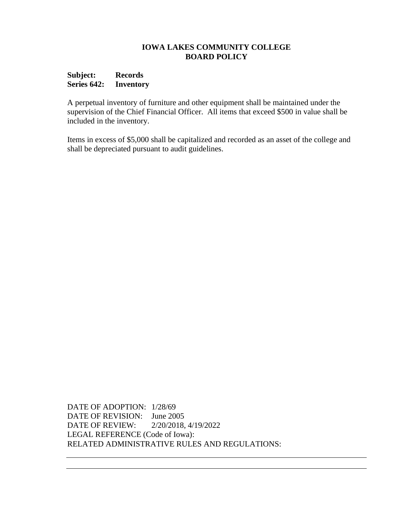## **Subject: Records Series 642: Inventory**

A perpetual inventory of furniture and other equipment shall be maintained under the supervision of the Chief Financial Officer. All items that exceed \$500 in value shall be included in the inventory.

Items in excess of \$5,000 shall be capitalized and recorded as an asset of the college and shall be depreciated pursuant to audit guidelines.

DATE OF ADOPTION: 1/28/69 DATE OF REVISION: June 2005 DATE OF REVIEW: 2/20/2018, 4/19/2022 LEGAL REFERENCE (Code of Iowa): RELATED ADMINISTRATIVE RULES AND REGULATIONS: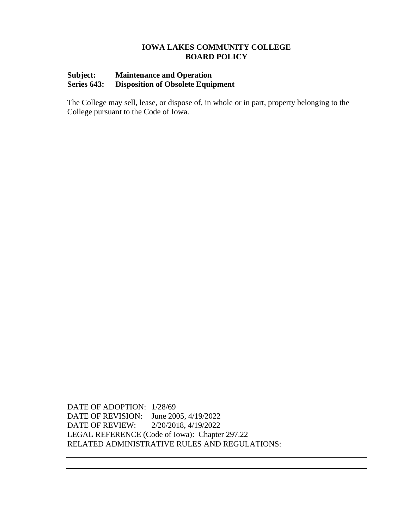## **Subject: Maintenance and Operation Series 643: Disposition of Obsolete Equipment**

The College may sell, lease, or dispose of, in whole or in part, property belonging to the College pursuant to the Code of Iowa.

DATE OF ADOPTION: 1/28/69 DATE OF REVISION: June 2005, 4/19/2022 DATE OF REVIEW: 2/20/2018, 4/19/2022 LEGAL REFERENCE (Code of Iowa): Chapter 297.22 RELATED ADMINISTRATIVE RULES AND REGULATIONS: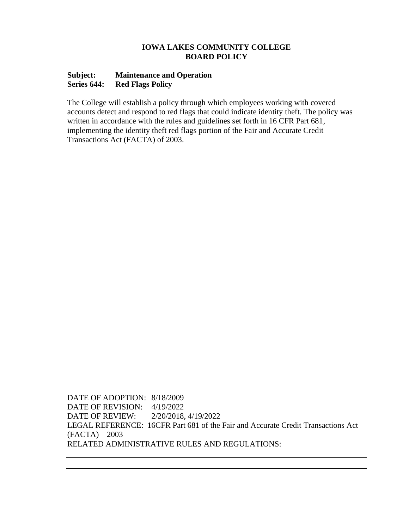## **Subject: Maintenance and Operation Series 644: Red Flags Policy**

The College will establish a policy through which employees working with covered accounts detect and respond to red flags that could indicate identity theft. The policy was written in accordance with the rules and guidelines set forth in 16 CFR Part 681, implementing the identity theft red flags portion of the Fair and Accurate Credit Transactions Act (FACTA) of 2003.

DATE OF ADOPTION: 8/18/2009 DATE OF REVISION: 4/19/2022 DATE OF REVIEW: 2/20/2018, 4/19/2022 LEGAL REFERENCE: 16CFR Part 681 of the Fair and Accurate Credit Transactions Act (FACTA)—2003 RELATED ADMINISTRATIVE RULES AND REGULATIONS: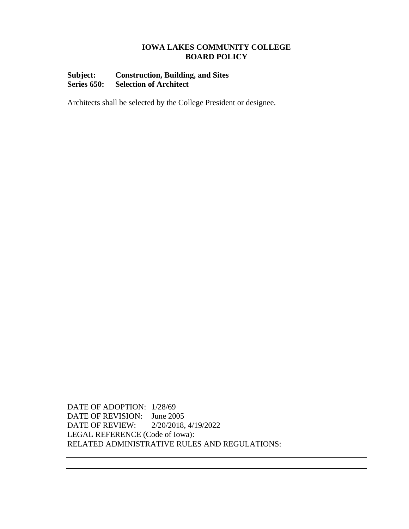## **Subject: Construction, Building, and Sites Series 650: Selection of Architect**

Architects shall be selected by the College President or designee.

DATE OF ADOPTION: 1/28/69 DATE OF REVISION: June 2005 DATE OF REVIEW: 2/20/2018, 4/19/2022 LEGAL REFERENCE (Code of Iowa): RELATED ADMINISTRATIVE RULES AND REGULATIONS: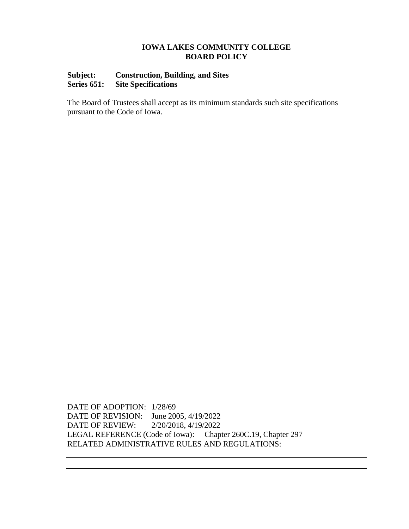## **Subject: Construction, Building, and Sites Series 651: Site Specifications**

The Board of Trustees shall accept as its minimum standards such site specifications pursuant to the Code of Iowa.

DATE OF ADOPTION: 1/28/69 DATE OF REVISION: June 2005, 4/19/2022 DATE OF REVIEW: 2/20/2018, 4/19/2022 LEGAL REFERENCE (Code of Iowa): Chapter 260C.19, Chapter 297 RELATED ADMINISTRATIVE RULES AND REGULATIONS: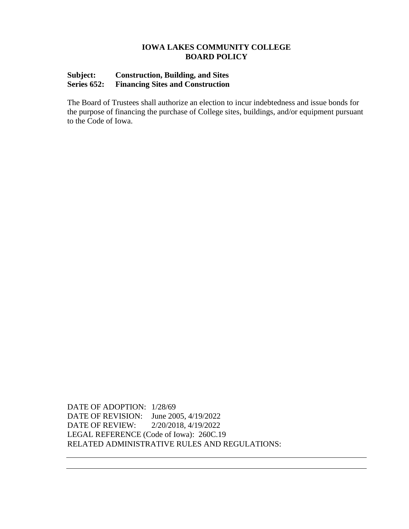## **Subject: Construction, Building, and Sites Series 652: Financing Sites and Construction**

The Board of Trustees shall authorize an election to incur indebtedness and issue bonds for the purpose of financing the purchase of College sites, buildings, and/or equipment pursuant to the Code of Iowa.

DATE OF ADOPTION: 1/28/69 DATE OF REVISION: June 2005, 4/19/2022 DATE OF REVIEW: 2/20/2018, 4/19/2022 LEGAL REFERENCE (Code of Iowa): 260C.19 RELATED ADMINISTRATIVE RULES AND REGULATIONS: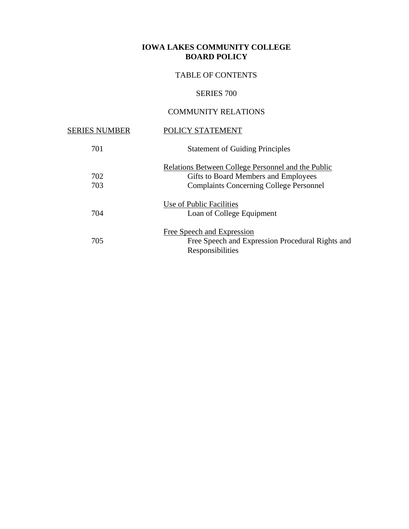# TABLE OF CONTENTS

# SERIES 700

# COMMUNITY RELATIONS

| <b>SERIES NUMBER</b> | POLICY STATEMENT                                                                                                                                    |
|----------------------|-----------------------------------------------------------------------------------------------------------------------------------------------------|
| 701                  | <b>Statement of Guiding Principles</b>                                                                                                              |
| 702<br>703           | <b>Relations Between College Personnel and the Public</b><br>Gifts to Board Members and Employees<br><b>Complaints Concerning College Personnel</b> |
| 704                  | Use of Public Facilities<br>Loan of College Equipment                                                                                               |
| 705                  | <b>Free Speech and Expression</b><br>Free Speech and Expression Procedural Rights and<br>Responsibilities                                           |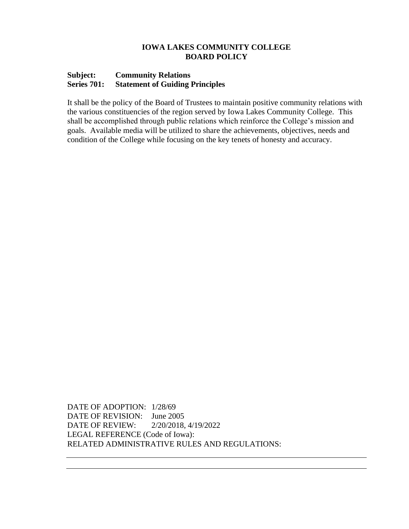#### **Subject: Community Relations Series 701: Statement of Guiding Principles**

It shall be the policy of the Board of Trustees to maintain positive community relations with the various constituencies of the region served by Iowa Lakes Community College. This shall be accomplished through public relations which reinforce the College's mission and goals. Available media will be utilized to share the achievements, objectives, needs and condition of the College while focusing on the key tenets of honesty and accuracy.

DATE OF ADOPTION: 1/28/69 DATE OF REVISION: June 2005 DATE OF REVIEW: 2/20/2018, 4/19/2022 LEGAL REFERENCE (Code of Iowa): RELATED ADMINISTRATIVE RULES AND REGULATIONS: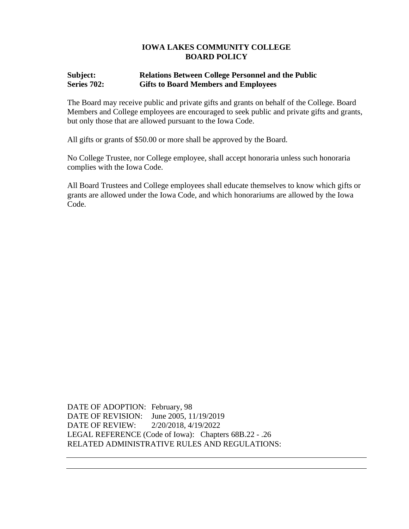## **Subject: Relations Between College Personnel and the Public Series 702: Gifts to Board Members and Employees**

The Board may receive public and private gifts and grants on behalf of the College. Board Members and College employees are encouraged to seek public and private gifts and grants, but only those that are allowed pursuant to the Iowa Code.

All gifts or grants of \$50.00 or more shall be approved by the Board.

No College Trustee, nor College employee, shall accept honoraria unless such honoraria complies with the Iowa Code.

All Board Trustees and College employees shall educate themselves to know which gifts or grants are allowed under the Iowa Code, and which honorariums are allowed by the Iowa Code.

DATE OF ADOPTION: February, 98 DATE OF REVISION: June 2005, 11/19/2019 DATE OF REVIEW: 2/20/2018, 4/19/2022 LEGAL REFERENCE (Code of Iowa): Chapters 68B.22 - .26 RELATED ADMINISTRATIVE RULES AND REGULATIONS: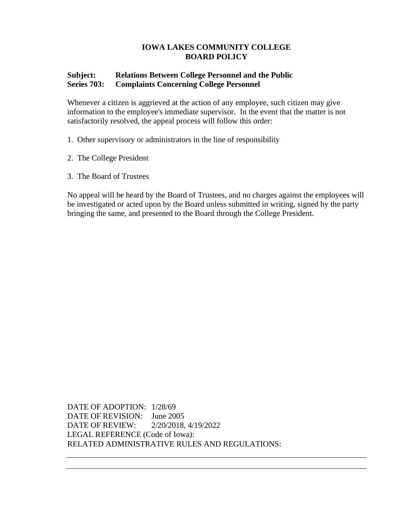# **IOWA LAKES COMMUNITY COLLEGE BOARD POLICY**

## **Subject: Relations Between College Personnel and the Public Series 703: Complaints Concerning College Personnel**

Whenever a citizen is aggrieved at the action of any employee, such citizen may give information to the employee's immediate supervisor. In the event that the matter is not satisfactorily resolved, the appeal process will follow this order:

- 1. Other supervisory or administrators in the line of responsibility
- 2. The College President
- 3. The Board of Trustees

No appeal will be heard by the Board of Trustees, and no charges against the employees will be investigated or acted upon by the Board unless submitted in writing, signed by the party bringing the same, and presented to the Board through the College President.

DATE OF ADOPTION: 1/28/69 DATE OF REVISION: June 2005 DATE OF REVIEW: 2/20/2018, 4/19/2022 LEGAL REFERENCE (Code of Iowa): RELATED ADMINISTRATIVE RULES AND REGULATIONS: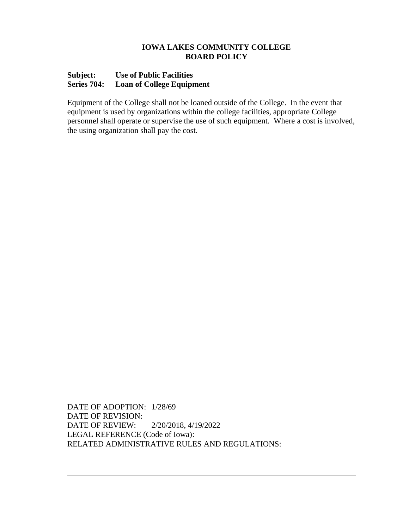### **IOWA LAKES COMMUNITY COLLEGE BOARD POLICY**

### **Subject: Use of Public Facilities Series 704: Loan of College Equipment**

Equipment of the College shall not be loaned outside of the College. In the event that equipment is used by organizations within the college facilities, appropriate College personnel shall operate or supervise the use of such equipment. Where a cost is involved, the using organization shall pay the cost.

DATE OF ADOPTION: 1/28/69 DATE OF REVISION: DATE OF REVIEW: 2/20/2018, 4/19/2022 LEGAL REFERENCE (Code of Iowa): RELATED ADMINISTRATIVE RULES AND REGULATIONS: